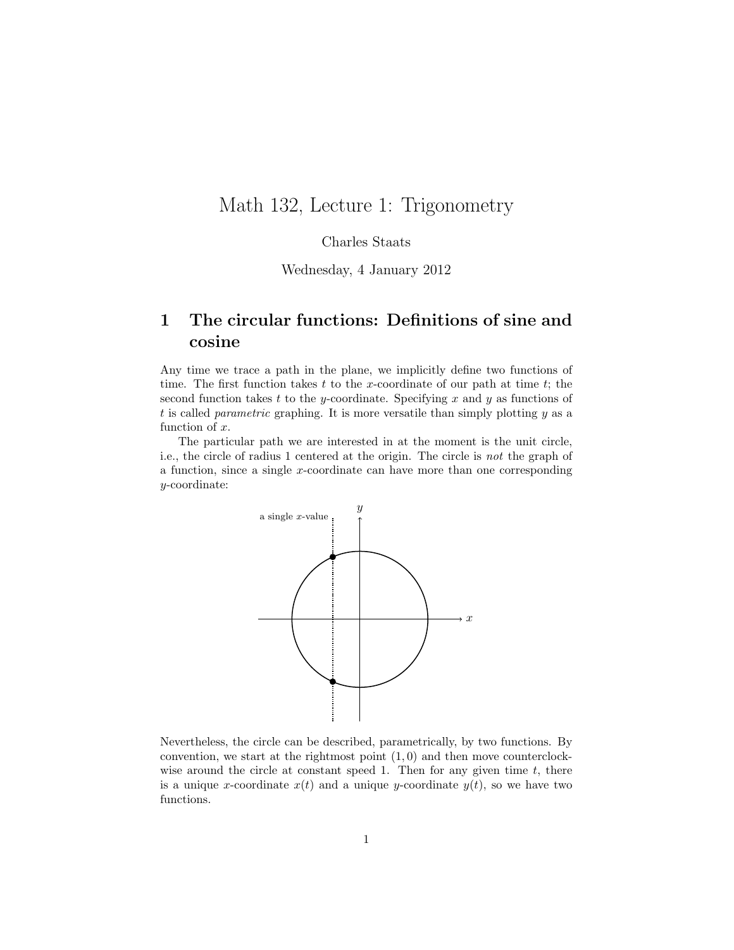## Math 132, Lecture 1: Trigonometry

Charles Staats

Wednesday, 4 January 2012

## 1 The circular functions: Definitions of sine and cosine

Any time we trace a path in the plane, we implicitly define two functions of time. The first function takes  $t$  to the x-coordinate of our path at time  $t$ ; the second function takes t to the y-coordinate. Specifying x and y as functions of t is called *parametric* graphing. It is more versatile than simply plotting  $y$  as a function of x.

The particular path we are interested in at the moment is the unit circle, i.e., the circle of radius 1 centered at the origin. The circle is not the graph of a function, since a single x-coordinate can have more than one corresponding y-coordinate:



Nevertheless, the circle can be described, parametrically, by two functions. By convention, we start at the rightmost point  $(1, 0)$  and then move counterclockwise around the circle at constant speed 1. Then for any given time  $t$ , there is a unique x-coordinate  $x(t)$  and a unique y-coordinate  $y(t)$ , so we have two functions.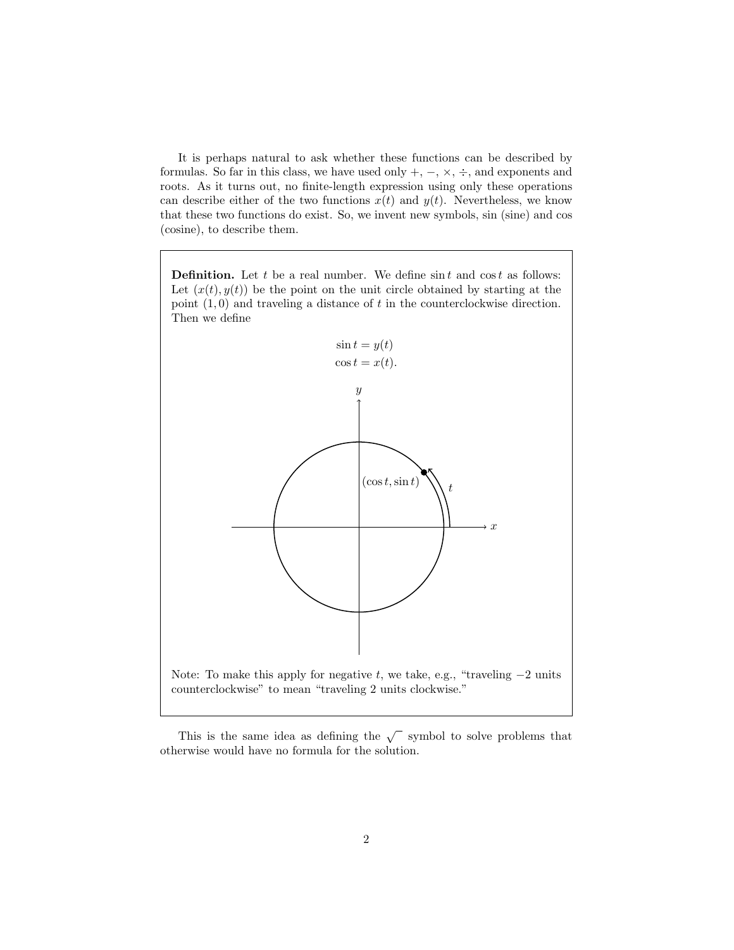It is perhaps natural to ask whether these functions can be described by formulas. So far in this class, we have used only  $+$ ,  $-$ ,  $\times$ ,  $\div$ , and exponents and roots. As it turns out, no finite-length expression using only these operations can describe either of the two functions  $x(t)$  and  $y(t)$ . Nevertheless, we know that these two functions do exist. So, we invent new symbols, sin (sine) and cos (cosine), to describe them.

**Definition.** Let t be a real number. We define  $\sin t$  and  $\cos t$  as follows: Let  $(x(t), y(t))$  be the point on the unit circle obtained by starting at the point  $(1,0)$  and traveling a distance of t in the counterclockwise direction. Then we define



This is the same idea as defining the  $\sqrt{\phantom{a}}$  symbol to solve problems that otherwise would have no formula for the solution.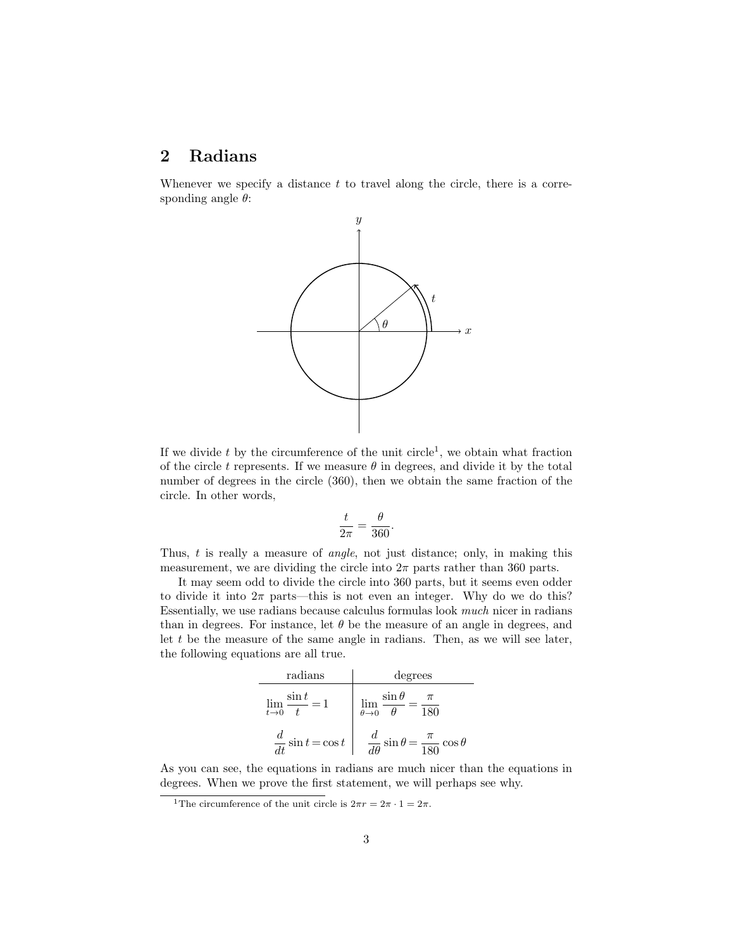#### 2 Radians

Whenever we specify a distance  $t$  to travel along the circle, there is a corresponding angle  $\theta$ :



If we divide  $t$  by the circumference of the unit circle<sup>1</sup>, we obtain what fraction of the circle t represents. If we measure  $\theta$  in degrees, and divide it by the total number of degrees in the circle (360), then we obtain the same fraction of the circle. In other words,

$$
\frac{t}{2\pi} = \frac{\theta}{360}.
$$

Thus, t is really a measure of *angle*, not just distance; only, in making this measurement, we are dividing the circle into  $2\pi$  parts rather than 360 parts.

It may seem odd to divide the circle into 360 parts, but it seems even odder to divide it into  $2\pi$  parts—this is not even an integer. Why do we do this? Essentially, we use radians because calculus formulas look much nicer in radians than in degrees. For instance, let  $\theta$  be the measure of an angle in degrees, and let  $t$  be the measure of the same angle in radians. Then, as we will see later, the following equations are all true.

| radians                             | degrees                                                       |
|-------------------------------------|---------------------------------------------------------------|
| $\sin t$<br>$=1$<br>$\lim_{t\to 0}$ | $\sin \theta$<br>$\lim_{\theta \to 0}$<br>180                 |
| $\frac{d}{dt}\sin t = \cos t$       | $\frac{d}{d\theta}\sin\theta$<br>$=\frac{\pi}{180}\cos\theta$ |

As you can see, the equations in radians are much nicer than the equations in degrees. When we prove the first statement, we will perhaps see why.

<sup>&</sup>lt;sup>1</sup>The circumference of the unit circle is  $2\pi r = 2\pi \cdot 1 = 2\pi$ .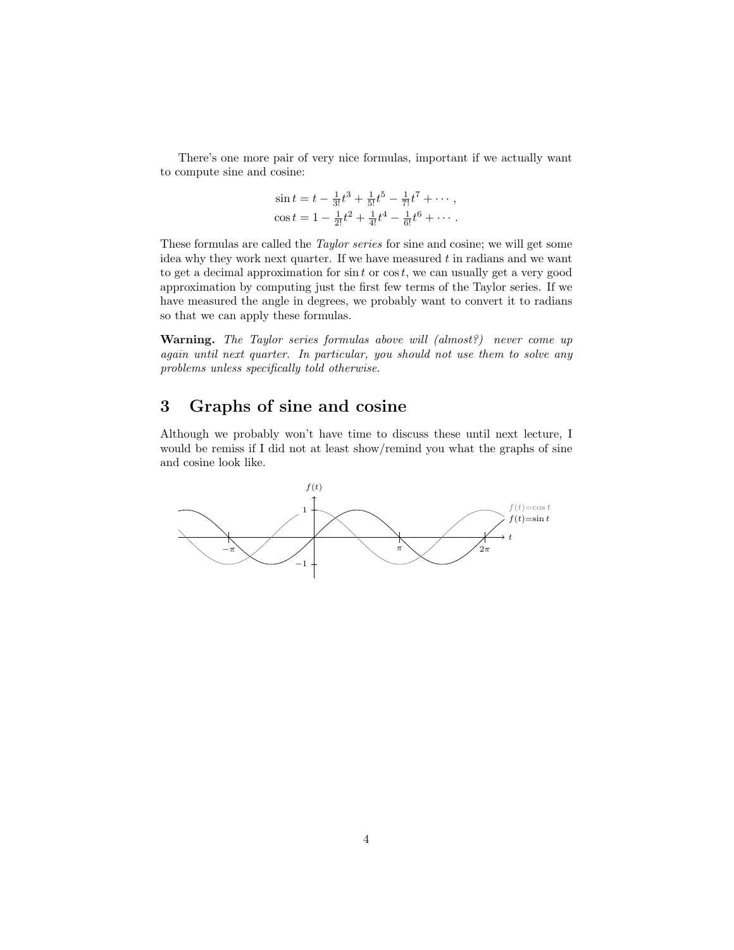There's one more pair of very nice formulas, important if we actually want to compute sine and cosine:

$$
\sin t = t - \frac{1}{3!}t^3 + \frac{1}{5!}t^5 - \frac{1}{7!}t^7 + \cdots,
$$
  

$$
\cos t = 1 - \frac{1}{2!}t^2 + \frac{1}{4!}t^4 - \frac{1}{6!}t^6 + \cdots.
$$

These formulas are called the Taylor series for sine and cosine; we will get some idea why they work next quarter. If we have measured  $t$  in radians and we want to get a decimal approximation for  $\sin t$  or  $\cos t$ , we can usually get a very good approximation by computing just the first few terms of the Taylor series. If we have measured the angle in degrees, we probably want to convert it to radians so that we can apply these formulas.

Warning. The Taylor series formulas above will (almost?) never come up again until next quarter. In particular, you should not use them to solve any problems unless specifically told otherwise.

### 3 Graphs of sine and cosine

Although we probably won't have time to discuss these until next lecture, I would be remiss if I did not at least show/remind you what the graphs of sine and cosine look like.

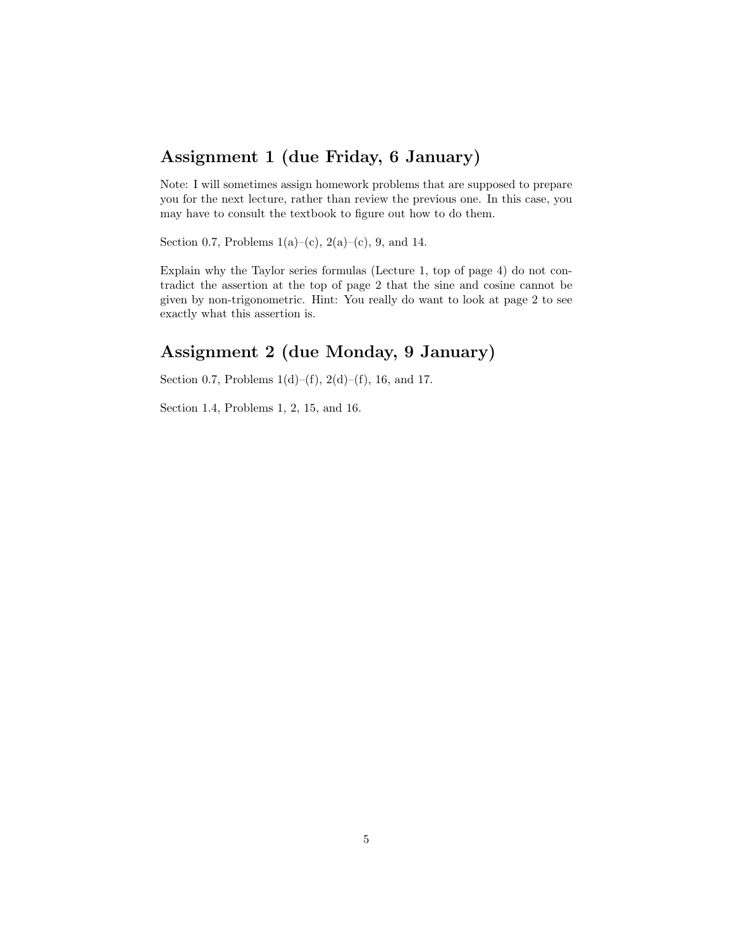### Assignment 1 (due Friday, 6 January)

Note: I will sometimes assign homework problems that are supposed to prepare you for the next lecture, rather than review the previous one. In this case, you may have to consult the textbook to figure out how to do them.

Section 0.7, Problems  $1(a)$ –(c),  $2(a)$ –(c), 9, and 14.

Explain why the Taylor series formulas (Lecture 1, top of page 4) do not contradict the assertion at the top of page 2 that the sine and cosine cannot be given by non-trigonometric. Hint: You really do want to look at page 2 to see exactly what this assertion is.

## Assignment 2 (due Monday, 9 January)

Section 0.7, Problems  $1(d)$ –(f),  $2(d)$ –(f), 16, and 17.

Section 1.4, Problems 1, 2, 15, and 16.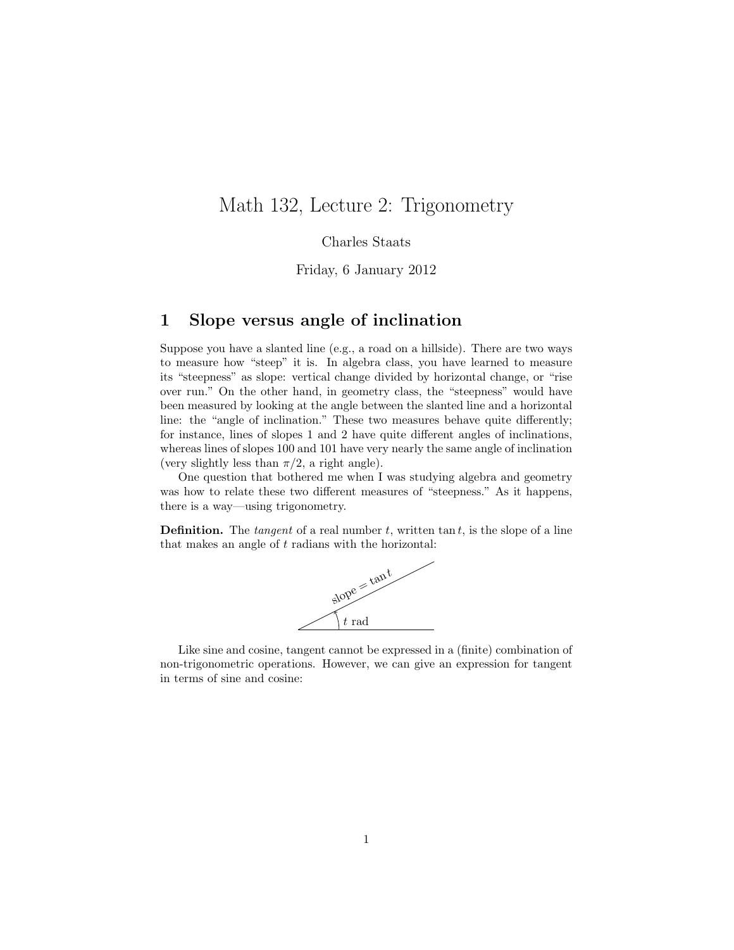## Math 132, Lecture 2: Trigonometry

Charles Staats

Friday, 6 January 2012

#### 1 Slope versus angle of inclination

Suppose you have a slanted line (e.g., a road on a hillside). There are two ways to measure how "steep" it is. In algebra class, you have learned to measure its "steepness" as slope: vertical change divided by horizontal change, or "rise over run." On the other hand, in geometry class, the "steepness" would have been measured by looking at the angle between the slanted line and a horizontal line: the "angle of inclination." These two measures behave quite differently; for instance, lines of slopes 1 and 2 have quite different angles of inclinations, whereas lines of slopes 100 and 101 have very nearly the same angle of inclination (very slightly less than  $\pi/2$ , a right angle).

One question that bothered me when I was studying algebra and geometry was how to relate these two different measures of "steepness." As it happens, there is a way—using trigonometry.

**Definition.** The *tangent* of a real number  $t$ , written tan  $t$ , is the slope of a line that makes an angle of  $t$  radians with the horizontal:



Like sine and cosine, tangent cannot be expressed in a (finite) combination of non-trigonometric operations. However, we can give an expression for tangent in terms of sine and cosine: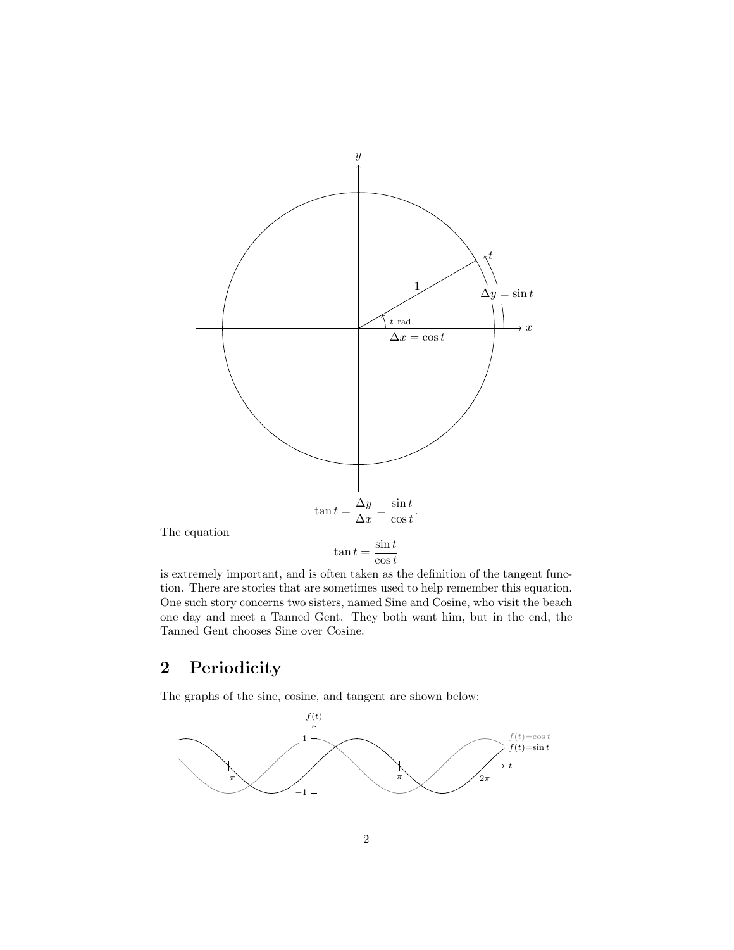

is extremely important, and is often taken as the definition of the tangent function. There are stories that are sometimes used to help remember this equation. One such story concerns two sisters, named Sine and Cosine, who visit the beach one day and meet a Tanned Gent. They both want him, but in the end, the Tanned Gent chooses Sine over Cosine.

## 2 Periodicity

The graphs of the sine, cosine, and tangent are shown below:

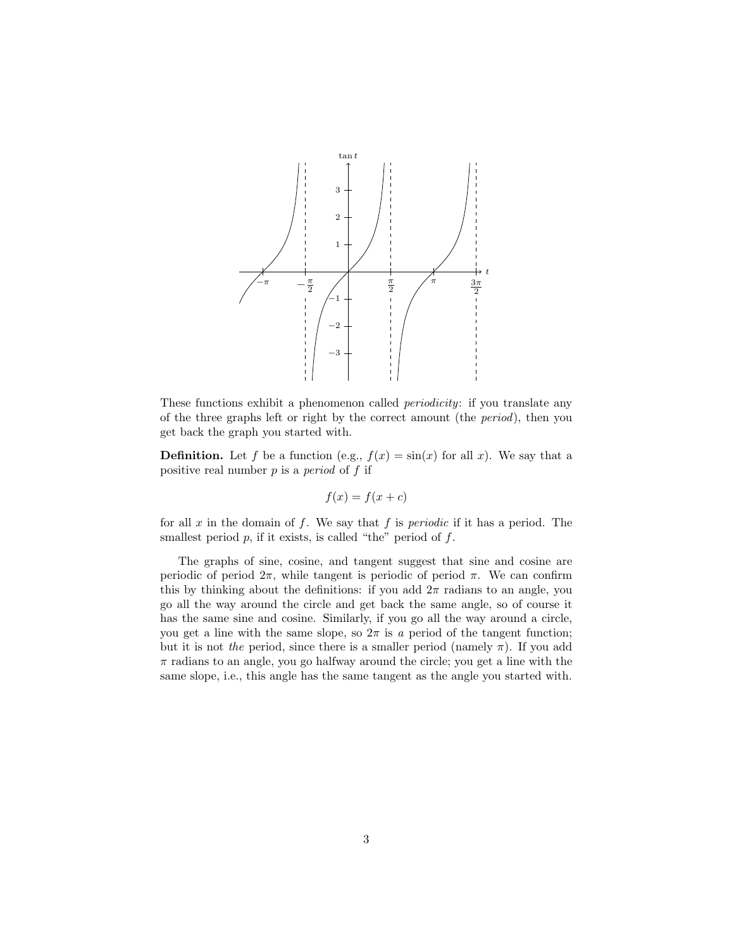

These functions exhibit a phenomenon called *periodicity*: if you translate any of the three graphs left or right by the correct amount (the period), then you get back the graph you started with.

**Definition.** Let f be a function (e.g.,  $f(x) = \sin(x)$  for all x). We say that a positive real number  $p$  is a *period* of  $f$  if

$$
f(x) = f(x + c)
$$

for all  $x$  in the domain of  $f$ . We say that  $f$  is *periodic* if it has a period. The smallest period  $p$ , if it exists, is called "the" period of  $f$ .

The graphs of sine, cosine, and tangent suggest that sine and cosine are periodic of period  $2\pi$ , while tangent is periodic of period  $\pi$ . We can confirm this by thinking about the definitions: if you add  $2\pi$  radians to an angle, you go all the way around the circle and get back the same angle, so of course it has the same sine and cosine. Similarly, if you go all the way around a circle, you get a line with the same slope, so  $2\pi$  is a period of the tangent function; but it is not the period, since there is a smaller period (namely  $\pi$ ). If you add  $\pi$  radians to an angle, you go halfway around the circle; you get a line with the same slope, i.e., this angle has the same tangent as the angle you started with.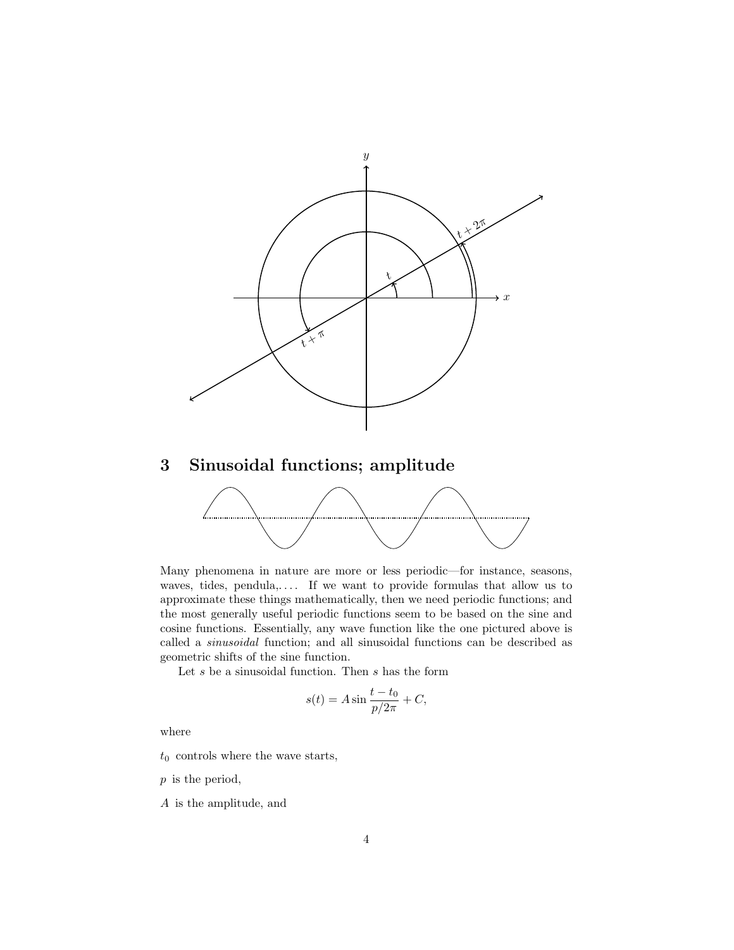

## 3 Sinusoidal functions; amplitude



Many phenomena in nature are more or less periodic—for instance, seasons, waves, tides, pendula,.... If we want to provide formulas that allow us to approximate these things mathematically, then we need periodic functions; and the most generally useful periodic functions seem to be based on the sine and cosine functions. Essentially, any wave function like the one pictured above is called a sinusoidal function; and all sinusoidal functions can be described as geometric shifts of the sine function.

Let  $s$  be a sinusoidal function. Then  $s$  has the form

$$
s(t) = A \sin \frac{t - t_0}{p/2\pi} + C,
$$

where

 $t_0$  controls where the wave starts,

p is the period,

A is the amplitude, and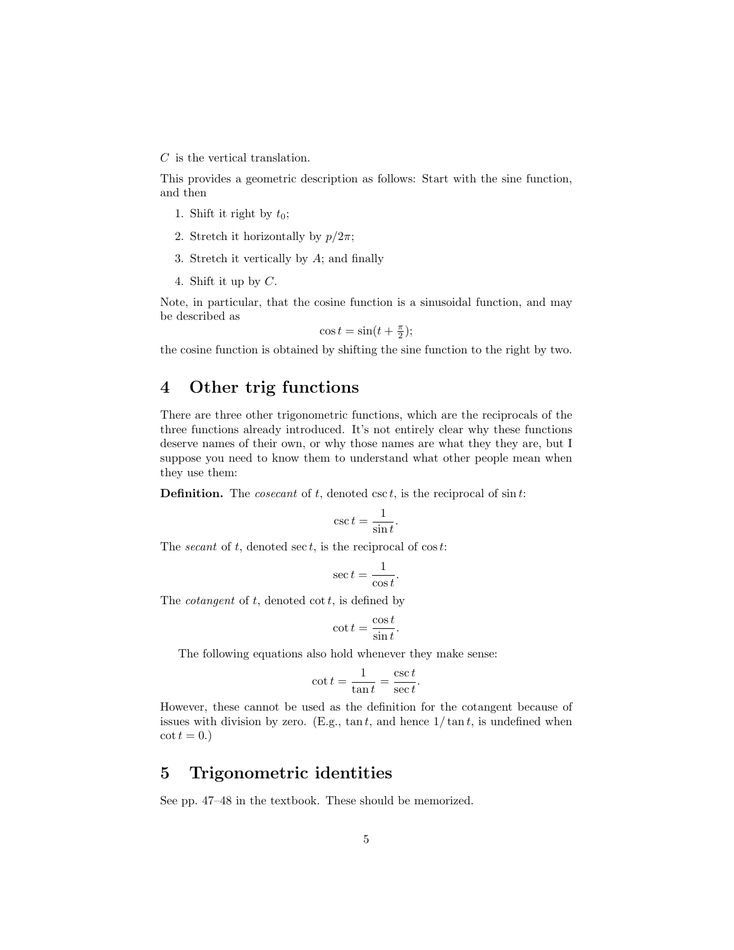$C$  is the vertical translation.

This provides a geometric description as follows: Start with the sine function, and then

- 1. Shift it right by  $t_0$ ;
- 2. Stretch it horizontally by  $p/2\pi$ ;
- 3. Stretch it vertically by A; and finally
- 4. Shift it up by C.

Note, in particular, that the cosine function is a sinusoidal function, and may be described as

 $\cos t = \sin(t + \frac{\pi}{2});$ 

the cosine function is obtained by shifting the sine function to the right by two.

#### 4 Other trig functions

There are three other trigonometric functions, which are the reciprocals of the three functions already introduced. It's not entirely clear why these functions deserve names of their own, or why those names are what they they are, but I suppose you need to know them to understand what other people mean when they use them:

**Definition.** The *cosecant* of  $t$ , denoted  $\csc t$ , is the reciprocal of  $\sin t$ :

$$
\csc t = \frac{1}{\sin t}.
$$

The *secant* of  $t$ , denoted sec  $t$ , is the reciprocal of  $\cos t$ :

$$
\sec t = \frac{1}{\cos t}.
$$

The *cotangent* of  $t$ , denoted  $\cot t$ , is defined by

$$
\cot t = \frac{\cos t}{\sin t}.
$$

The following equations also hold whenever they make sense:

$$
\cot t = \frac{1}{\tan t} = \frac{\csc t}{\sec t}.
$$

However, these cannot be used as the definition for the cotangent because of issues with division by zero. (E.g.,  $\tan t$ , and hence  $1/\tan t$ , is undefined when  $\cot t = 0.$ 

#### 5 Trigonometric identities

See pp. 47–48 in the textbook. These should be memorized.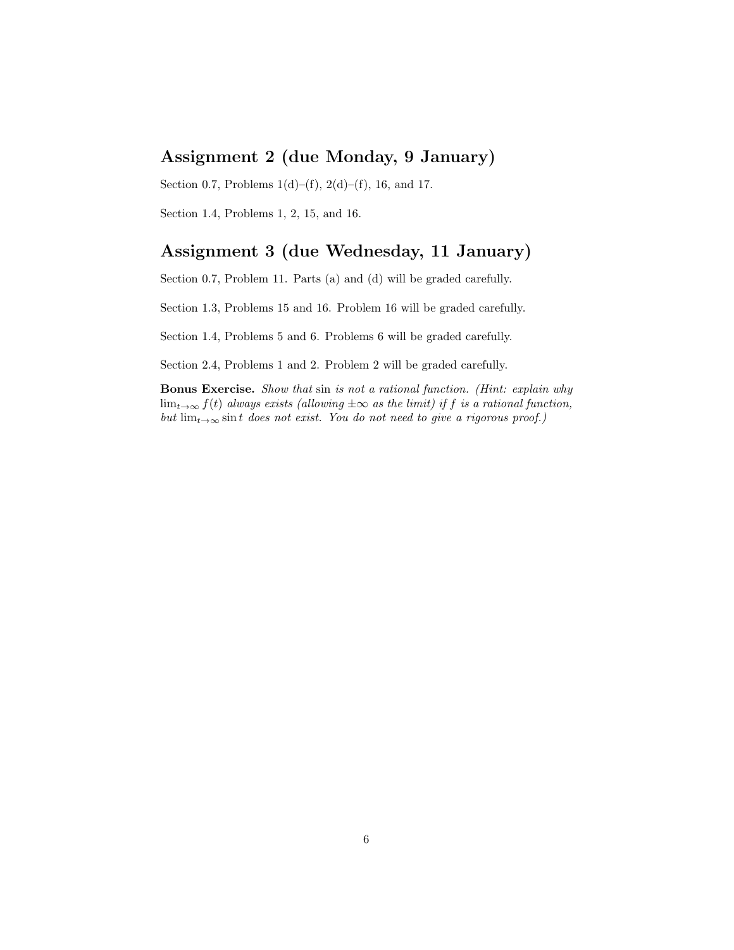### Assignment 2 (due Monday, 9 January)

Section 0.7, Problems  $1(d)$ –(f),  $2(d)$ –(f), 16, and 17.

Section 1.4, Problems 1, 2, 15, and 16.

### Assignment 3 (due Wednesday, 11 January)

Section 0.7, Problem 11. Parts (a) and (d) will be graded carefully.

Section 1.3, Problems 15 and 16. Problem 16 will be graded carefully.

Section 1.4, Problems 5 and 6. Problems 6 will be graded carefully.

Section 2.4, Problems 1 and 2. Problem 2 will be graded carefully.

Bonus Exercise. Show that sin is not a rational function. (Hint: explain why  $\lim_{t\to\infty} f(t)$  always exists (allowing  $\pm\infty$  as the limit) if f is a rational function, but  $\lim_{t\to\infty} \sin t$  does not exist. You do not need to give a rigorous proof.)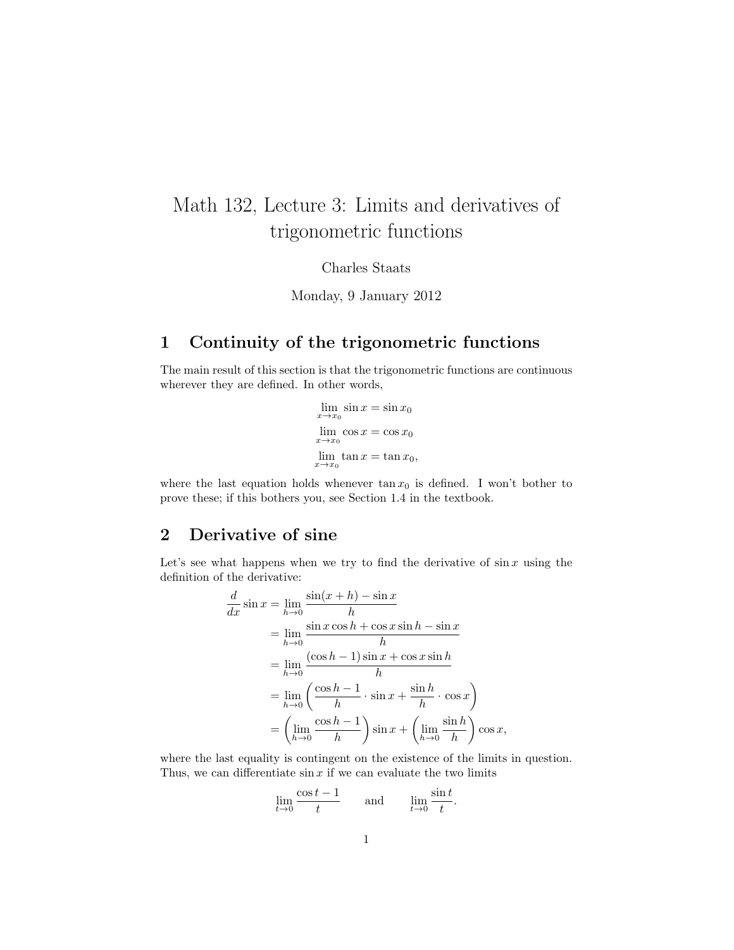# Math 132, Lecture 3: Limits and derivatives of trigonometric functions

Charles Staats

Monday, 9 January 2012

#### 1 Continuity of the trigonometric functions

The main result of this section is that the trigonometric functions are continuous wherever they are defined. In other words,

> $\lim_{x \to x_0} \sin x = \sin x_0$  $\lim_{x \to x_0} \cos x = \cos x_0$  $x\rightarrow x_0$  $\lim \tan x = \tan x_0,$

where the last equation holds whenever  $\tan x_0$  is defined. I won't bother to prove these; if this bothers you, see Section 1.4 in the textbook.

#### 2 Derivative of sine

Let's see what happens when we try to find the derivative of  $\sin x$  using the definition of the derivative:

$$
\frac{d}{dx}\sin x = \lim_{h \to 0} \frac{\sin(x+h) - \sin x}{h}
$$
  
\n
$$
= \lim_{h \to 0} \frac{\sin x \cos h + \cos x \sin h - \sin x}{h}
$$
  
\n
$$
= \lim_{h \to 0} \frac{(\cos h - 1) \sin x + \cos x \sin h}{h}
$$
  
\n
$$
= \lim_{h \to 0} \left(\frac{\cos h - 1}{h} \cdot \sin x + \frac{\sin h}{h} \cdot \cos x\right)
$$
  
\n
$$
= \left(\lim_{h \to 0} \frac{\cos h - 1}{h}\right) \sin x + \left(\lim_{h \to 0} \frac{\sin h}{h}\right) \cos x,
$$

where the last equality is contingent on the existence of the limits in question. Thus, we can differentiate  $\sin x$  if we can evaluate the two limits

$$
\lim_{t \to 0} \frac{\cos t - 1}{t} \quad \text{and} \quad \lim_{t \to 0} \frac{\sin t}{t}.
$$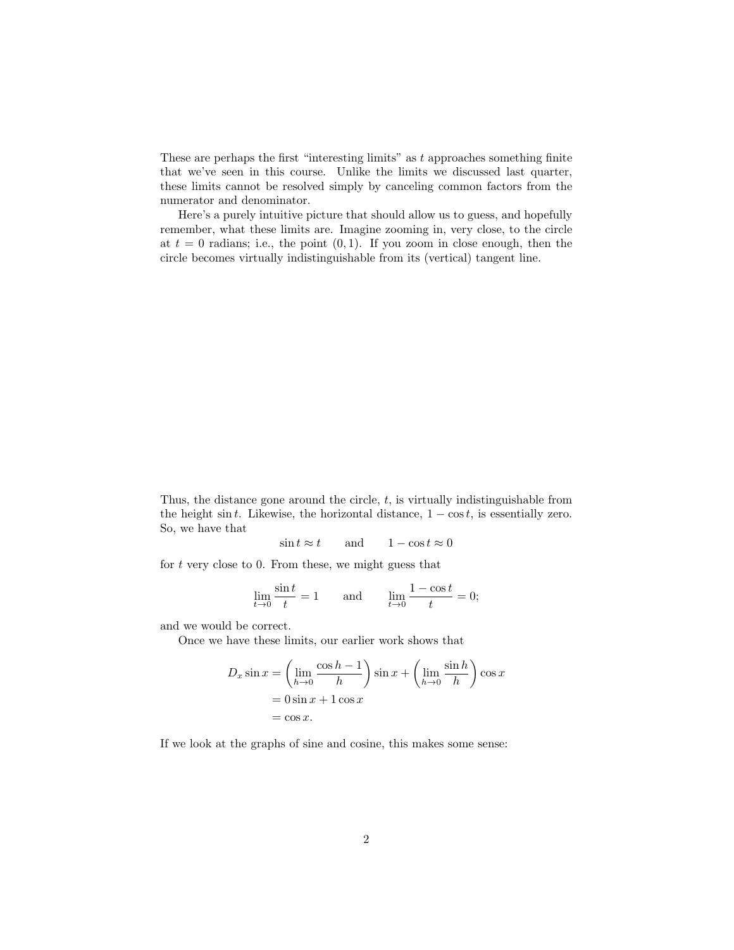These are perhaps the first "interesting limits" as  $t$  approaches something finite that we've seen in this course. Unlike the limits we discussed last quarter, these limits cannot be resolved simply by canceling common factors from the numerator and denominator.

Here's a purely intuitive picture that should allow us to guess, and hopefully remember, what these limits are. Imagine zooming in, very close, to the circle at  $t = 0$  radians; i.e., the point  $(0, 1)$ . If you zoom in close enough, then the circle becomes virtually indistinguishable from its (vertical) tangent line.

Thus, the distance gone around the circle,  $t$ , is virtually indistinguishable from the height sin t. Likewise, the horizontal distance,  $1 - \cos t$ , is essentially zero. So, we have that

 $\sin t \approx t$  and  $1 - \cos t \approx 0$ 

for  $t$  very close to 0. From these, we might guess that

$$
\lim_{t \to 0} \frac{\sin t}{t} = 1 \quad \text{and} \quad \lim_{t \to 0} \frac{1 - \cos t}{t} = 0;
$$

and we would be correct.

Once we have these limits, our earlier work shows that

$$
D_x \sin x = \left(\lim_{h \to 0} \frac{\cos h - 1}{h}\right) \sin x + \left(\lim_{h \to 0} \frac{\sin h}{h}\right) \cos x
$$
  
= 0 \sin x + 1 \cos x  
= \cos x.

If we look at the graphs of sine and cosine, this makes some sense: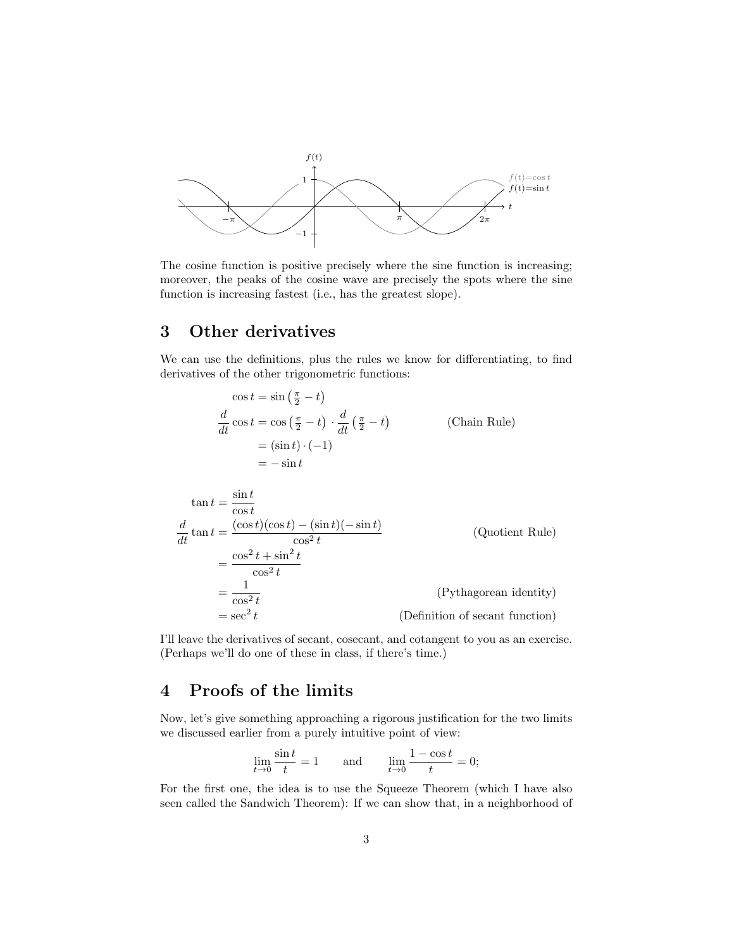

The cosine function is positive precisely where the sine function is increasing; moreover, the peaks of the cosine wave are precisely the spots where the sine function is increasing fastest (i.e., has the greatest slope).

#### 3 Other derivatives

We can use the definitions, plus the rules we know for differentiating, to find derivatives of the other trigonometric functions:

$$
\cos t = \sin \left(\frac{\pi}{2} - t\right)
$$
  
\n
$$
\frac{d}{dt} \cos t = \cos \left(\frac{\pi}{2} - t\right) \cdot \frac{d}{dt} \left(\frac{\pi}{2} - t\right)
$$
 (Chain Rule)  
\n
$$
= (\sin t) \cdot (-1)
$$
  
\n
$$
= -\sin t
$$
  
\n
$$
\tan t = \frac{\sin t}{\cos t}
$$
  
\n
$$
\frac{d}{dt} \tan t = \frac{(\cos t)(\cos t) - (\sin t)(-\sin t)}{\cos^2 t}
$$
 (Quotient Rule)  
\n
$$
= \frac{\cos^2 t + \sin^2 t}{\cos^2 t}
$$
  
\n
$$
= \frac{1}{\cos^2 t}
$$
 (Pythagorean identity)  
\n
$$
= \sec^2 t
$$
 (Definition of secant function)

I'll leave the derivatives of secant, cosecant, and cotangent to you as an exercise. (Perhaps we'll do one of these in class, if there's time.)

### 4 Proofs of the limits

Now, let's give something approaching a rigorous justification for the two limits we discussed earlier from a purely intuitive point of view:

$$
\lim_{t \to 0} \frac{\sin t}{t} = 1 \quad \text{and} \quad \lim_{t \to 0} \frac{1 - \cos t}{t} = 0;
$$

For the first one, the idea is to use the Squeeze Theorem (which I have also seen called the Sandwich Theorem): If we can show that, in a neighborhood of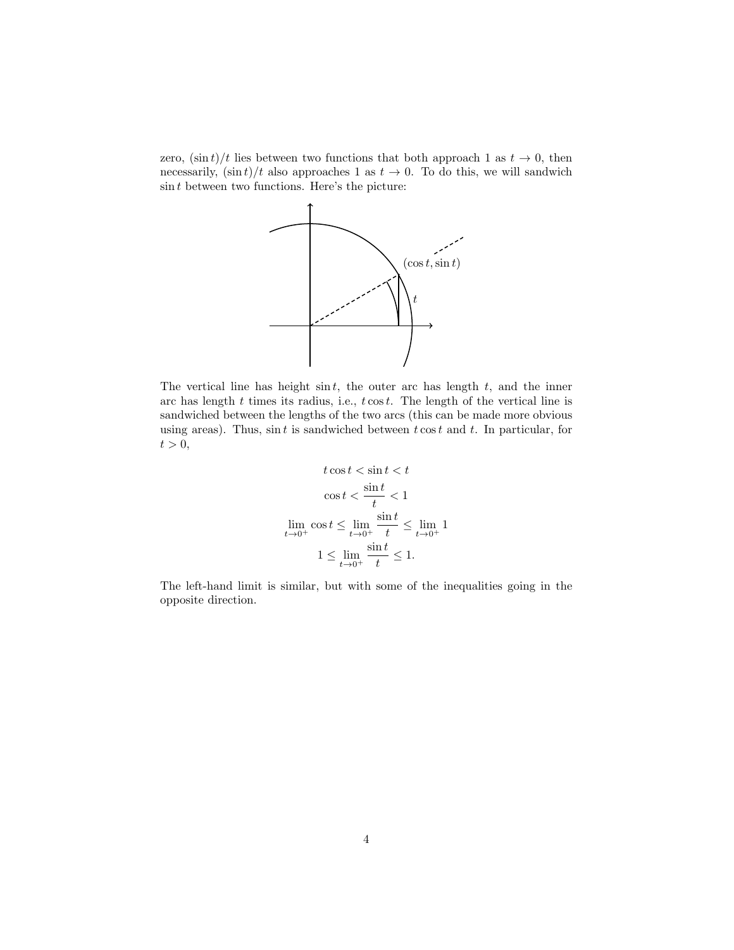zero,  $(\sin t)/t$  lies between two functions that both approach 1 as  $t \to 0$ , then necessarily,  $(\sin t)/t$  also approaches 1 as  $t \to 0$ . To do this, we will sandwich  $\sin t$  between two functions. Here's the picture:



The vertical line has height  $\sin t$ , the outer arc has length  $t$ , and the inner arc has length  $t$  times its radius, i.e.,  $t \cos t$ . The length of the vertical line is sandwiched between the lengths of the two arcs (this can be made more obvious using areas). Thus,  $\sin t$  is sandwiched between  $t \cos t$  and  $t$ . In particular, for  $t > 0$ ,

$$
t \cos t < \sin t < t
$$
\n
$$
\cos t < \frac{\sin t}{t} < 1
$$
\n
$$
\lim_{t \to 0^+} \cos t \le \lim_{t \to 0^+} \frac{\sin t}{t} \le \lim_{t \to 0^+} 1
$$
\n
$$
1 \le \lim_{t \to 0^+} \frac{\sin t}{t} \le 1.
$$

The left-hand limit is similar, but with some of the inequalities going in the opposite direction.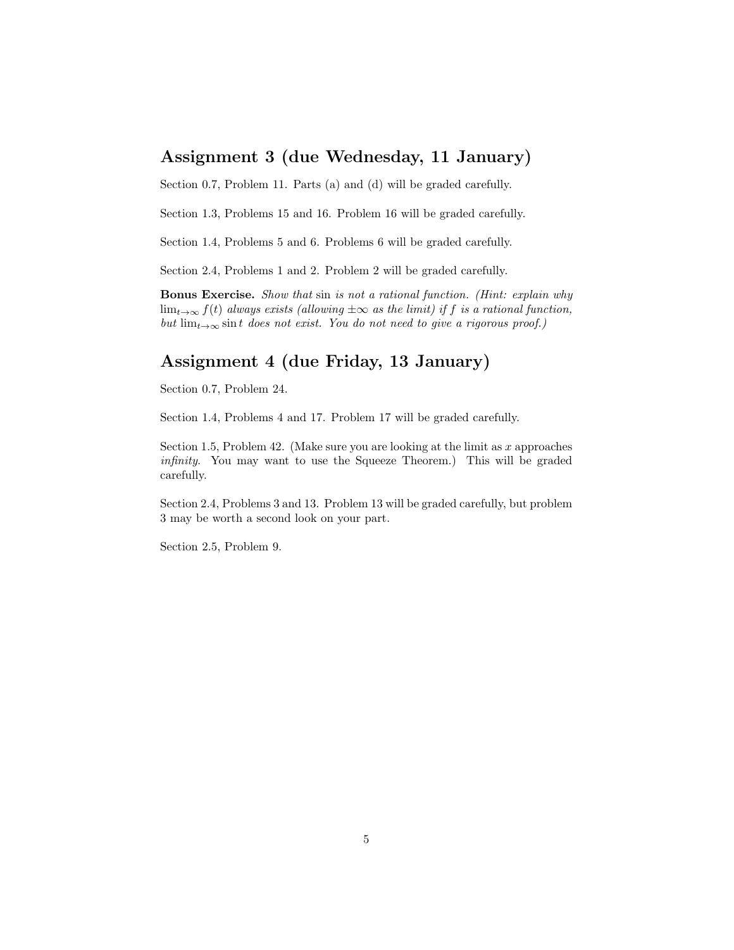#### Assignment 3 (due Wednesday, 11 January)

Section 0.7, Problem 11. Parts (a) and (d) will be graded carefully.

Section 1.3, Problems 15 and 16. Problem 16 will be graded carefully.

Section 1.4, Problems 5 and 6. Problems 6 will be graded carefully.

Section 2.4, Problems 1 and 2. Problem 2 will be graded carefully.

Bonus Exercise. Show that sin is not a rational function. (Hint: explain why  $\lim_{t\to\infty} f(t)$  always exists (allowing  $\pm\infty$  as the limit) if f is a rational function, but  $\lim_{t\to\infty} \sin t$  does not exist. You do not need to give a rigorous proof.)

### Assignment 4 (due Friday, 13 January)

Section 0.7, Problem 24.

Section 1.4, Problems 4 and 17. Problem 17 will be graded carefully.

Section 1.5, Problem 42. (Make sure you are looking at the limit as  $x$  approaches infinity. You may want to use the Squeeze Theorem.) This will be graded carefully.

Section 2.4, Problems 3 and 13. Problem 13 will be graded carefully, but problem 3 may be worth a second look on your part.

Section 2.5, Problem 9.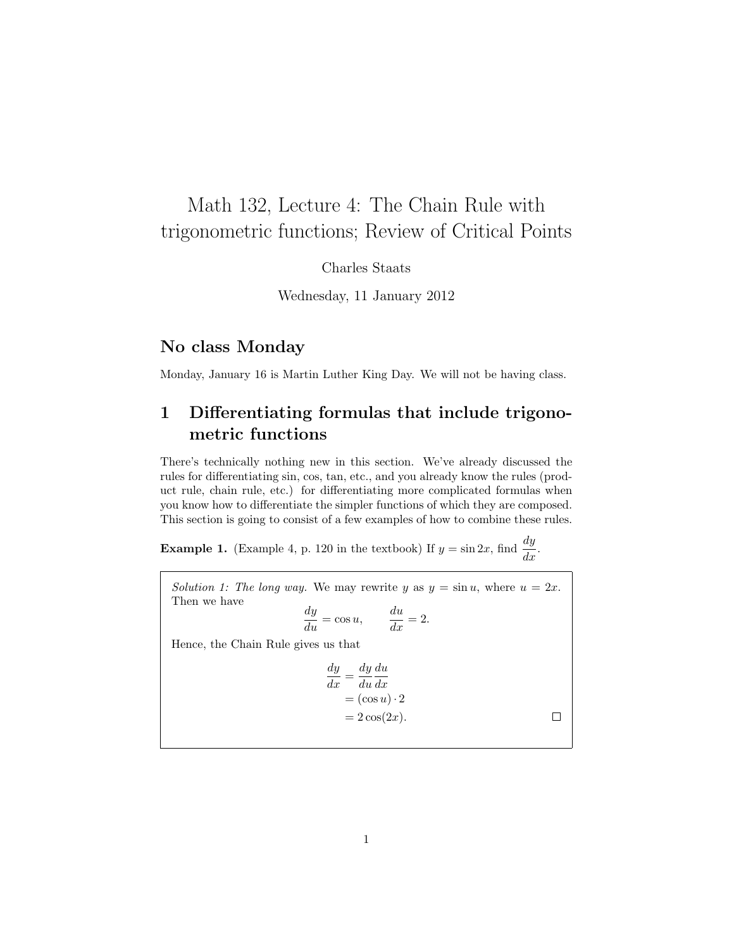# Math 132, Lecture 4: The Chain Rule with trigonometric functions; Review of Critical Points

Charles Staats

Wednesday, 11 January 2012

#### No class Monday

Monday, January 16 is Martin Luther King Day. We will not be having class.

## 1 Differentiating formulas that include trigonometric functions

There's technically nothing new in this section. We've already discussed the rules for differentiating sin, cos, tan, etc., and you already know the rules (product rule, chain rule, etc.) for differentiating more complicated formulas when you know how to differentiate the simpler functions of which they are composed. This section is going to consist of a few examples of how to combine these rules.

**Example 1.** (Example 4, p. 120 in the textbook) If  $y = \sin 2x$ , find  $\frac{dy}{dx}$ .

Solution 1: The long way. We may rewrite y as  $y = \sin u$ , where  $u = 2x$ . Then we have  $\frac{dy}{du} = \cos u, \qquad \frac{du}{dx} = 2.$ Hence, the Chain Rule gives us that dy dy du

$$
\frac{v}{dx} = \frac{v}{du}\frac{dx}{dx}
$$
  
=  $(\cos u) \cdot 2$   
=  $2 \cos(2x)$ .

 $\Box$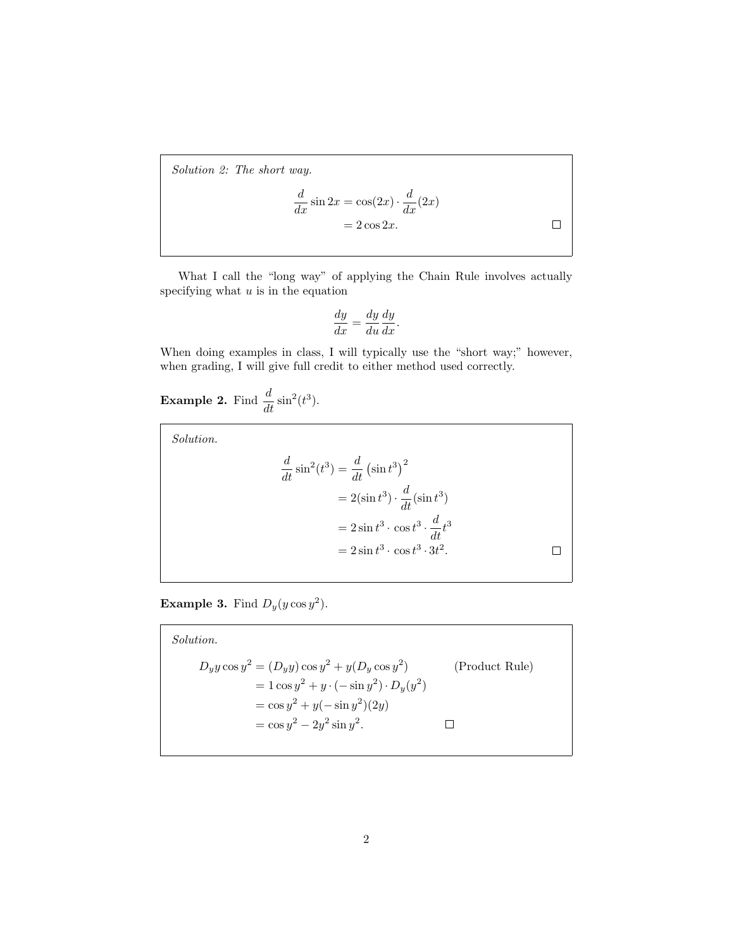Solution 2: The short way.

$$
\frac{d}{dx}\sin 2x = \cos(2x) \cdot \frac{d}{dx}(2x) \n= 2\cos 2x.
$$

What I call the "long way" of applying the Chain Rule involves actually specifying what  $u$  is in the equation

$$
\frac{dy}{dx} = \frac{dy}{du}\frac{dy}{dx}.
$$

When doing examples in class, I will typically use the "short way;" however, when grading, I will give full credit to either method used correctly.

**Example 2.** Find  $\frac{d}{dt}\sin^2(t^3)$ .

Solution.

$$
\frac{d}{dt}\sin^2(t^3) = \frac{d}{dt}\left(\sin t^3\right)^2
$$

$$
= 2(\sin t^3) \cdot \frac{d}{dt}(\sin t^3)
$$

$$
= 2\sin t^3 \cdot \cos t^3 \cdot \frac{d}{dt}t^3
$$

$$
= 2\sin t^3 \cdot \cos t^3 \cdot 3t^2.
$$

**Example 3.** Find  $D_y(y \cos y^2)$ .

Solution.  
\n
$$
D_y y \cos y^2 = (D_y y) \cos y^2 + y (D_y \cos y^2)
$$
\n
$$
= 1 \cos y^2 + y \cdot (-\sin y^2) \cdot D_y(y^2)
$$
\n
$$
= \cos y^2 + y (-\sin y^2)(2y)
$$
\n
$$
= \cos y^2 - 2y^2 \sin y^2.
$$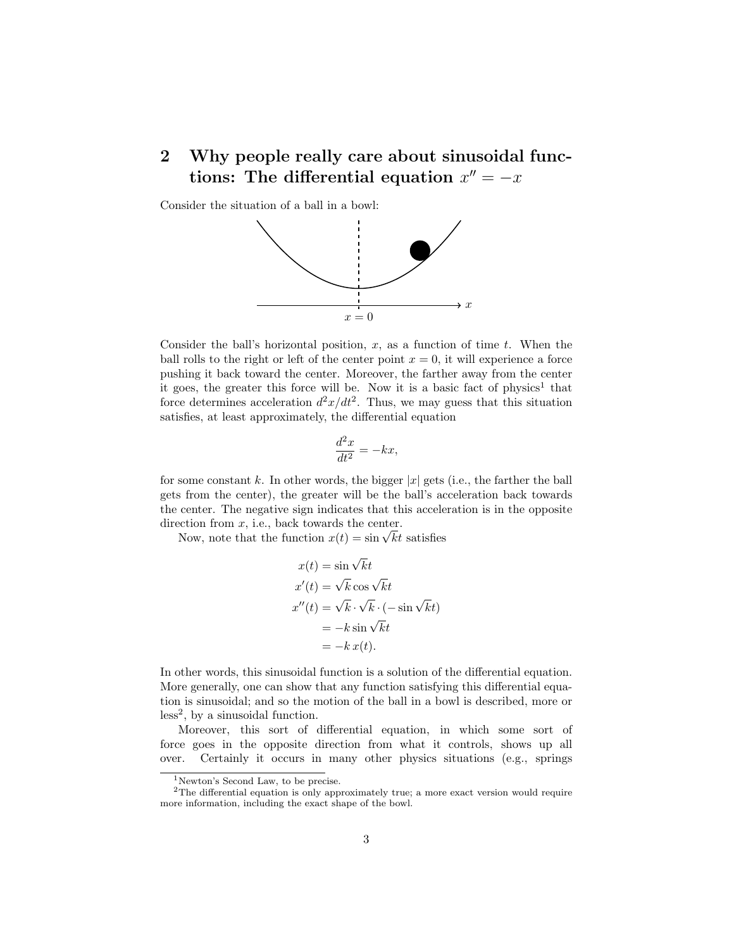## 2 Why people really care about sinusoidal functions: The differential equation  $x'' = -x$

Consider the situation of a ball in a bowl:



Consider the ball's horizontal position,  $x$ , as a function of time  $t$ . When the ball rolls to the right or left of the center point  $x = 0$ , it will experience a force pushing it back toward the center. Moreover, the farther away from the center it goes, the greater this force will be. Now it is a basic fact of  $physics<sup>1</sup>$  that force determines acceleration  $d^2x/dt^2$ . Thus, we may guess that this situation satisfies, at least approximately, the differential equation

$$
\frac{d^2x}{dt^2} = -kx,
$$

for some constant k. In other words, the bigger  $|x|$  gets (i.e., the farther the ball gets from the center), the greater will be the ball's acceleration back towards the center. The negative sign indicates that this acceleration is in the opposite direction from  $x$ , i.e., back towards the center.

Now, note that the function  $x(t) = \sin \sqrt{kt}$  satisfies

$$
x(t) = \sin \sqrt{kt}
$$
  
\n
$$
x'(t) = \sqrt{k} \cos \sqrt{k}t
$$
  
\n
$$
x''(t) = \sqrt{k} \cdot \sqrt{k} \cdot (-\sin \sqrt{k}t)
$$
  
\n
$$
= -k \sin \sqrt{k}t
$$
  
\n
$$
= -k x(t).
$$

In other words, this sinusoidal function is a solution of the differential equation. More generally, one can show that any function satisfying this differential equation is sinusoidal; and so the motion of the ball in a bowl is described, more or  $less<sup>2</sup>$ , by a sinusoidal function.

Moreover, this sort of differential equation, in which some sort of force goes in the opposite direction from what it controls, shows up all over. Certainly it occurs in many other physics situations (e.g., springs

<sup>&</sup>lt;sup>1</sup>Newton's Second Law, to be precise.

<sup>&</sup>lt;sup>2</sup>The differential equation is only approximately true; a more exact version would require more information, including the exact shape of the bowl.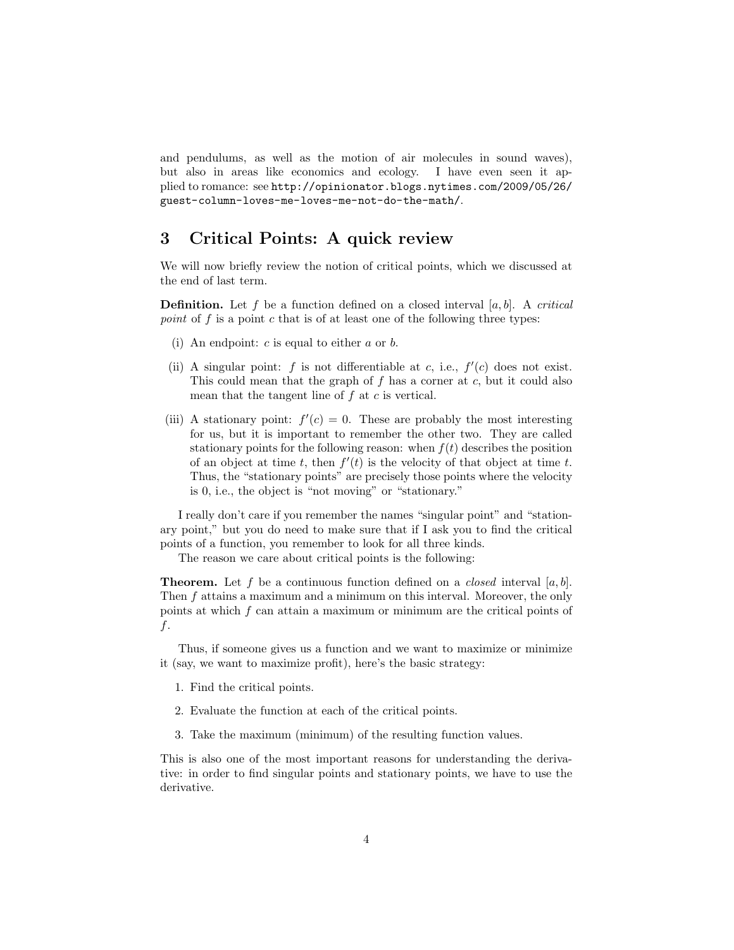and pendulums, as well as the motion of air molecules in sound waves), but also in areas like economics and ecology. I have even seen it applied to romance: see http://opinionator.blogs.nytimes.com/2009/05/26/ guest-column-loves-me-loves-me-not-do-the-math/.

#### 3 Critical Points: A quick review

We will now briefly review the notion of critical points, which we discussed at the end of last term.

**Definition.** Let f be a function defined on a closed interval  $[a, b]$ . A *critical* point of f is a point c that is of at least one of the following three types:

- (i) An endpoint:  $c$  is equal to either  $a$  or  $b$ .
- (ii) A singular point: f is not differentiable at c, i.e.,  $f'(c)$  does not exist. This could mean that the graph of  $f$  has a corner at  $c$ , but it could also mean that the tangent line of  $f$  at  $c$  is vertical.
- (iii) A stationary point:  $f'(c) = 0$ . These are probably the most interesting for us, but it is important to remember the other two. They are called stationary points for the following reason: when  $f(t)$  describes the position of an object at time t, then  $f'(t)$  is the velocity of that object at time t. Thus, the "stationary points" are precisely those points where the velocity is 0, i.e., the object is "not moving" or "stationary."

I really don't care if you remember the names "singular point" and "stationary point," but you do need to make sure that if I ask you to find the critical points of a function, you remember to look for all three kinds.

The reason we care about critical points is the following:

**Theorem.** Let f be a continuous function defined on a *closed* interval [a, b]. Then f attains a maximum and a minimum on this interval. Moreover, the only points at which f can attain a maximum or minimum are the critical points of f.

Thus, if someone gives us a function and we want to maximize or minimize it (say, we want to maximize profit), here's the basic strategy:

- 1. Find the critical points.
- 2. Evaluate the function at each of the critical points.
- 3. Take the maximum (minimum) of the resulting function values.

This is also one of the most important reasons for understanding the derivative: in order to find singular points and stationary points, we have to use the derivative.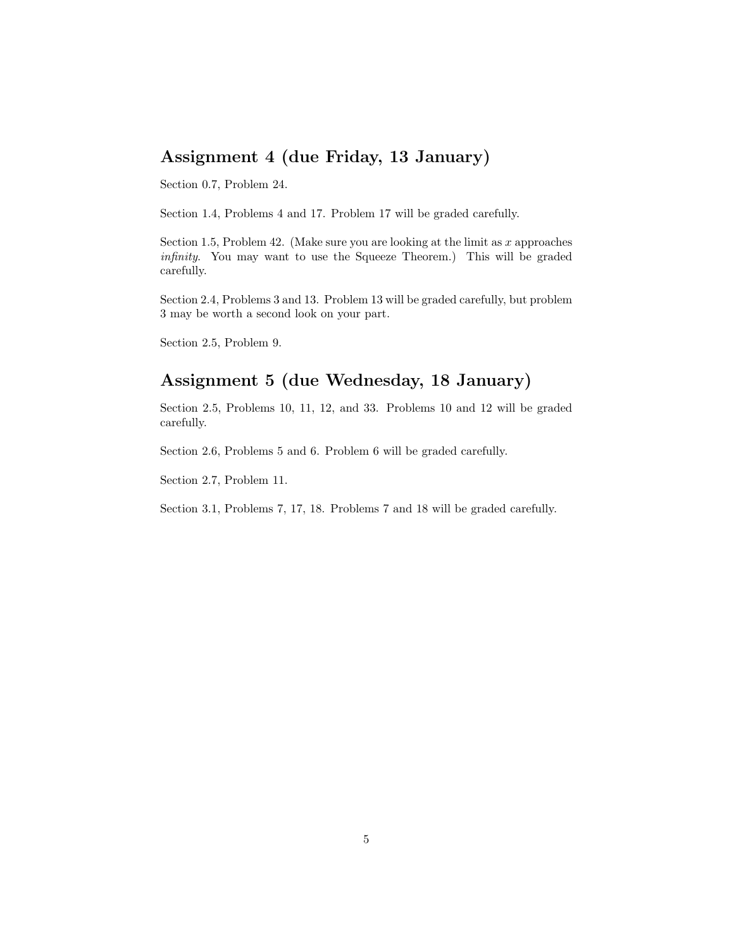### Assignment 4 (due Friday, 13 January)

Section 0.7, Problem 24.

Section 1.4, Problems 4 and 17. Problem 17 will be graded carefully.

Section 1.5, Problem 42. (Make sure you are looking at the limit as  $x$  approaches infinity. You may want to use the Squeeze Theorem.) This will be graded carefully.

Section 2.4, Problems 3 and 13. Problem 13 will be graded carefully, but problem 3 may be worth a second look on your part.

Section 2.5, Problem 9.

### Assignment 5 (due Wednesday, 18 January)

Section 2.5, Problems 10, 11, 12, and 33. Problems 10 and 12 will be graded carefully.

Section 2.6, Problems 5 and 6. Problem 6 will be graded carefully.

Section 2.7, Problem 11.

Section 3.1, Problems 7, 17, 18. Problems 7 and 18 will be graded carefully.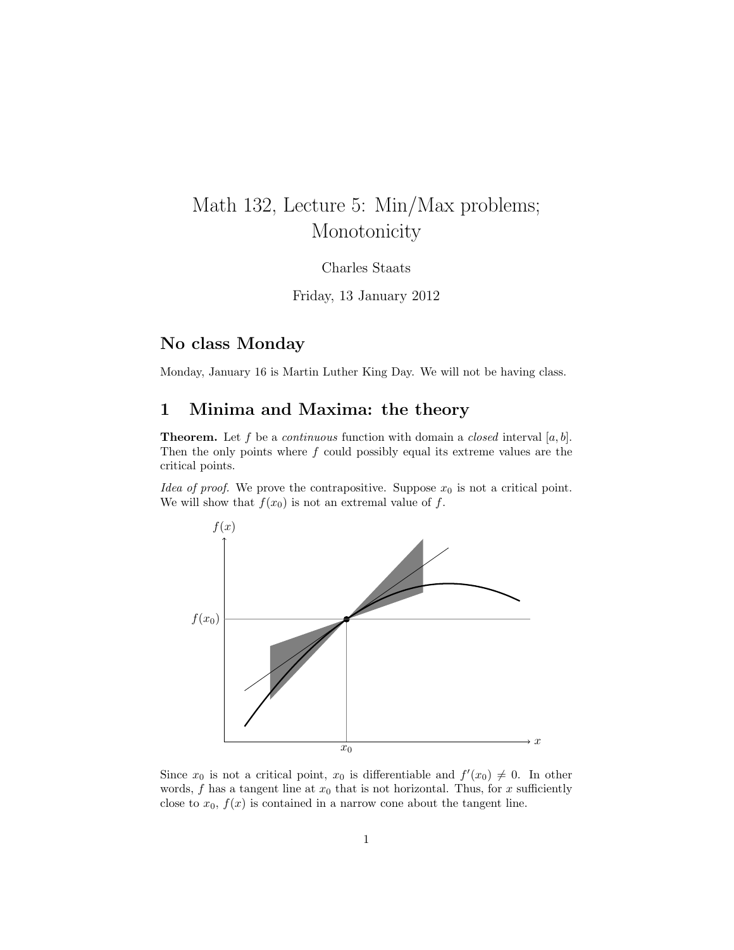# Math 132, Lecture 5: Min/Max problems; Monotonicity

Charles Staats

Friday, 13 January 2012

### No class Monday

Monday, January 16 is Martin Luther King Day. We will not be having class.

#### 1 Minima and Maxima: the theory

**Theorem.** Let f be a *continuous* function with domain a *closed* interval [a, b]. Then the only points where  $f$  could possibly equal its extreme values are the critical points.

Idea of proof. We prove the contrapositive. Suppose  $x_0$  is not a critical point. We will show that  $f(x_0)$  is not an extremal value of f.



Since  $x_0$  is not a critical point,  $x_0$  is differentiable and  $f'(x_0) \neq 0$ . In other words,  $f$  has a tangent line at  $x_0$  that is not horizontal. Thus, for  $x$  sufficiently close to  $x_0$ ,  $f(x)$  is contained in a narrow cone about the tangent line.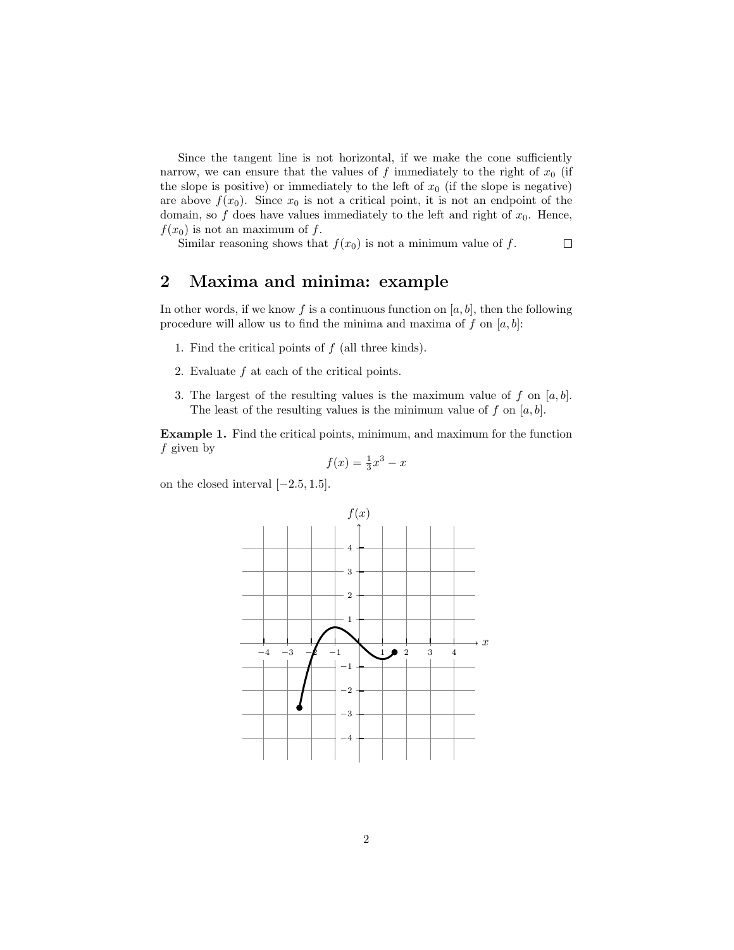Since the tangent line is not horizontal, if we make the cone sufficiently narrow, we can ensure that the values of f immediately to the right of  $x_0$  (if the slope is positive) or immediately to the left of  $x_0$  (if the slope is negative) are above  $f(x_0)$ . Since  $x_0$  is not a critical point, it is not an endpoint of the domain, so  $f$  does have values immediately to the left and right of  $x_0$ . Hence,  $f(x_0)$  is not an maximum of f.

Similar reasoning shows that  $f(x_0)$  is not a minimum value of f.  $\Box$ 

### 2 Maxima and minima: example

In other words, if we know f is a continuous function on  $[a, b]$ , then the following procedure will allow us to find the minima and maxima of f on  $[a, b]$ :

- 1. Find the critical points of  $f$  (all three kinds).
- 2. Evaluate f at each of the critical points.
- 3. The largest of the resulting values is the maximum value of f on  $[a, b]$ . The least of the resulting values is the minimum value of f on  $[a, b]$ .

Example 1. Find the critical points, minimum, and maximum for the function  $f$  given by

$$
f(x) = \frac{1}{3}x^3 - x
$$

on the closed interval  $[-2.5, 1.5]$ .

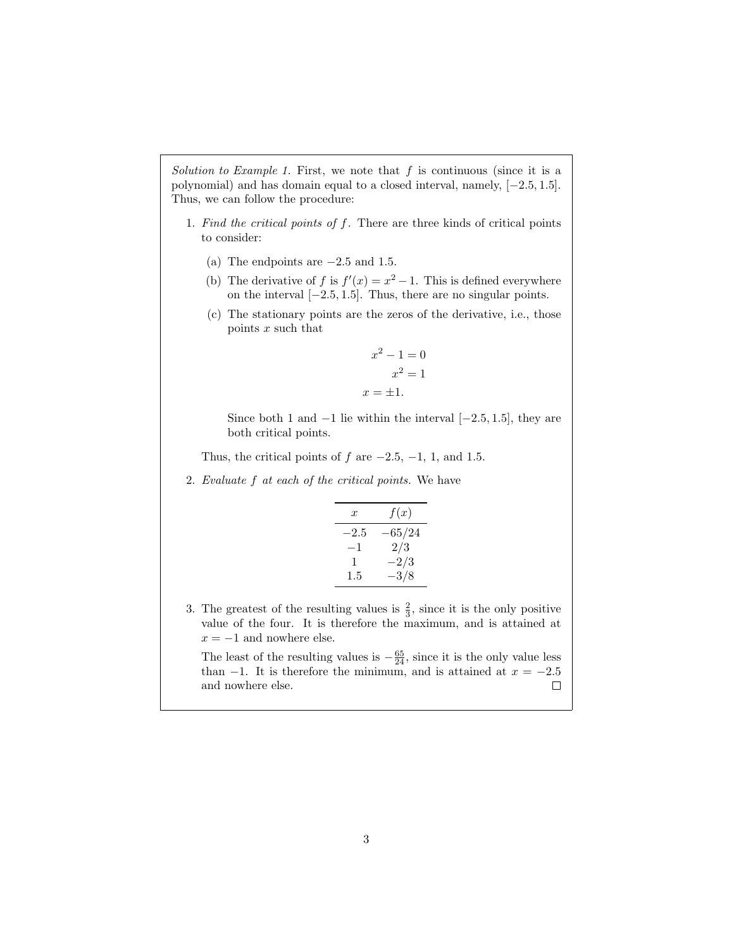Solution to Example 1. First, we note that  $f$  is continuous (since it is a polynomial) and has domain equal to a closed interval, namely, [−2.5, 1.5]. Thus, we can follow the procedure:

- 1. Find the critical points of  $f$ . There are three kinds of critical points to consider:
	- (a) The endpoints are  $-2.5$  and 1.5.
	- (b) The derivative of f is  $f'(x) = x^2 1$ . This is defined everywhere on the interval [−2.5, 1.5]. Thus, there are no singular points.
	- (c) The stationary points are the zeros of the derivative, i.e., those points  $x$  such that

$$
x^{2} - 1 = 0
$$

$$
x^{2} = 1
$$

$$
x = \pm 1.
$$

Since both 1 and  $-1$  lie within the interval  $[-2.5, 1.5]$ , they are both critical points.

Thus, the critical points of f are  $-2.5, -1, 1$ , and 1.5.

2. Evaluate f at each of the critical points. We have

| x      | f(x)   |
|--------|--------|
| $-2.5$ | 65/24  |
| $-1$   | 2/3    |
| 1      | $-2/3$ |
| 1.5    | $-3/8$ |

3. The greatest of the resulting values is  $\frac{2}{3}$ , since it is the only positive value of the four. It is therefore the maximum, and is attained at  $x = -1$  and nowhere else.

The least of the resulting values is  $-\frac{65}{24}$ , since it is the only value less than −1. It is therefore the minimum, and is attained at  $x = -2.5$  and nowhere else. and nowhere else.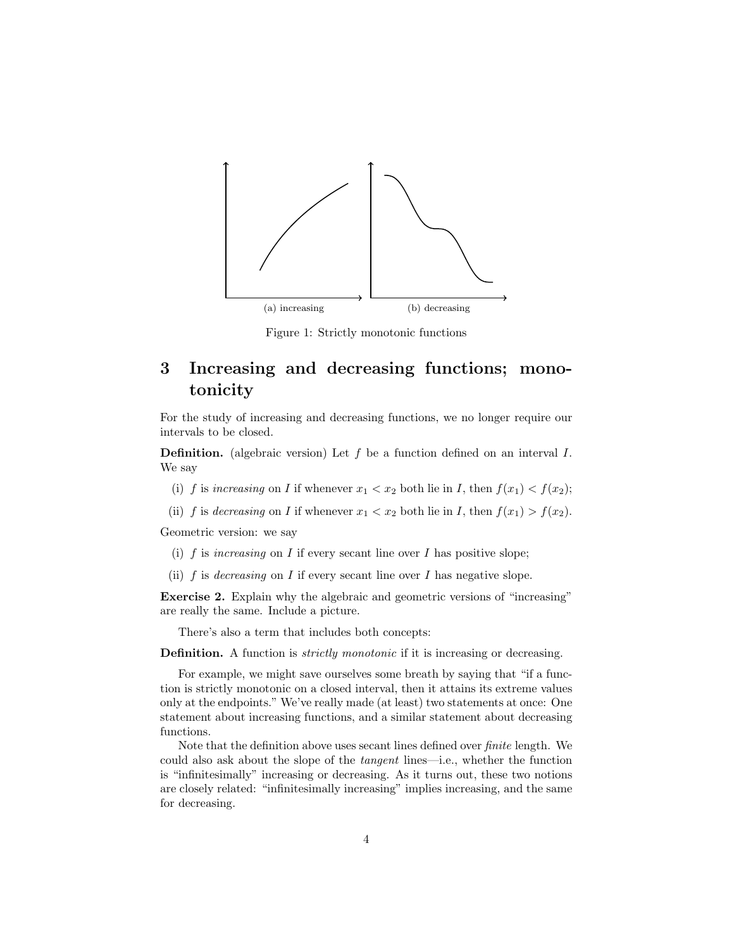

Figure 1: Strictly monotonic functions

### 3 Increasing and decreasing functions; monotonicity

For the study of increasing and decreasing functions, we no longer require our intervals to be closed.

**Definition.** (algebraic version) Let  $f$  be a function defined on an interval  $I$ . We say

- (i) f is increasing on I if whenever  $x_1 < x_2$  both lie in I, then  $f(x_1) < f(x_2)$ ;
- (ii) f is decreasing on I if whenever  $x_1 < x_2$  both lie in I, then  $f(x_1) > f(x_2)$ .

Geometric version: we say

- (i)  $f$  is increasing on  $I$  if every secant line over  $I$  has positive slope;
- (ii) f is *decreasing* on I if every secant line over I has negative slope.

Exercise 2. Explain why the algebraic and geometric versions of "increasing" are really the same. Include a picture.

There's also a term that includes both concepts:

Definition. A function is *strictly monotonic* if it is increasing or decreasing.

For example, we might save ourselves some breath by saying that "if a function is strictly monotonic on a closed interval, then it attains its extreme values only at the endpoints." We've really made (at least) two statements at once: One statement about increasing functions, and a similar statement about decreasing functions.

Note that the definition above uses secant lines defined over finite length. We could also ask about the slope of the tangent lines—i.e., whether the function is "infinitesimally" increasing or decreasing. As it turns out, these two notions are closely related: "infinitesimally increasing" implies increasing, and the same for decreasing.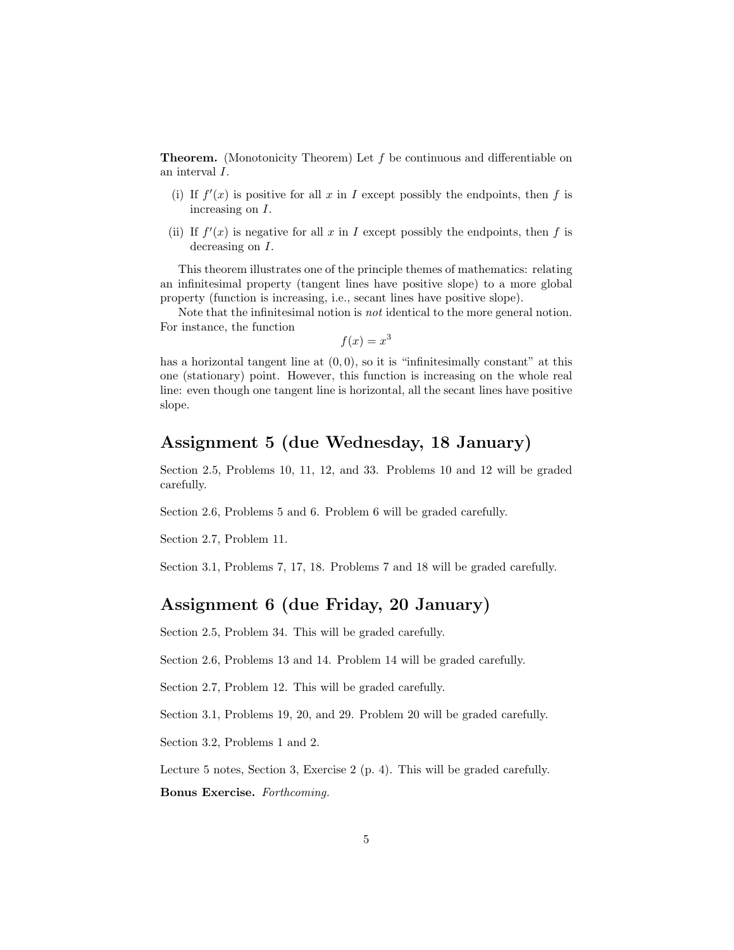**Theorem.** (Monotonicity Theorem) Let  $f$  be continuous and differentiable on an interval I.

- (i) If  $f'(x)$  is positive for all x in I except possibly the endpoints, then f is increasing on I.
- (ii) If  $f'(x)$  is negative for all x in I except possibly the endpoints, then f is decreasing on I.

This theorem illustrates one of the principle themes of mathematics: relating an infinitesimal property (tangent lines have positive slope) to a more global property (function is increasing, i.e., secant lines have positive slope).

Note that the infinitesimal notion is not identical to the more general notion. For instance, the function

 $f(x) = x^3$ 

has a horizontal tangent line at  $(0, 0)$ , so it is "infinitesimally constant" at this one (stationary) point. However, this function is increasing on the whole real line: even though one tangent line is horizontal, all the secant lines have positive slope.

#### Assignment 5 (due Wednesday, 18 January)

Section 2.5, Problems 10, 11, 12, and 33. Problems 10 and 12 will be graded carefully.

Section 2.6, Problems 5 and 6. Problem 6 will be graded carefully.

Section 2.7, Problem 11.

Section 3.1, Problems 7, 17, 18. Problems 7 and 18 will be graded carefully.

#### Assignment 6 (due Friday, 20 January)

Section 2.5, Problem 34. This will be graded carefully.

Section 2.6, Problems 13 and 14. Problem 14 will be graded carefully.

Section 2.7, Problem 12. This will be graded carefully.

Section 3.1, Problems 19, 20, and 29. Problem 20 will be graded carefully.

Section 3.2, Problems 1 and 2.

Lecture 5 notes, Section 3, Exercise 2 (p. 4). This will be graded carefully.

Bonus Exercise. Forthcoming.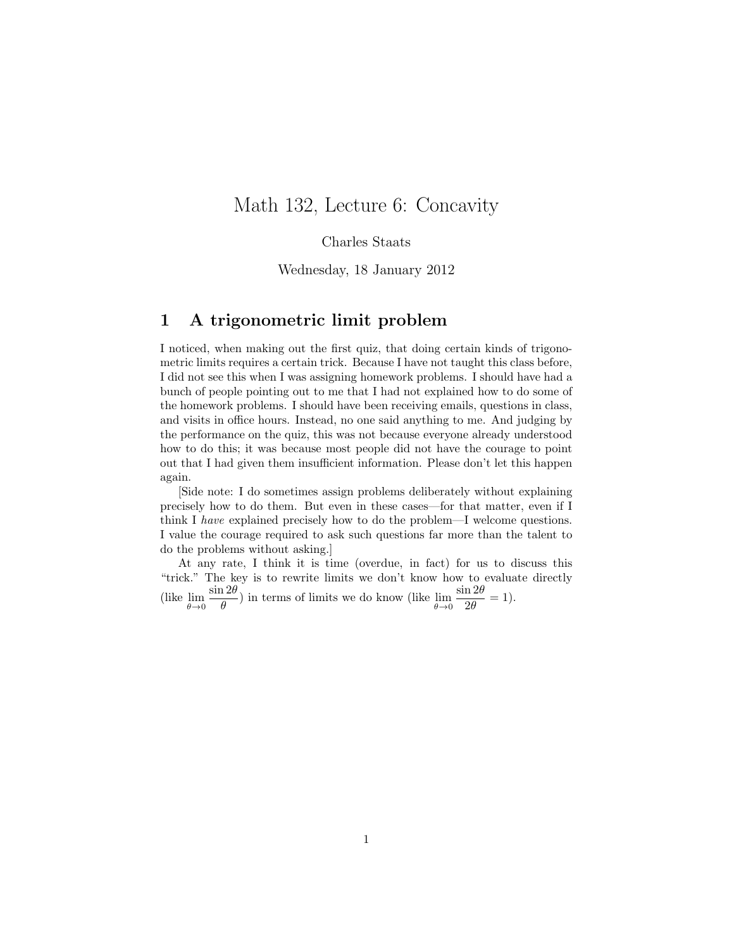### Math 132, Lecture 6: Concavity

Charles Staats

Wednesday, 18 January 2012

#### 1 A trigonometric limit problem

I noticed, when making out the first quiz, that doing certain kinds of trigonometric limits requires a certain trick. Because I have not taught this class before, I did not see this when I was assigning homework problems. I should have had a bunch of people pointing out to me that I had not explained how to do some of the homework problems. I should have been receiving emails, questions in class, and visits in office hours. Instead, no one said anything to me. And judging by the performance on the quiz, this was not because everyone already understood how to do this; it was because most people did not have the courage to point out that I had given them insufficient information. Please don't let this happen again.

[Side note: I do sometimes assign problems deliberately without explaining precisely how to do them. But even in these cases—for that matter, even if I think I have explained precisely how to do the problem—I welcome questions. I value the courage required to ask such questions far more than the talent to do the problems without asking.]

At any rate, I think it is time (overdue, in fact) for us to discuss this "trick." The key is to rewrite limits we don't know how to evaluate directly (like  $\lim_{\theta \to 0}$  $\sin 2\theta$  $\frac{120}{\theta}$ ) in terms of limits we do know (like  $\lim_{\theta \to 0}$  $\sin 2\theta$  $\frac{120}{2\theta} = 1.$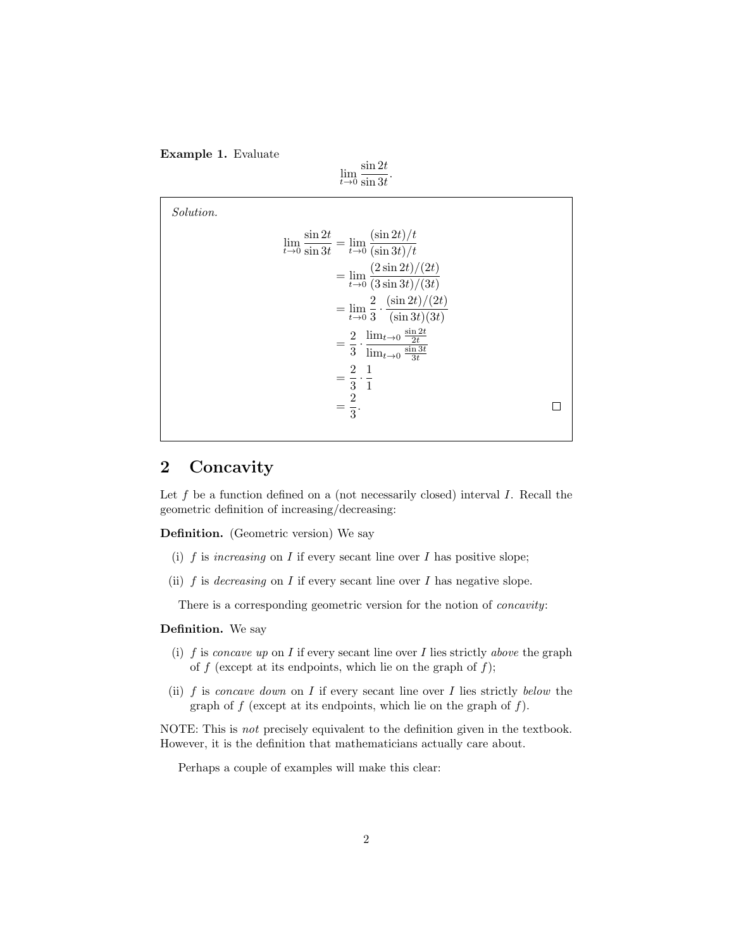

 $\lim_{t\to 0} \frac{\sin 2t}{\sin 3t}$  $\sin 3t$ .

Solution.

 $\lim_{t\to 0} \frac{\sin 2t}{\sin 3t}$  $\frac{\sin 2t}{\sin 3t} = \lim_{t \to 0} \frac{(\sin 2t)/t}{(\sin 3t)/t}$  $(\sin 3t)/t$  $=\lim_{t\to 0}\frac{(2\sin 2t)/(2t)}{(3\sin 3t)/(3t)}$  $(3 \sin 3t)/(3t)$  $=\lim_{t\to 0}\frac{2}{3}$  $(\sin 2t)/(2t)$  $\overline{3}$  .  $(\sin 3t)(3t)$  $rac{2}{3} \cdot \frac{\lim_{t \to 0} \frac{\sin 2t}{2t}}{\lim_{t \to 0} \frac{\sin 3t}{3t}}$  $=\frac{2}{2}$  $\lim_{t\to 0} \frac{\sin 3t}{3t}$  $=\frac{2}{2}$ 1  $\overline{3}$  . 1  $=\frac{2}{2}$  $\Box$  $\frac{2}{3}$ .

### 2 Concavity

Let  $f$  be a function defined on a (not necessarily closed) interval  $I$ . Recall the geometric definition of increasing/decreasing:

Definition. (Geometric version) We say

- (i) f is increasing on I if every secant line over I has positive slope;
- (ii) f is decreasing on I if every secant line over I has negative slope.

There is a corresponding geometric version for the notion of concavity:

#### Definition. We say

- (i)  $f$  is concave up on  $I$  if every secant line over  $I$  lies strictly above the graph of f (except at its endpoints, which lie on the graph of  $f$ );
- (ii)  $f$  is concave down on  $I$  if every secant line over  $I$  lies strictly below the graph of  $f$  (except at its endpoints, which lie on the graph of  $f$ ).

NOTE: This is not precisely equivalent to the definition given in the textbook. However, it is the definition that mathematicians actually care about.

Perhaps a couple of examples will make this clear: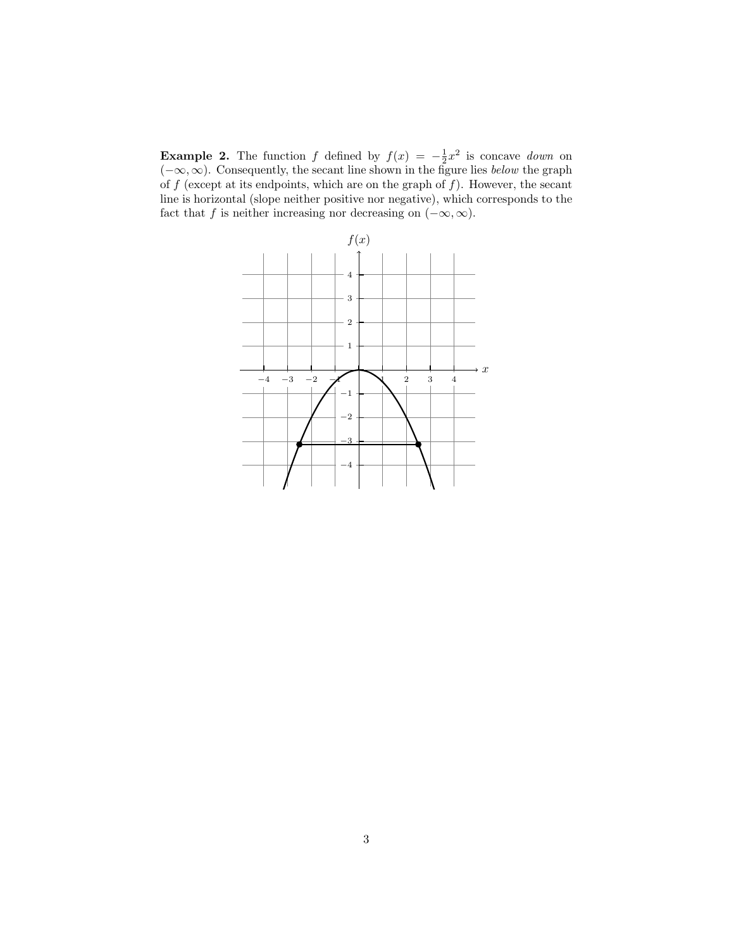**Example 2.** The function f defined by  $f(x) = -\frac{1}{2}x^2$  is concave *down* on  $(-\infty, \infty)$ . Consequently, the secant line shown in the figure lies *below* the graph of  $f$  (except at its endpoints, which are on the graph of  $f$ ). However, the secant line is horizontal (slope neither positive nor negative), which corresponds to the fact that f is neither increasing nor decreasing on  $(-\infty, \infty)$ .

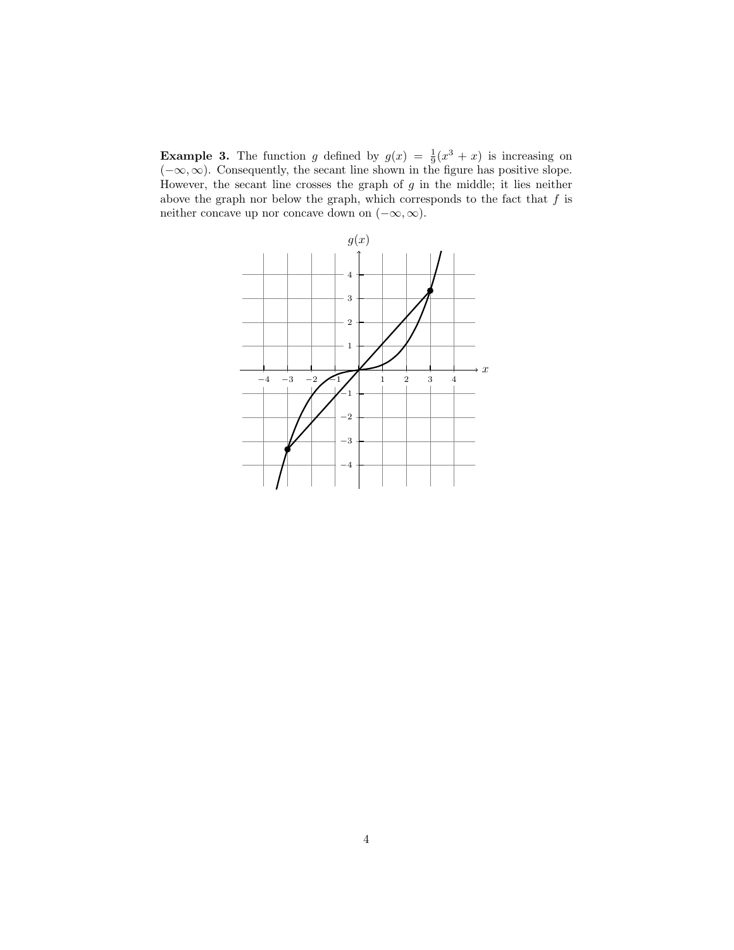**Example 3.** The function g defined by  $g(x) = \frac{1}{9}(x^3 + x)$  is increasing on  $(-\infty, \infty)$ . Consequently, the secant line shown in the figure has positive slope. However, the secant line crosses the graph of  $g$  in the middle; it lies neither above the graph nor below the graph, which corresponds to the fact that  $f$  is neither concave up nor concave down on  $(-\infty, \infty)$ .

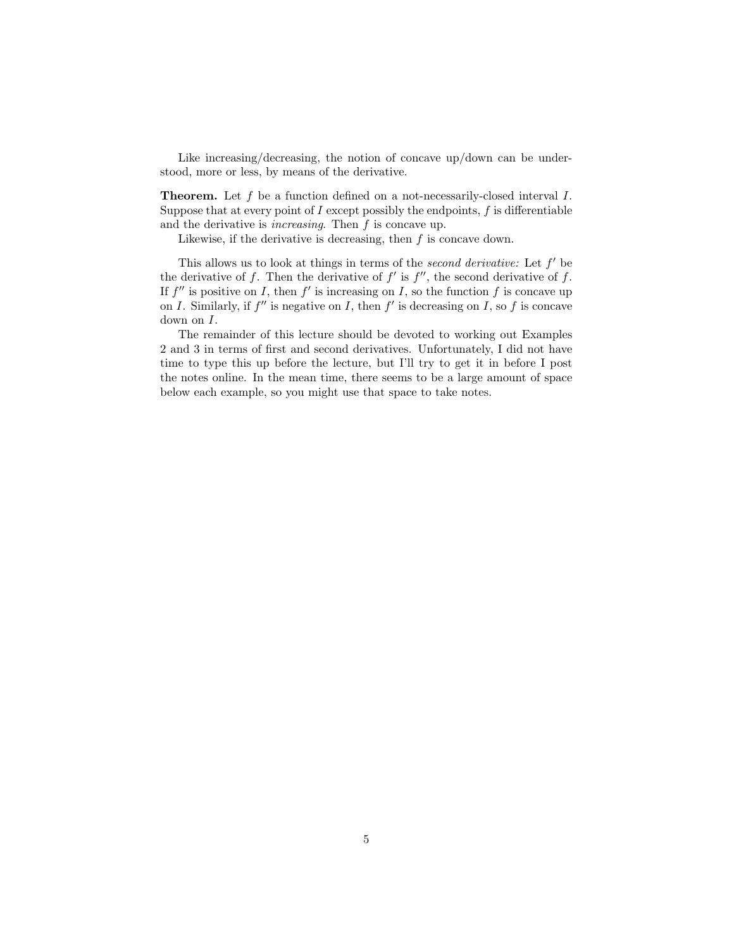Like increasing/decreasing, the notion of concave up/down can be understood, more or less, by means of the derivative.

Theorem. Let f be a function defined on a not-necessarily-closed interval I. Suppose that at every point of  $I$  except possibly the endpoints,  $f$  is differentiable and the derivative is *increasing*. Then  $f$  is concave up.

Likewise, if the derivative is decreasing, then  $f$  is concave down.

This allows us to look at things in terms of the *second derivative*: Let  $f'$  be the derivative of f. Then the derivative of  $f'$  is  $f''$ , the second derivative of f. If  $f''$  is positive on I, then  $f'$  is increasing on I, so the function f is concave up on I. Similarly, if  $f''$  is negative on I, then  $f'$  is decreasing on I, so f is concave down on I.

The remainder of this lecture should be devoted to working out Examples 2 and 3 in terms of first and second derivatives. Unfortunately, I did not have time to type this up before the lecture, but I'll try to get it in before I post the notes online. In the mean time, there seems to be a large amount of space below each example, so you might use that space to take notes.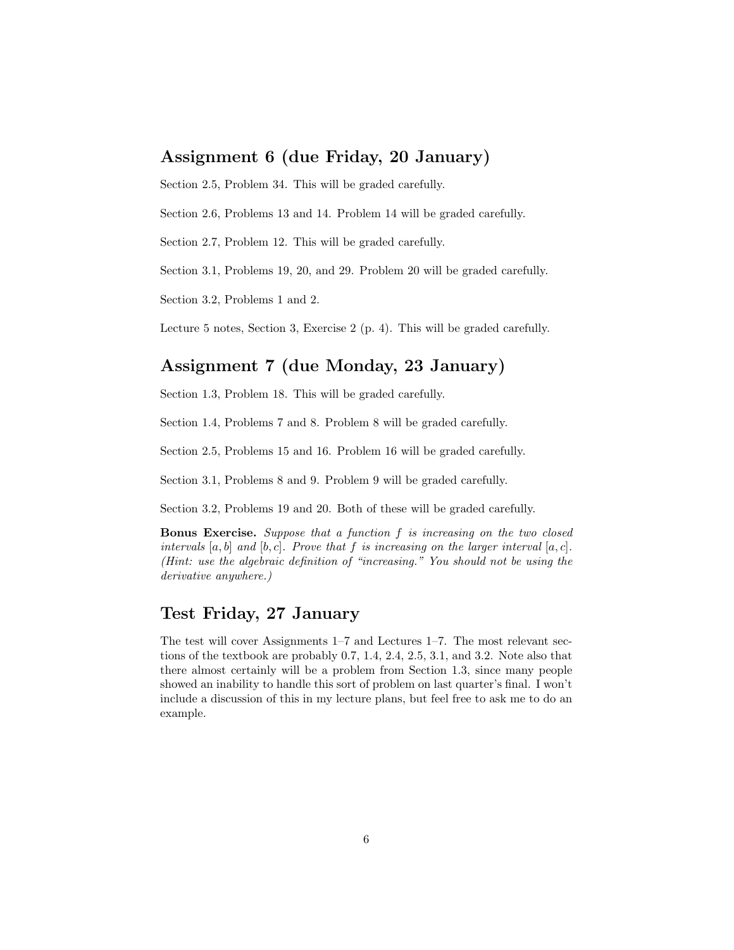#### Assignment 6 (due Friday, 20 January)

Section 2.5, Problem 34. This will be graded carefully.

Section 2.6, Problems 13 and 14. Problem 14 will be graded carefully.

Section 2.7, Problem 12. This will be graded carefully.

Section 3.1, Problems 19, 20, and 29. Problem 20 will be graded carefully.

Section 3.2, Problems 1 and 2.

Lecture 5 notes, Section 3, Exercise 2 (p. 4). This will be graded carefully.

### Assignment 7 (due Monday, 23 January)

Section 1.3, Problem 18. This will be graded carefully.

Section 1.4, Problems 7 and 8. Problem 8 will be graded carefully.

Section 2.5, Problems 15 and 16. Problem 16 will be graded carefully.

Section 3.1, Problems 8 and 9. Problem 9 will be graded carefully.

Section 3.2, Problems 19 and 20. Both of these will be graded carefully.

Bonus Exercise. Suppose that a function f is increasing on the two closed intervals  $[a, b]$  and  $[b, c]$ . Prove that f is increasing on the larger interval  $[a, c]$ . (Hint: use the algebraic definition of "increasing." You should not be using the derivative anywhere.)

### Test Friday, 27 January

The test will cover Assignments 1–7 and Lectures 1–7. The most relevant sections of the textbook are probably 0.7, 1.4, 2.4, 2.5, 3.1, and 3.2. Note also that there almost certainly will be a problem from Section 1.3, since many people showed an inability to handle this sort of problem on last quarter's final. I won't include a discussion of this in my lecture plans, but feel free to ask me to do an example.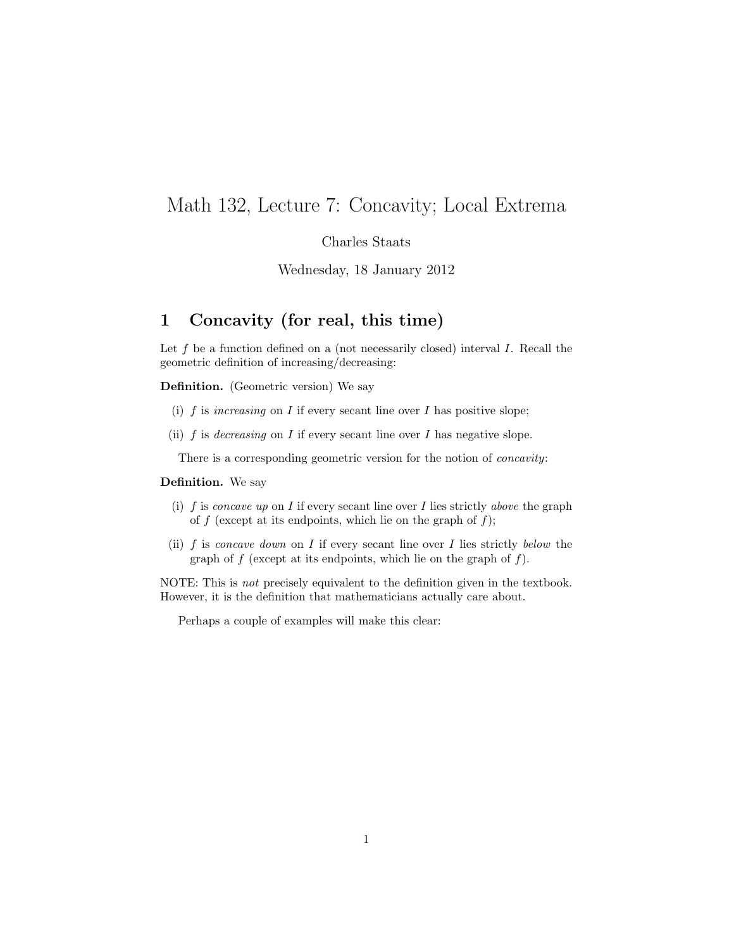## Math 132, Lecture 7: Concavity; Local Extrema

#### Charles Staats

Wednesday, 18 January 2012

#### 1 Concavity (for real, this time)

Let  $f$  be a function defined on a (not necessarily closed) interval  $I$ . Recall the geometric definition of increasing/decreasing:

Definition. (Geometric version) We say

- (i) f is increasing on I if every secant line over I has positive slope;
- (ii)  $f$  is *decreasing* on  $I$  if every secant line over  $I$  has negative slope.

There is a corresponding geometric version for the notion of concavity:

#### Definition. We say

- (i) f is concave up on I if every secant line over I lies strictly above the graph of  $f$  (except at its endpoints, which lie on the graph of  $f$ );
- (ii) f is concave down on I if every secant line over I lies strictly below the graph of  $f$  (except at its endpoints, which lie on the graph of  $f$ ).

NOTE: This is not precisely equivalent to the definition given in the textbook. However, it is the definition that mathematicians actually care about.

Perhaps a couple of examples will make this clear: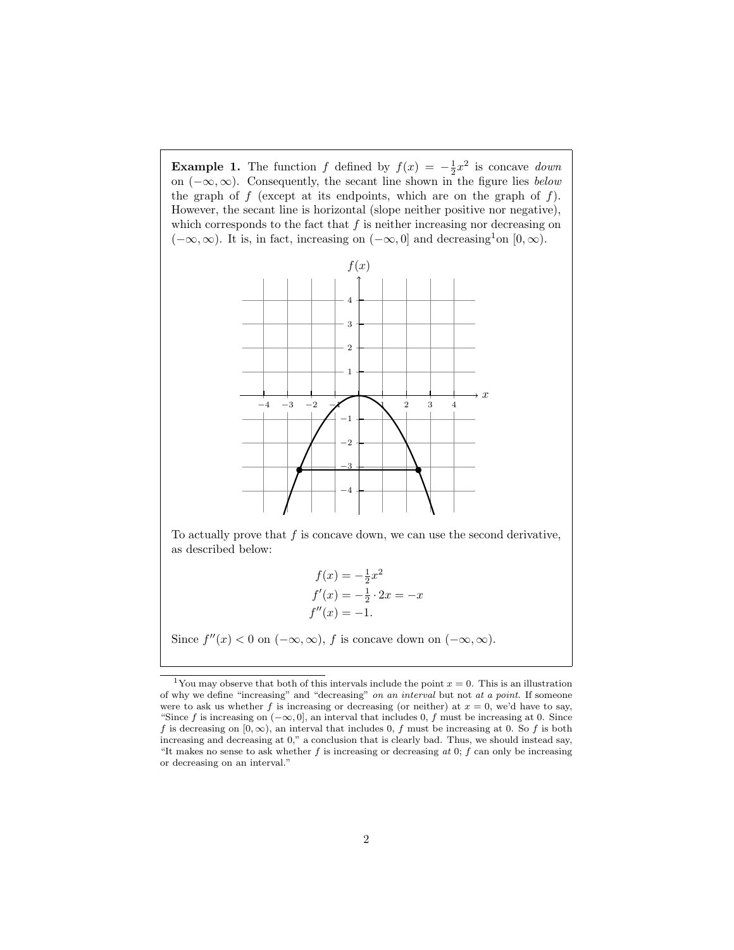**Example 1.** The function f defined by  $f(x) = -\frac{1}{2}x^2$  is concave *down* on  $(-\infty, \infty)$ . Consequently, the secant line shown in the figure lies below the graph of  $f$  (except at its endpoints, which are on the graph of  $f$ ). However, the secant line is horizontal (slope neither positive nor negative), which corresponds to the fact that  $f$  is neither increasing nor decreasing on  $(-\infty, \infty)$ . It is, in fact, increasing on  $(-\infty, 0]$  and decreasing<sup>1</sup>on  $[0, \infty)$ .



To actually prove that  $f$  is concave down, we can use the second derivative, as described below:

$$
f(x) = -\frac{1}{2}x^{2}
$$
  
\n
$$
f'(x) = -\frac{1}{2} \cdot 2x = -x
$$
  
\n
$$
f''(x) = -1.
$$

Since  $f''(x) < 0$  on  $(-\infty, \infty)$ , f is concave down on  $(-\infty, \infty)$ .

<sup>&</sup>lt;sup>1</sup>You may observe that both of this intervals include the point  $x = 0$ . This is an illustration of why we define "increasing" and "decreasing" on an interval but not at a point. If someone were to ask us whether f is increasing or decreasing (or neither) at  $x = 0$ , we'd have to say, "Since f is increasing on  $(-\infty, 0]$ , an interval that includes 0, f must be increasing at 0. Since f is decreasing on  $[0, \infty)$ , an interval that includes 0, f must be increasing at 0. So f is both increasing and decreasing at 0," a conclusion that is clearly bad. Thus, we should instead say, "It makes no sense to ask whether  $f$  is increasing or decreasing at 0;  $f$  can only be increasing or decreasing on an interval."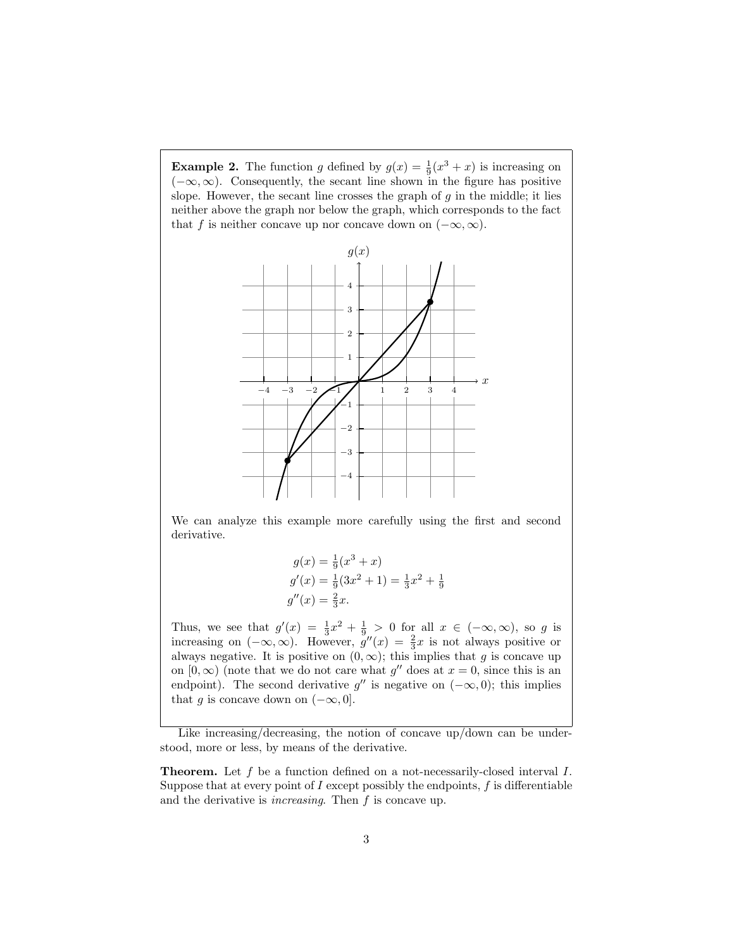**Example 2.** The function g defined by  $g(x) = \frac{1}{9}(x^3 + x)$  is increasing on  $(-\infty, \infty)$ . Consequently, the secant line shown in the figure has positive slope. However, the secant line crosses the graph of  $g$  in the middle; it lies neither above the graph nor below the graph, which corresponds to the fact that f is neither concave up nor concave down on  $(-\infty, \infty)$ .



We can analyze this example more carefully using the first and second derivative.

$$
g(x) = \frac{1}{9}(x^3 + x)
$$
  
\n
$$
g'(x) = \frac{1}{9}(3x^2 + 1) = \frac{1}{3}x^2 + \frac{1}{9}
$$
  
\n
$$
g''(x) = \frac{2}{3}x.
$$

Thus, we see that  $g'(x) = \frac{1}{3}x^2 + \frac{1}{9} > 0$  for all  $x \in (-\infty, \infty)$ , so g is increasing on  $(-\infty,\infty)$ . However,  $g''(x) = \frac{2}{3}x$  is not always positive or always negative. It is positive on  $(0, \infty)$ ; this implies that g is concave up on  $[0, \infty)$  (note that we do not care what g'' does at  $x = 0$ , since this is an endpoint). The second derivative  $g''$  is negative on  $(-\infty, 0)$ ; this implies that g is concave down on  $(-\infty, 0]$ .

Like increasing/decreasing, the notion of concave up/down can be understood, more or less, by means of the derivative.

Theorem. Let f be a function defined on a not-necessarily-closed interval I. Suppose that at every point of  $I$  except possibly the endpoints,  $f$  is differentiable and the derivative is increasing. Then f is concave up.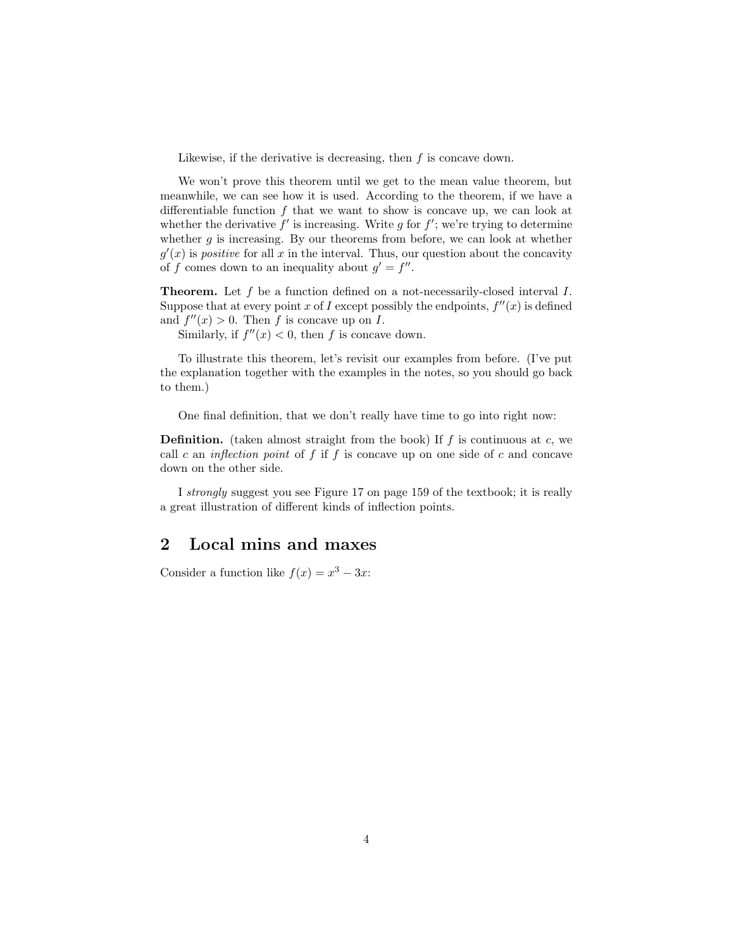Likewise, if the derivative is decreasing, then  $f$  is concave down.

We won't prove this theorem until we get to the mean value theorem, but meanwhile, we can see how it is used. According to the theorem, if we have a differentiable function  $f$  that we want to show is concave up, we can look at whether the derivative  $f'$  is increasing. Write g for  $f'$ ; we're trying to determine whether  $q$  is increasing. By our theorems from before, we can look at whether  $g'(x)$  is *positive* for all x in the interval. Thus, our question about the concavity of f comes down to an inequality about  $g' = f''$ .

**Theorem.** Let  $f$  be a function defined on a not-necessarily-closed interval  $I$ . Suppose that at every point x of I except possibly the endpoints,  $f''(x)$  is defined and  $f''(x) > 0$ . Then f is concave up on I.

Similarly, if  $f''(x) < 0$ , then f is concave down.

To illustrate this theorem, let's revisit our examples from before. (I've put the explanation together with the examples in the notes, so you should go back to them.)

One final definition, that we don't really have time to go into right now:

**Definition.** (taken almost straight from the book) If  $f$  is continuous at  $c$ , we call c an inflection point of  $f$  if  $f$  is concave up on one side of  $c$  and concave down on the other side.

I strongly suggest you see Figure 17 on page 159 of the textbook; it is really a great illustration of different kinds of inflection points.

#### 2 Local mins and maxes

Consider a function like  $f(x) = x^3 - 3x$ :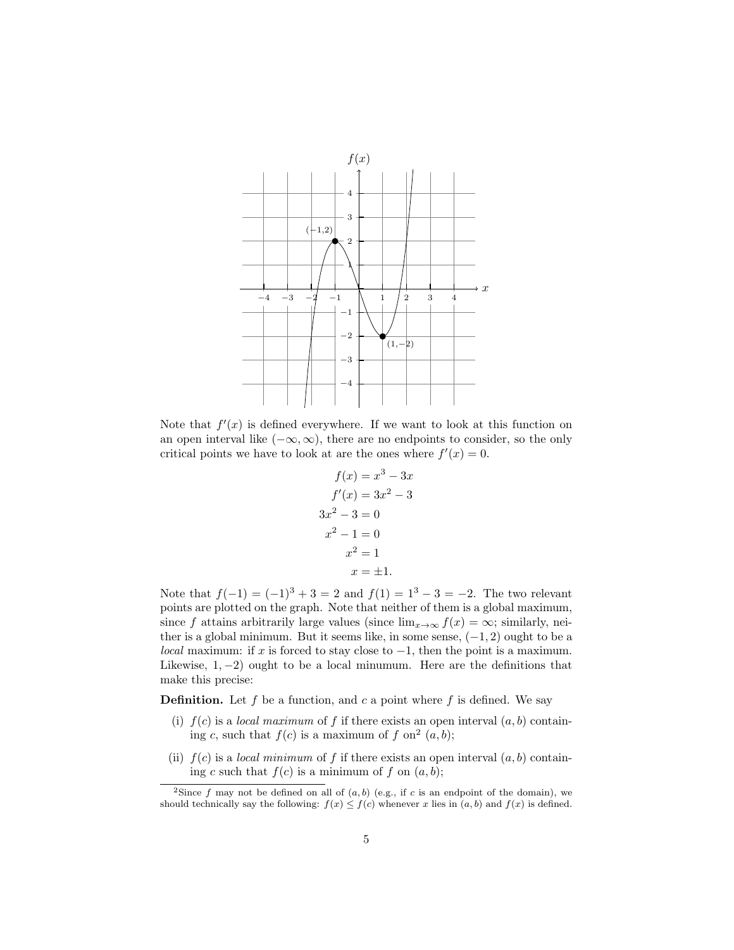

Note that  $f'(x)$  is defined everywhere. If we want to look at this function on an open interval like  $(-\infty, \infty)$ , there are no endpoints to consider, so the only critical points we have to look at are the ones where  $f'(x) = 0$ .

$$
f(x) = x3 - 3x
$$

$$
f'(x) = 3x2 - 3
$$

$$
3x2 - 3 = 0
$$

$$
x2 - 1 = 0
$$

$$
x2 = 1
$$

$$
x = \pm 1.
$$

Note that  $f(-1) = (-1)^3 + 3 = 2$  and  $f(1) = 1^3 - 3 = -2$ . The two relevant points are plotted on the graph. Note that neither of them is a global maximum, since f attains arbitrarily large values (since  $\lim_{x\to\infty} f(x) = \infty$ ; similarly, neither is a global minimum. But it seems like, in some sense,  $(-1, 2)$  ought to be a local maximum: if x is forced to stay close to  $-1$ , then the point is a maximum. Likewise,  $1, -2$ ) ought to be a local minumum. Here are the definitions that make this precise:

**Definition.** Let f be a function, and c a point where f is defined. We say

- (i)  $f(c)$  is a *local maximum* of f if there exists an open interval  $(a, b)$  containing c, such that  $f(c)$  is a maximum of f on<sup>2</sup>  $(a, b)$ ;
- (ii)  $f(c)$  is a *local minimum* of f if there exists an open interval  $(a, b)$  containing c such that  $f(c)$  is a minimum of f on  $(a, b)$ ;

<sup>&</sup>lt;sup>2</sup>Since f may not be defined on all of  $(a, b)$  (e.g., if c is an endpoint of the domain), we should technically say the following:  $f(x) \leq f(c)$  whenever x lies in  $(a, b)$  and  $f(x)$  is defined.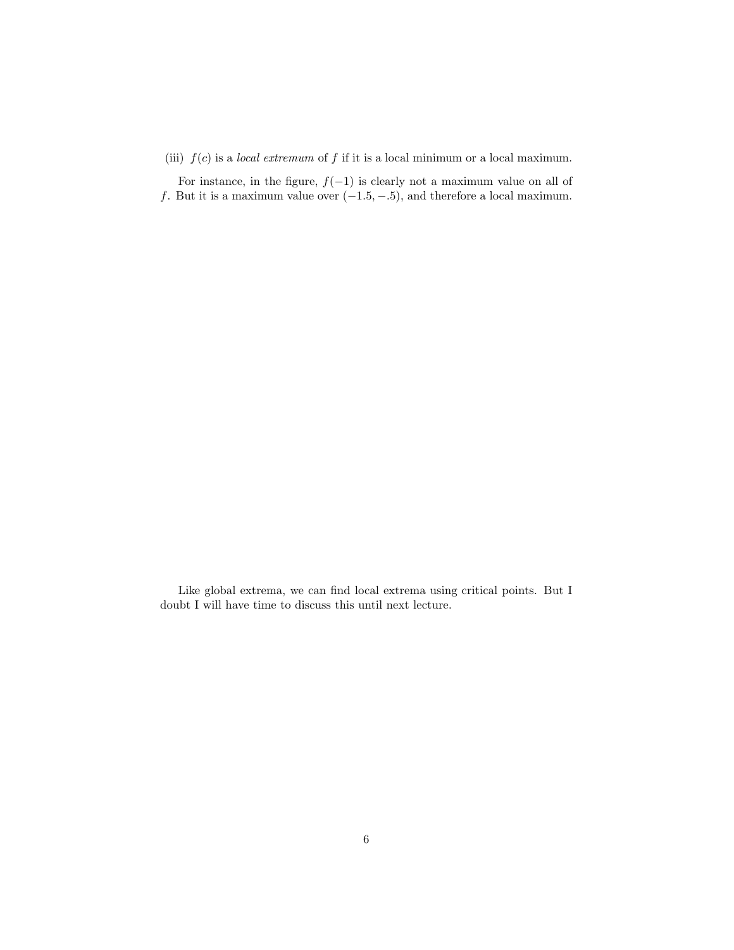(iii)  $f(c)$  is a *local extremum* of f if it is a local minimum or a local maximum.

For instance, in the figure,  $f(-1)$  is clearly not a maximum value on all of f. But it is a maximum value over  $(-1.5, -.5)$ , and therefore a local maximum.

Like global extrema, we can find local extrema using critical points. But I doubt I will have time to discuss this until next lecture.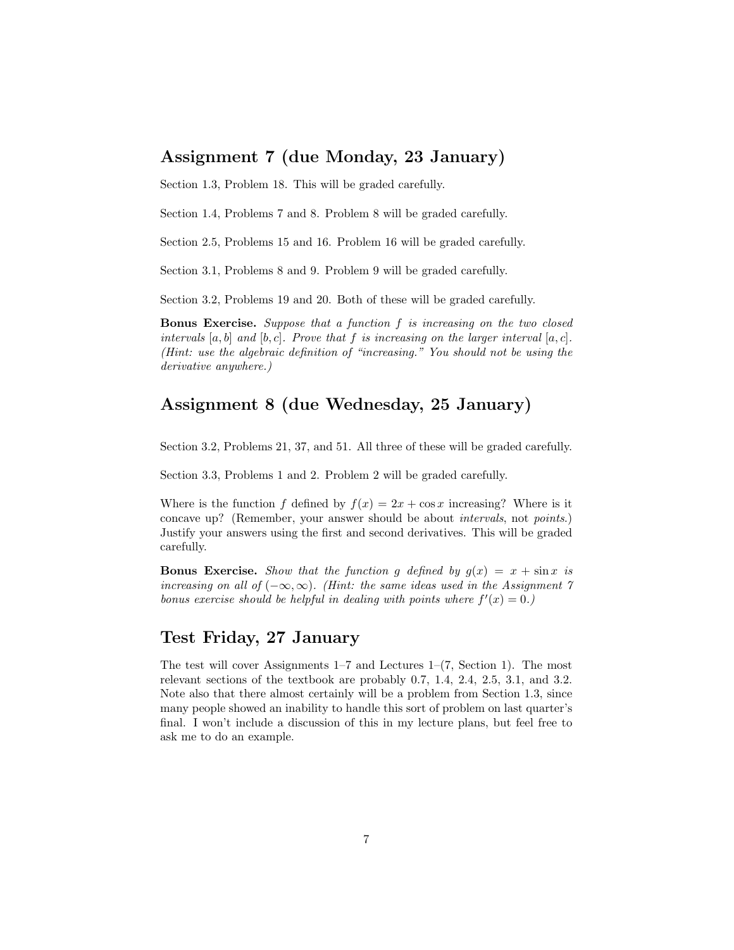### Assignment 7 (due Monday, 23 January)

Section 1.3, Problem 18. This will be graded carefully.

Section 1.4, Problems 7 and 8. Problem 8 will be graded carefully.

Section 2.5, Problems 15 and 16. Problem 16 will be graded carefully.

Section 3.1, Problems 8 and 9. Problem 9 will be graded carefully.

Section 3.2, Problems 19 and 20. Both of these will be graded carefully.

Bonus Exercise. Suppose that a function f is increasing on the two closed intervals  $[a, b]$  and  $[b, c]$ . Prove that f is increasing on the larger interval  $[a, c]$ . (Hint: use the algebraic definition of "increasing." You should not be using the derivative anywhere.)

#### Assignment 8 (due Wednesday, 25 January)

Section 3.2, Problems 21, 37, and 51. All three of these will be graded carefully.

Section 3.3, Problems 1 and 2. Problem 2 will be graded carefully.

Where is the function f defined by  $f(x) = 2x + \cos x$  increasing? Where is it concave up? (Remember, your answer should be about intervals, not points.) Justify your answers using the first and second derivatives. This will be graded carefully.

**Bonus Exercise.** Show that the function g defined by  $g(x) = x + \sin x$  is increasing on all of  $(-\infty, \infty)$ . (Hint: the same ideas used in the Assignment 7) bonus exercise should be helpful in dealing with points where  $f'(x) = 0$ .

#### Test Friday, 27 January

The test will cover Assignments 1–7 and Lectures 1–(7, Section 1). The most relevant sections of the textbook are probably 0.7, 1.4, 2.4, 2.5, 3.1, and 3.2. Note also that there almost certainly will be a problem from Section 1.3, since many people showed an inability to handle this sort of problem on last quarter's final. I won't include a discussion of this in my lecture plans, but feel free to ask me to do an example.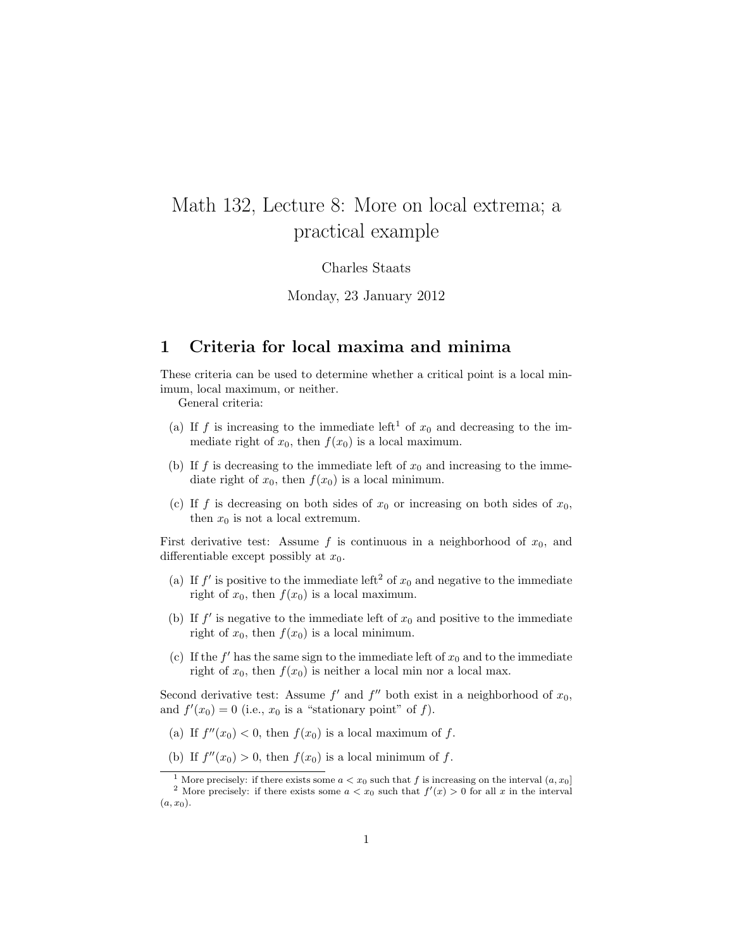# Math 132, Lecture 8: More on local extrema; a practical example

#### Charles Staats

Monday, 23 January 2012

#### 1 Criteria for local maxima and minima

These criteria can be used to determine whether a critical point is a local minimum, local maximum, or neither.

General criteria:

- (a) If f is increasing to the immediate left<sup>1</sup> of  $x_0$  and decreasing to the immediate right of  $x_0$ , then  $f(x_0)$  is a local maximum.
- (b) If f is decreasing to the immediate left of  $x_0$  and increasing to the immediate right of  $x_0$ , then  $f(x_0)$  is a local minimum.
- (c) If f is decreasing on both sides of  $x_0$  or increasing on both sides of  $x_0$ , then  $x_0$  is not a local extremum.

First derivative test: Assume f is continuous in a neighborhood of  $x_0$ , and differentiable except possibly at  $x_0$ .

- (a) If  $f'$  is positive to the immediate left<sup>2</sup> of  $x_0$  and negative to the immediate right of  $x_0$ , then  $f(x_0)$  is a local maximum.
- (b) If  $f'$  is negative to the immediate left of  $x_0$  and positive to the immediate right of  $x_0$ , then  $f(x_0)$  is a local minimum.
- (c) If the  $f'$  has the same sign to the immediate left of  $x_0$  and to the immediate right of  $x_0$ , then  $f(x_0)$  is neither a local min nor a local max.

Second derivative test: Assume  $f'$  and  $f''$  both exist in a neighborhood of  $x_0$ , and  $f'(x_0) = 0$  (i.e.,  $x_0$  is a "stationary point" of f).

(a) If  $f''(x_0) < 0$ , then  $f(x_0)$  is a local maximum of f.

(b) If  $f''(x_0) > 0$ , then  $f(x_0)$  is a local minimum of f.

<sup>&</sup>lt;sup>1</sup> More precisely: if there exists some  $a < x_0$  such that f is increasing on the interval  $(a, x_0]$ <sup>2</sup> More precisely: if there exists some  $a < x_0$  such that  $f'(x) > 0$  for all x in the interval  $(a, x_0).$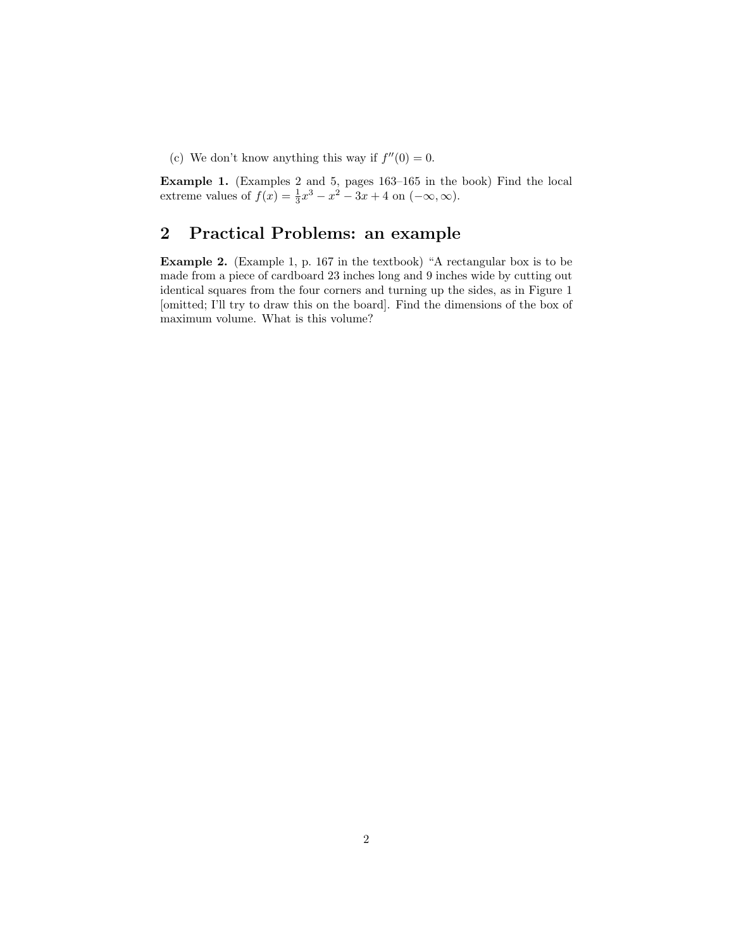(c) We don't know anything this way if  $f''(0) = 0$ .

Example 1. (Examples 2 and 5, pages 163–165 in the book) Find the local extreme values of  $f(x) = \frac{1}{3}x^3 - x^2 - 3x + 4$  on  $(-\infty, \infty)$ .

## 2 Practical Problems: an example

Example 2. (Example 1, p. 167 in the textbook) "A rectangular box is to be made from a piece of cardboard 23 inches long and 9 inches wide by cutting out identical squares from the four corners and turning up the sides, as in Figure 1 [omitted; I'll try to draw this on the board]. Find the dimensions of the box of maximum volume. What is this volume?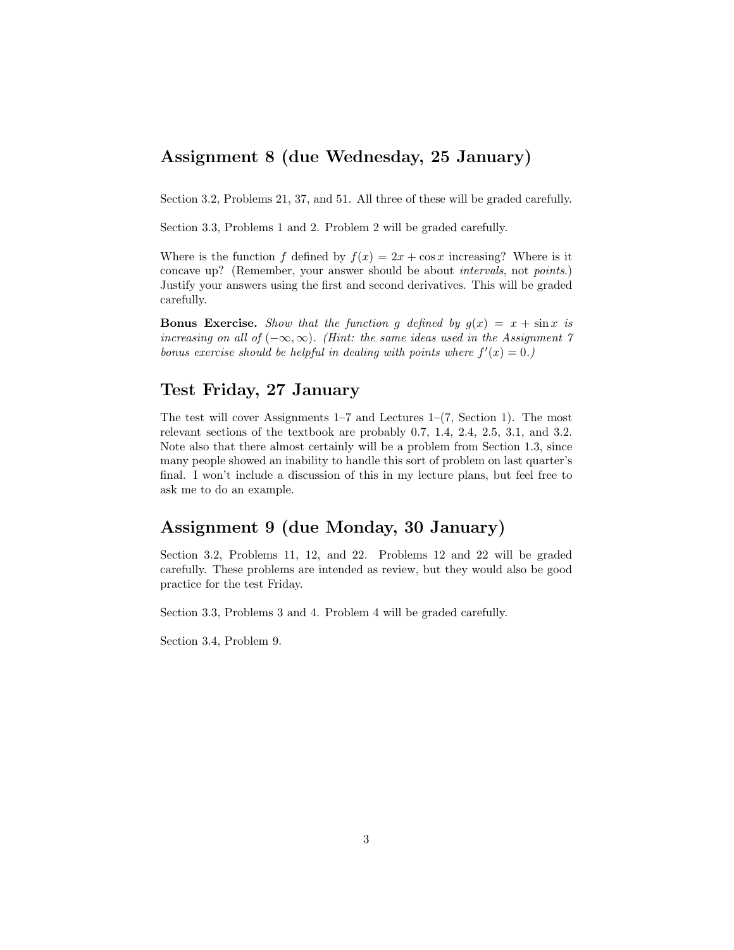## Assignment 8 (due Wednesday, 25 January)

Section 3.2, Problems 21, 37, and 51. All three of these will be graded carefully.

Section 3.3, Problems 1 and 2. Problem 2 will be graded carefully.

Where is the function f defined by  $f(x) = 2x + \cos x$  increasing? Where is it concave up? (Remember, your answer should be about intervals, not points.) Justify your answers using the first and second derivatives. This will be graded carefully.

**Bonus Exercise.** Show that the function g defined by  $g(x) = x + \sin x$  is increasing on all of  $(-\infty, \infty)$ . (Hint: the same ideas used in the Assignment 7) bonus exercise should be helpful in dealing with points where  $f'(x) = 0$ .

#### Test Friday, 27 January

The test will cover Assignments  $1-7$  and Lectures  $1-(7, Section 1)$ . The most relevant sections of the textbook are probably 0.7, 1.4, 2.4, 2.5, 3.1, and 3.2. Note also that there almost certainly will be a problem from Section 1.3, since many people showed an inability to handle this sort of problem on last quarter's final. I won't include a discussion of this in my lecture plans, but feel free to ask me to do an example.

## Assignment 9 (due Monday, 30 January)

Section 3.2, Problems 11, 12, and 22. Problems 12 and 22 will be graded carefully. These problems are intended as review, but they would also be good practice for the test Friday.

Section 3.3, Problems 3 and 4. Problem 4 will be graded carefully.

Section 3.4, Problem 9.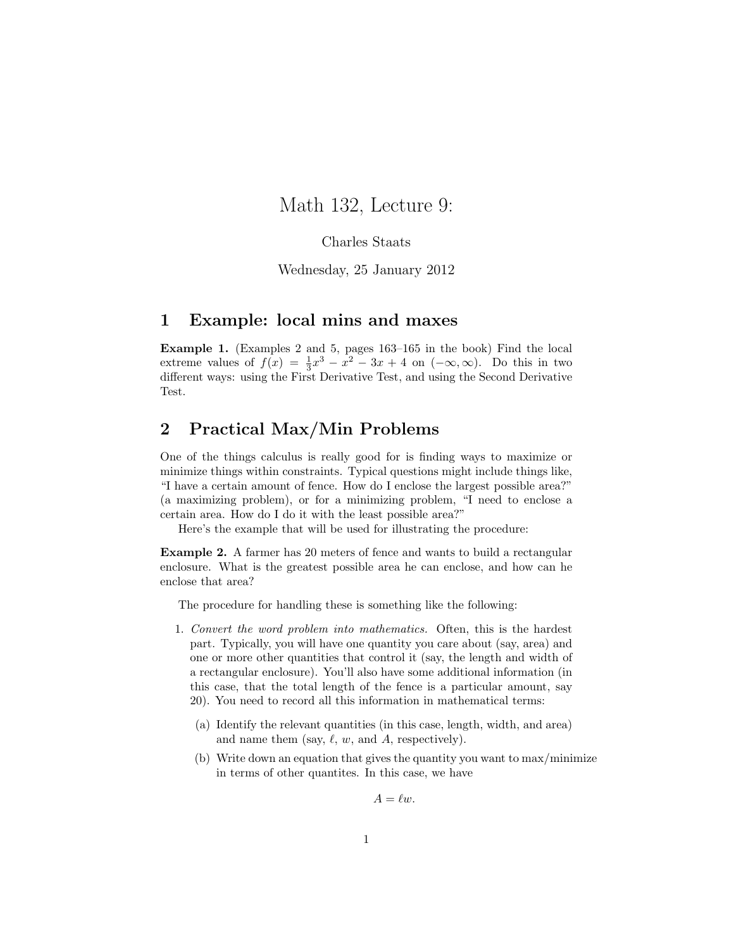## Math 132, Lecture 9:

#### Charles Staats

Wednesday, 25 January 2012

#### 1 Example: local mins and maxes

Example 1. (Examples 2 and 5, pages 163–165 in the book) Find the local extreme values of  $f(x) = \frac{1}{3}x^3 - x^2 - 3x + 4$  on  $(-\infty, \infty)$ . Do this in two different ways: using the First Derivative Test, and using the Second Derivative Test.

### 2 Practical Max/Min Problems

One of the things calculus is really good for is finding ways to maximize or minimize things within constraints. Typical questions might include things like, "I have a certain amount of fence. How do I enclose the largest possible area?" (a maximizing problem), or for a minimizing problem, "I need to enclose a certain area. How do I do it with the least possible area?"

Here's the example that will be used for illustrating the procedure:

Example 2. A farmer has 20 meters of fence and wants to build a rectangular enclosure. What is the greatest possible area he can enclose, and how can he enclose that area?

The procedure for handling these is something like the following:

- 1. Convert the word problem into mathematics. Often, this is the hardest part. Typically, you will have one quantity you care about (say, area) and one or more other quantities that control it (say, the length and width of a rectangular enclosure). You'll also have some additional information (in this case, that the total length of the fence is a particular amount, say 20). You need to record all this information in mathematical terms:
	- (a) Identify the relevant quantities (in this case, length, width, and area) and name them (say,  $\ell$ ,  $w$ , and  $A$ , respectively).
	- (b) Write down an equation that gives the quantity you want to max/minimize in terms of other quantites. In this case, we have

$$
A = \ell w.
$$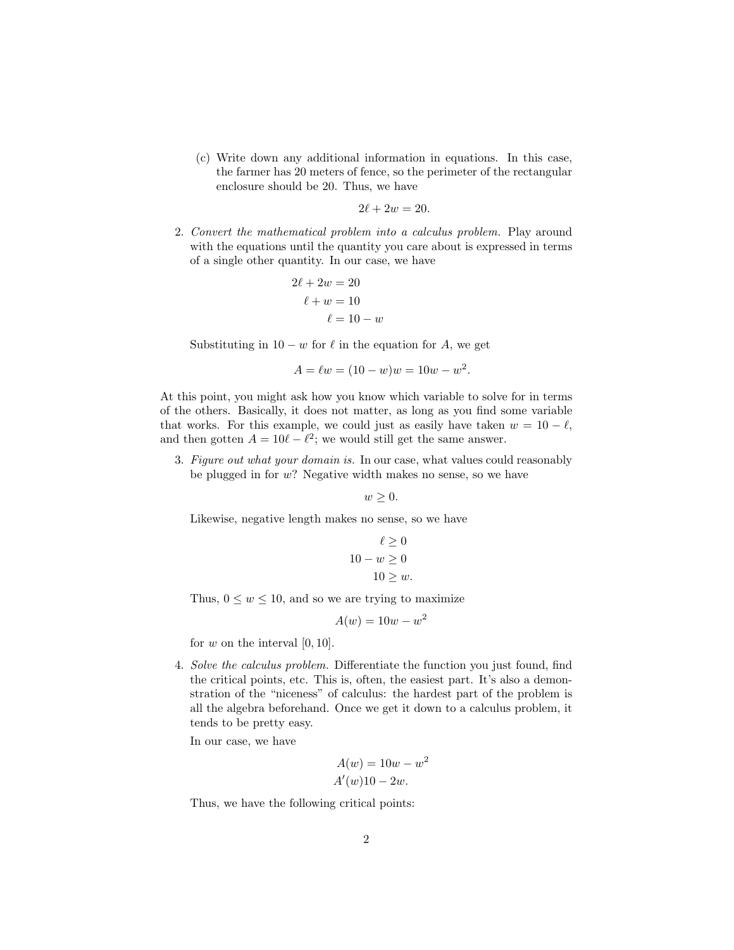(c) Write down any additional information in equations. In this case, the farmer has 20 meters of fence, so the perimeter of the rectangular enclosure should be 20. Thus, we have

$$
2\ell + 2w = 20.
$$

2. Convert the mathematical problem into a calculus problem. Play around with the equations until the quantity you care about is expressed in terms of a single other quantity. In our case, we have

$$
2\ell + 2w = 20
$$

$$
\ell + w = 10
$$

$$
\ell = 10 - w
$$

Substituting in  $10 - w$  for  $\ell$  in the equation for A, we get

$$
A = \ell w = (10 - w)w = 10w - w^2.
$$

At this point, you might ask how you know which variable to solve for in terms of the others. Basically, it does not matter, as long as you find some variable that works. For this example, we could just as easily have taken  $w = 10 - \ell$ , and then gotten  $A = 10\ell - \ell^2$ ; we would still get the same answer.

3. Figure out what your domain is. In our case, what values could reasonably be plugged in for  $w$ ? Negative width makes no sense, so we have

 $w > 0$ .

Likewise, negative length makes no sense, so we have

$$
\ell \ge 0
$$
  

$$
10 - w \ge 0
$$
  

$$
10 \ge w.
$$

Thus,  $0 \leq w \leq 10$ , and so we are trying to maximize

$$
A(w) = 10w - w^2
$$

for  $w$  on the interval  $[0, 10]$ .

4. Solve the calculus problem. Differentiate the function you just found, find the critical points, etc. This is, often, the easiest part. It's also a demonstration of the "niceness" of calculus: the hardest part of the problem is all the algebra beforehand. Once we get it down to a calculus problem, it tends to be pretty easy.

In our case, we have

$$
A(w) = 10w - w2
$$

$$
A'(w)10 - 2w.
$$

Thus, we have the following critical points: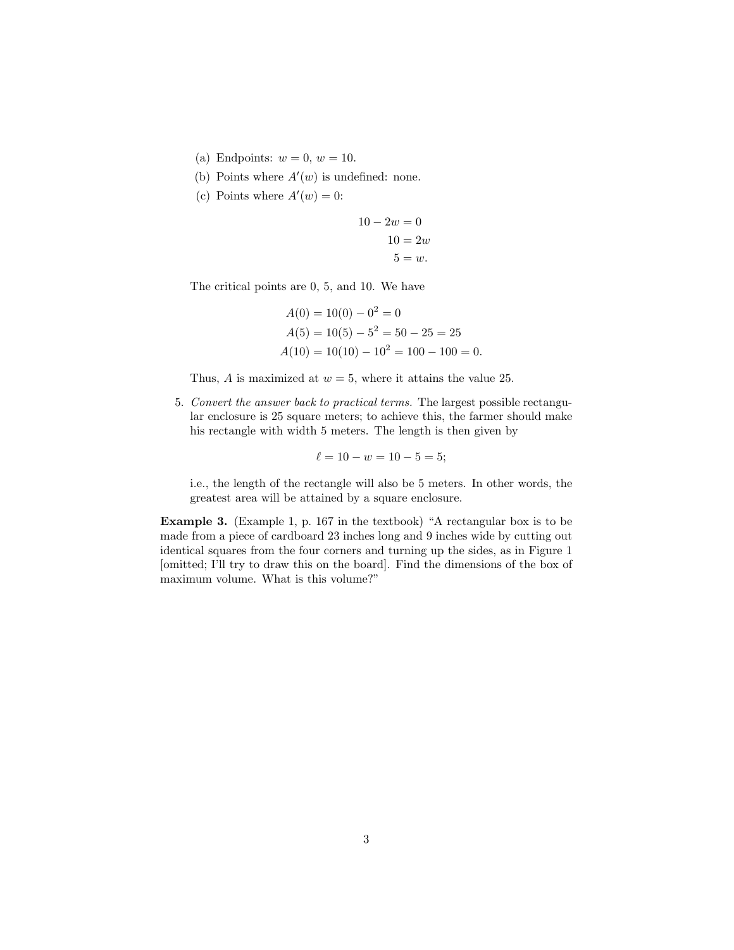- (a) Endpoints:  $w = 0$ ,  $w = 10$ .
- (b) Points where  $A'(w)$  is undefined: none.
- (c) Points where  $A'(w) = 0$ :

$$
10 - 2w = 0
$$

$$
10 = 2w
$$

$$
5 = w.
$$

The critical points are 0, 5, and 10. We have

$$
A(0) = 10(0) - 02 = 0
$$
  
\n
$$
A(5) = 10(5) - 52 = 50 - 25 = 25
$$
  
\n
$$
A(10) = 10(10) - 102 = 100 - 100 = 0.
$$

Thus, A is maximized at  $w = 5$ , where it attains the value 25.

5. Convert the answer back to practical terms. The largest possible rectangular enclosure is 25 square meters; to achieve this, the farmer should make his rectangle with width 5 meters. The length is then given by

$$
\ell = 10 - w = 10 - 5 = 5;
$$

i.e., the length of the rectangle will also be 5 meters. In other words, the greatest area will be attained by a square enclosure.

Example 3. (Example 1, p. 167 in the textbook) "A rectangular box is to be made from a piece of cardboard 23 inches long and 9 inches wide by cutting out identical squares from the four corners and turning up the sides, as in Figure 1 [omitted; I'll try to draw this on the board]. Find the dimensions of the box of maximum volume. What is this volume?"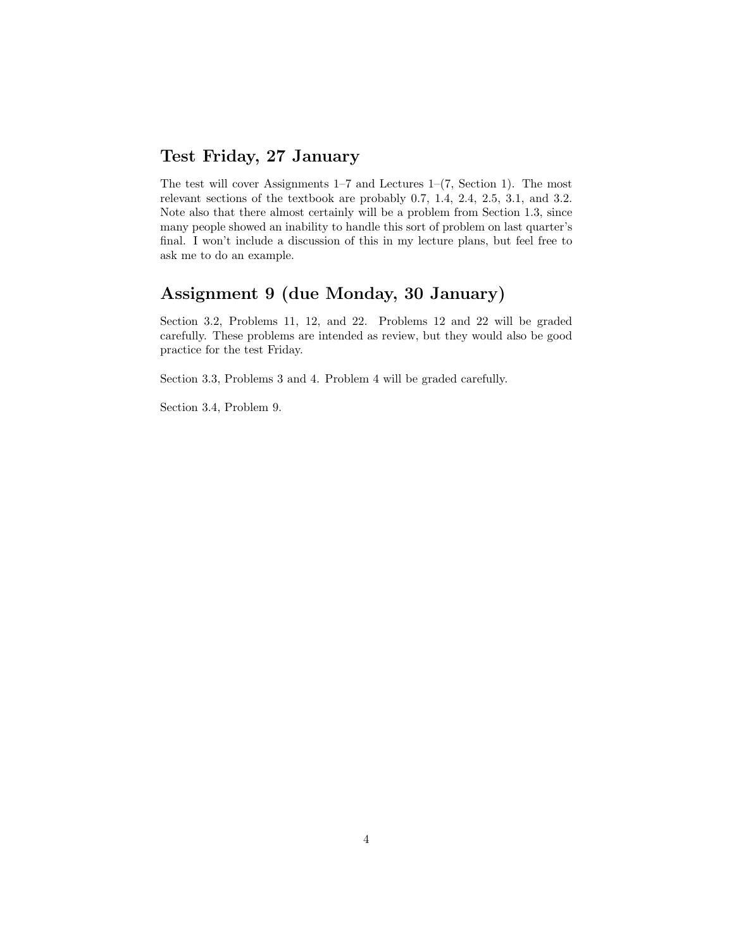## Test Friday, 27 January

The test will cover Assignments  $1-7$  and Lectures  $1-(7, Section 1)$ . The most relevant sections of the textbook are probably 0.7, 1.4, 2.4, 2.5, 3.1, and 3.2. Note also that there almost certainly will be a problem from Section 1.3, since many people showed an inability to handle this sort of problem on last quarter's final. I won't include a discussion of this in my lecture plans, but feel free to ask me to do an example.

## Assignment 9 (due Monday, 30 January)

Section 3.2, Problems 11, 12, and 22. Problems 12 and 22 will be graded carefully. These problems are intended as review, but they would also be good practice for the test Friday.

Section 3.3, Problems 3 and 4. Problem 4 will be graded carefully.

Section 3.4, Problem 9.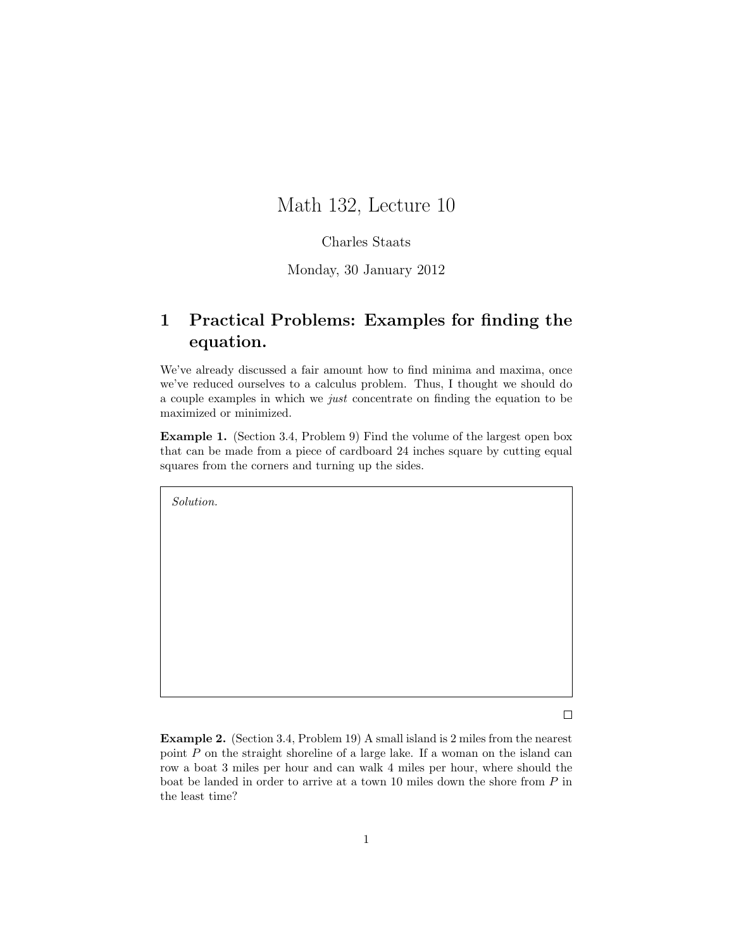## Math 132, Lecture 10

#### Charles Staats

#### Monday, 30 January 2012

## 1 Practical Problems: Examples for finding the equation.

We've already discussed a fair amount how to find minima and maxima, once we've reduced ourselves to a calculus problem. Thus, I thought we should do a couple examples in which we just concentrate on finding the equation to be maximized or minimized.

Example 1. (Section 3.4, Problem 9) Find the volume of the largest open box that can be made from a piece of cardboard 24 inches square by cutting equal squares from the corners and turning up the sides.

Solution.

 $\Box$ 

Example 2. (Section 3.4, Problem 19) A small island is 2 miles from the nearest point P on the straight shoreline of a large lake. If a woman on the island can row a boat 3 miles per hour and can walk 4 miles per hour, where should the boat be landed in order to arrive at a town 10 miles down the shore from P in the least time?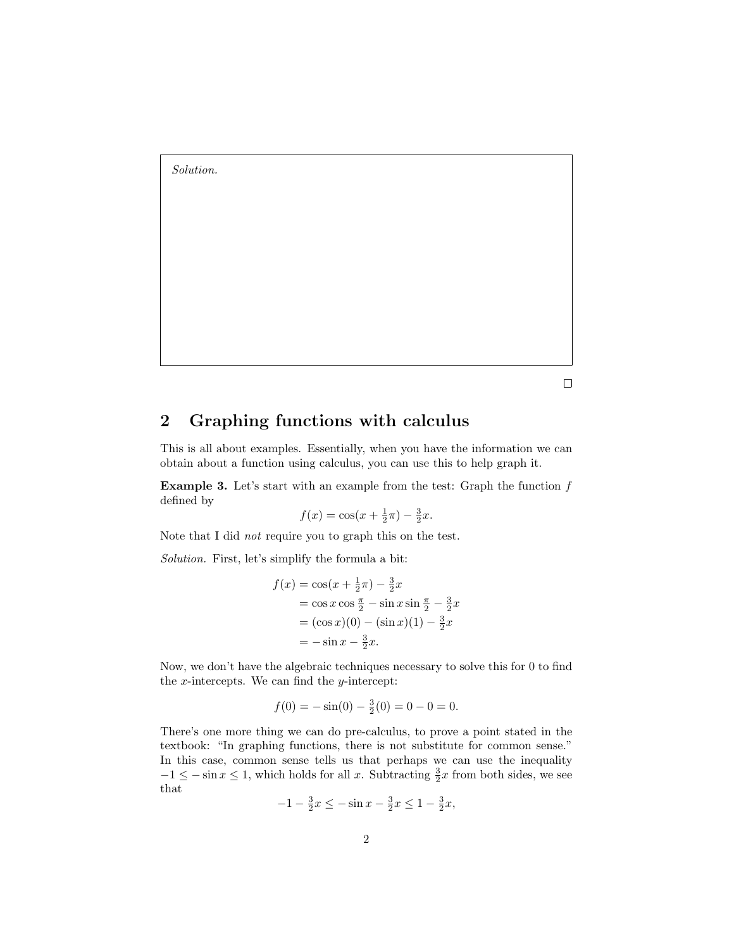Solution.

 $\Box$ 

## 2 Graphing functions with calculus

This is all about examples. Essentially, when you have the information we can obtain about a function using calculus, you can use this to help graph it.

**Example 3.** Let's start with an example from the test: Graph the function  $f$ defined by

$$
f(x) = \cos(x + \frac{1}{2}\pi) - \frac{3}{2}x.
$$

Note that I did not require you to graph this on the test.

Solution. First, let's simplify the formula a bit:

$$
f(x) = \cos(x + \frac{1}{2}\pi) - \frac{3}{2}x
$$
  
= cos x cos  $\frac{\pi}{2}$  - sin x sin  $\frac{\pi}{2}$  -  $\frac{3}{2}x$   
= (cos x)(0) - (sin x)(1) -  $\frac{3}{2}x$   
= - sin x -  $\frac{3}{2}x$ .

Now, we don't have the algebraic techniques necessary to solve this for 0 to find the  $x$ -intercepts. We can find the  $y$ -intercept:

$$
f(0) = -\sin(0) - \frac{3}{2}(0) = 0 - 0 = 0.
$$

There's one more thing we can do pre-calculus, to prove a point stated in the textbook: "In graphing functions, there is not substitute for common sense." In this case, common sense tells us that perhaps we can use the inequality  $-1 \leq -\sin x \leq 1$ , which holds for all x. Subtracting  $\frac{3}{2}x$  from both sides, we see that

$$
-1 - \frac{3}{2}x \le -\sin x - \frac{3}{2}x \le 1 - \frac{3}{2}x,
$$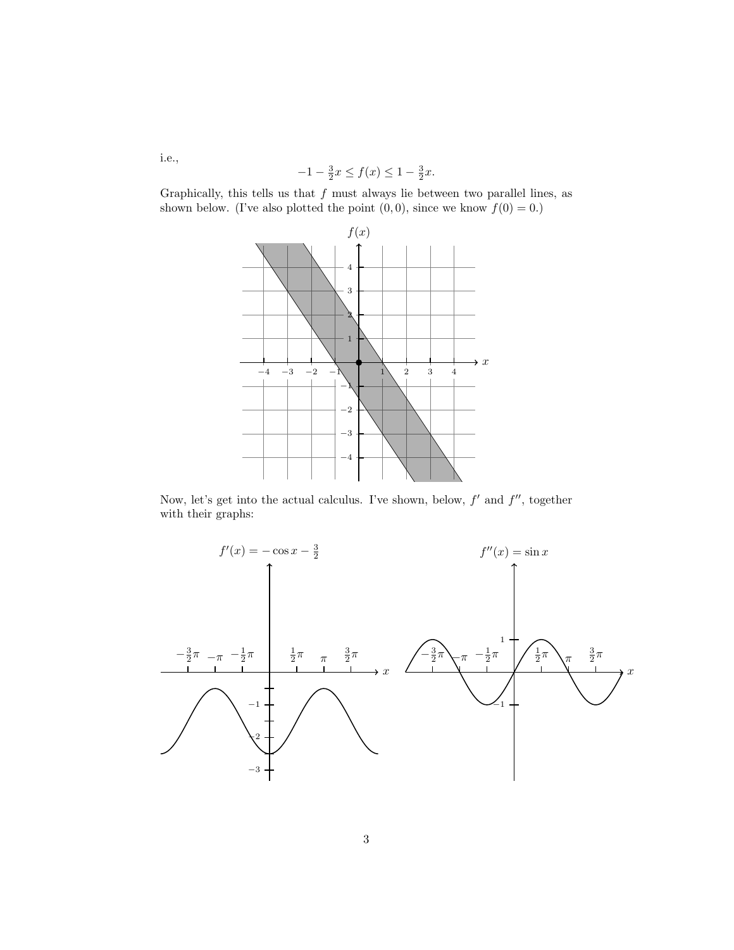$$
-1 - \frac{3}{2}x \le f(x) \le 1 - \frac{3}{2}x.
$$

Graphically, this tells us that  $f$  must always lie between two parallel lines, as shown below. (I've also plotted the point  $(0, 0)$ , since we know  $f(0) = 0$ .)



Now, let's get into the actual calculus. I've shown, below,  $f'$  and  $f''$ , together with their graphs:



i.e.,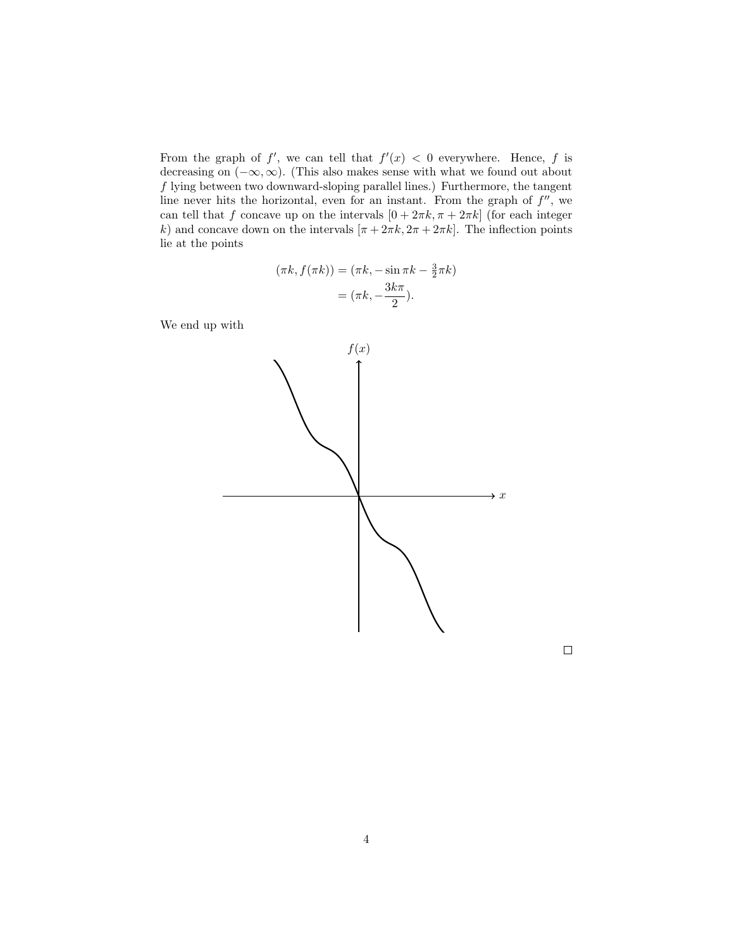From the graph of f', we can tell that  $f'(x) < 0$  everywhere. Hence, f is decreasing on  $(-\infty, \infty)$ . (This also makes sense with what we found out about f lying between two downward-sloping parallel lines.) Furthermore, the tangent line never hits the horizontal, even for an instant. From the graph of  $f''$ , we can tell that f concave up on the intervals  $[0 + 2\pi k, \pi + 2\pi k]$  (for each integer k) and concave down on the intervals  $[\pi + 2\pi k, 2\pi + 2\pi k]$ . The inflection points lie at the points

$$
(\pi k, f(\pi k)) = (\pi k, -\sin \pi k - \frac{3}{2}\pi k)
$$

$$
= (\pi k, -\frac{3k\pi}{2}).
$$

We end up with



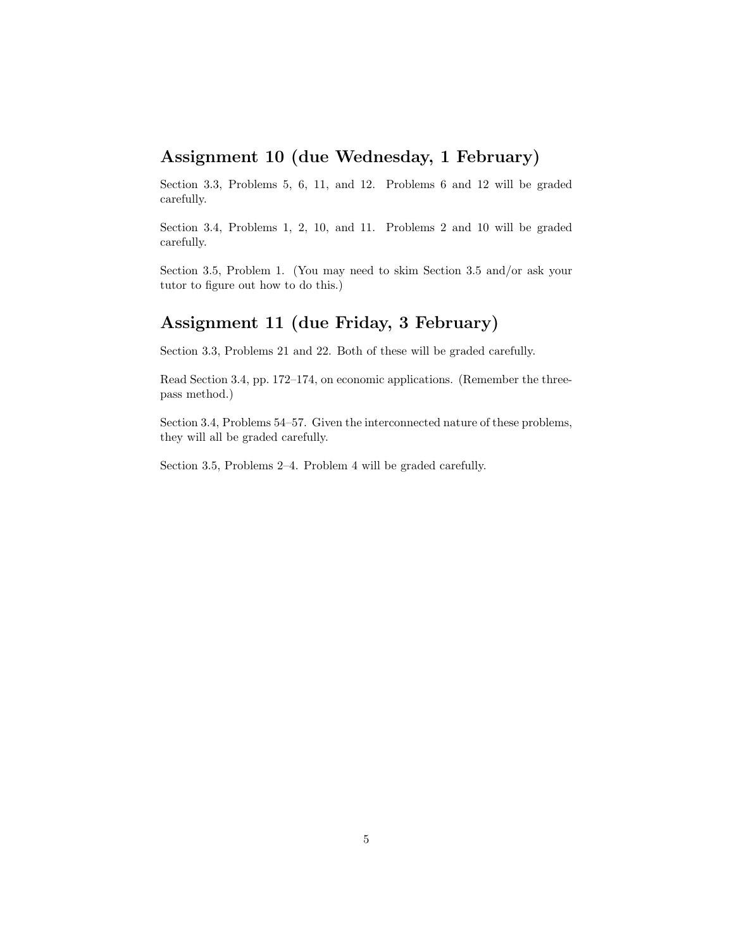## Assignment 10 (due Wednesday, 1 February)

Section 3.3, Problems 5, 6, 11, and 12. Problems 6 and 12 will be graded carefully.

Section 3.4, Problems 1, 2, 10, and 11. Problems 2 and 10 will be graded carefully.

Section 3.5, Problem 1. (You may need to skim Section 3.5 and/or ask your tutor to figure out how to do this.)

## Assignment 11 (due Friday, 3 February)

Section 3.3, Problems 21 and 22. Both of these will be graded carefully.

Read Section 3.4, pp. 172–174, on economic applications. (Remember the threepass method.)

Section 3.4, Problems 54–57. Given the interconnected nature of these problems, they will all be graded carefully.

Section 3.5, Problems 2–4. Problem 4 will be graded carefully.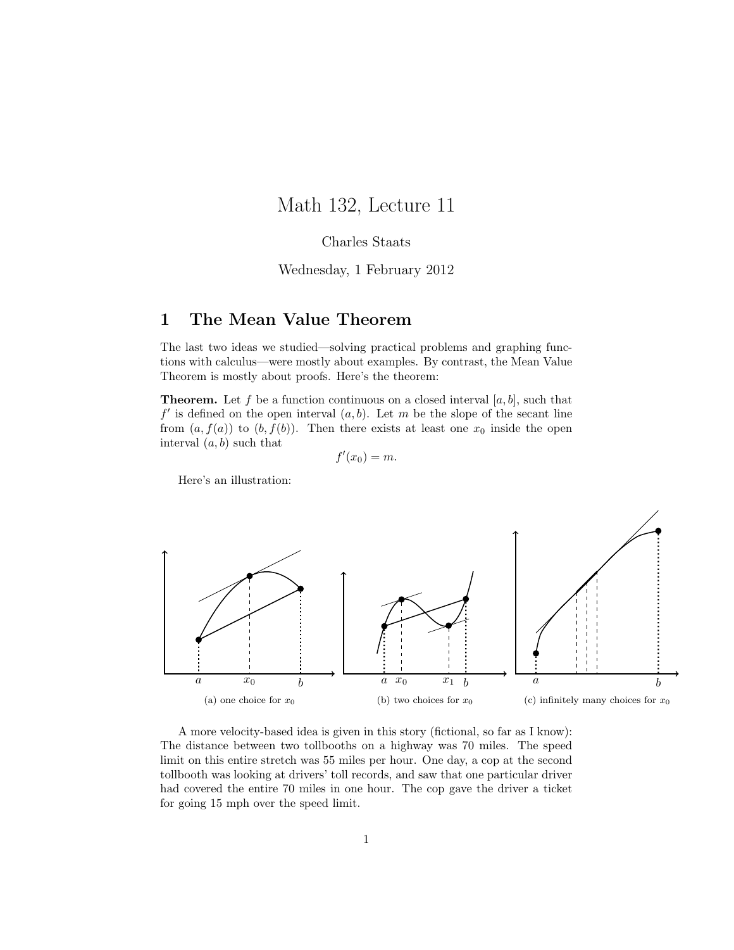## Math 132, Lecture 11

#### Charles Staats

#### Wednesday, 1 February 2012

### 1 The Mean Value Theorem

The last two ideas we studied—solving practical problems and graphing functions with calculus—were mostly about examples. By contrast, the Mean Value Theorem is mostly about proofs. Here's the theorem:

**Theorem.** Let f be a function continuous on a closed interval  $[a, b]$ , such that  $f'$  is defined on the open interval  $(a, b)$ . Let m be the slope of the secant line from  $(a, f(a))$  to  $(b, f(b))$ . Then there exists at least one  $x_0$  inside the open interval  $(a, b)$  such that

$$
f'(x_0)=m.
$$

Here's an illustration:



A more velocity-based idea is given in this story (fictional, so far as I know): The distance between two tollbooths on a highway was 70 miles. The speed limit on this entire stretch was 55 miles per hour. One day, a cop at the second tollbooth was looking at drivers' toll records, and saw that one particular driver had covered the entire 70 miles in one hour. The cop gave the driver a ticket for going 15 mph over the speed limit.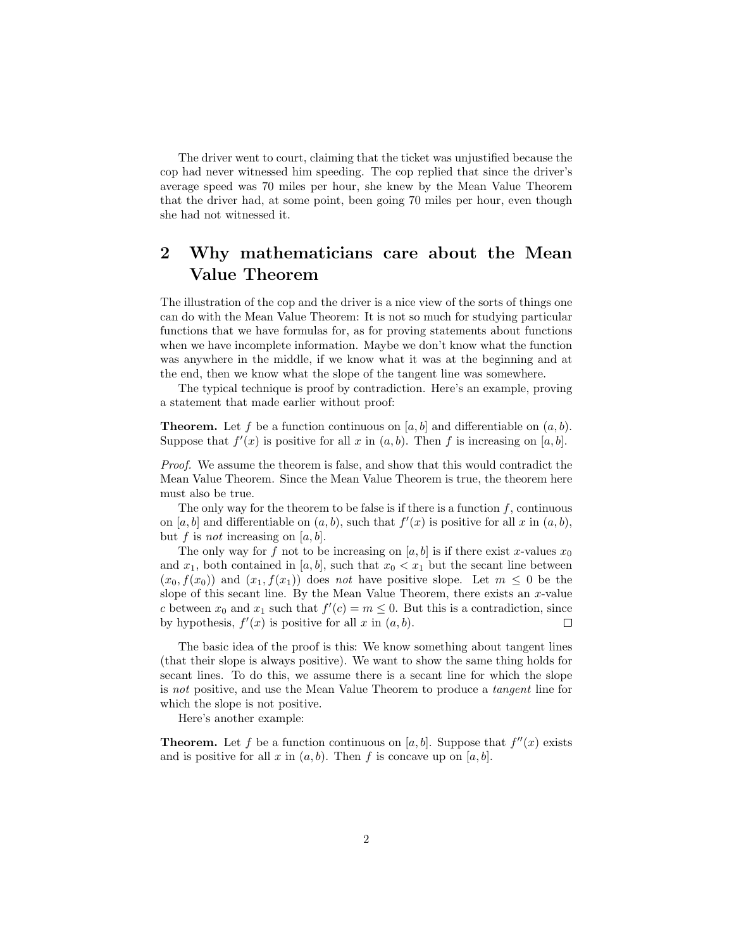The driver went to court, claiming that the ticket was unjustified because the cop had never witnessed him speeding. The cop replied that since the driver's average speed was 70 miles per hour, she knew by the Mean Value Theorem that the driver had, at some point, been going 70 miles per hour, even though she had not witnessed it.

## 2 Why mathematicians care about the Mean Value Theorem

The illustration of the cop and the driver is a nice view of the sorts of things one can do with the Mean Value Theorem: It is not so much for studying particular functions that we have formulas for, as for proving statements about functions when we have incomplete information. Maybe we don't know what the function was anywhere in the middle, if we know what it was at the beginning and at the end, then we know what the slope of the tangent line was somewhere.

The typical technique is proof by contradiction. Here's an example, proving a statement that made earlier without proof:

**Theorem.** Let f be a function continuous on [a, b] and differentiable on  $(a, b)$ . Suppose that  $f'(x)$  is positive for all x in  $(a, b)$ . Then f is increasing on  $[a, b]$ .

Proof. We assume the theorem is false, and show that this would contradict the Mean Value Theorem. Since the Mean Value Theorem is true, the theorem here must also be true.

The only way for the theorem to be false is if there is a function  $f$ , continuous on [a, b] and differentiable on  $(a, b)$ , such that  $f'(x)$  is positive for all x in  $(a, b)$ , but f is not increasing on  $[a, b]$ .

The only way for f not to be increasing on  $[a, b]$  is if there exist x-values  $x_0$ and  $x_1$ , both contained in [a, b], such that  $x_0 < x_1$  but the secant line between  $(x_0, f(x_0))$  and  $(x_1, f(x_1))$  does not have positive slope. Let  $m \leq 0$  be the slope of this secant line. By the Mean Value Theorem, there exists an  $x$ -value c between  $x_0$  and  $x_1$  such that  $f'(c) = m \leq 0$ . But this is a contradiction, since by hypothesis,  $f'(x)$  is positive for all x in  $(a, b)$ .  $\Box$ 

The basic idea of the proof is this: We know something about tangent lines (that their slope is always positive). We want to show the same thing holds for secant lines. To do this, we assume there is a secant line for which the slope is not positive, and use the Mean Value Theorem to produce a tangent line for which the slope is not positive.

Here's another example:

**Theorem.** Let f be a function continuous on [a, b]. Suppose that  $f''(x)$  exists and is positive for all x in  $(a, b)$ . Then f is concave up on  $[a, b]$ .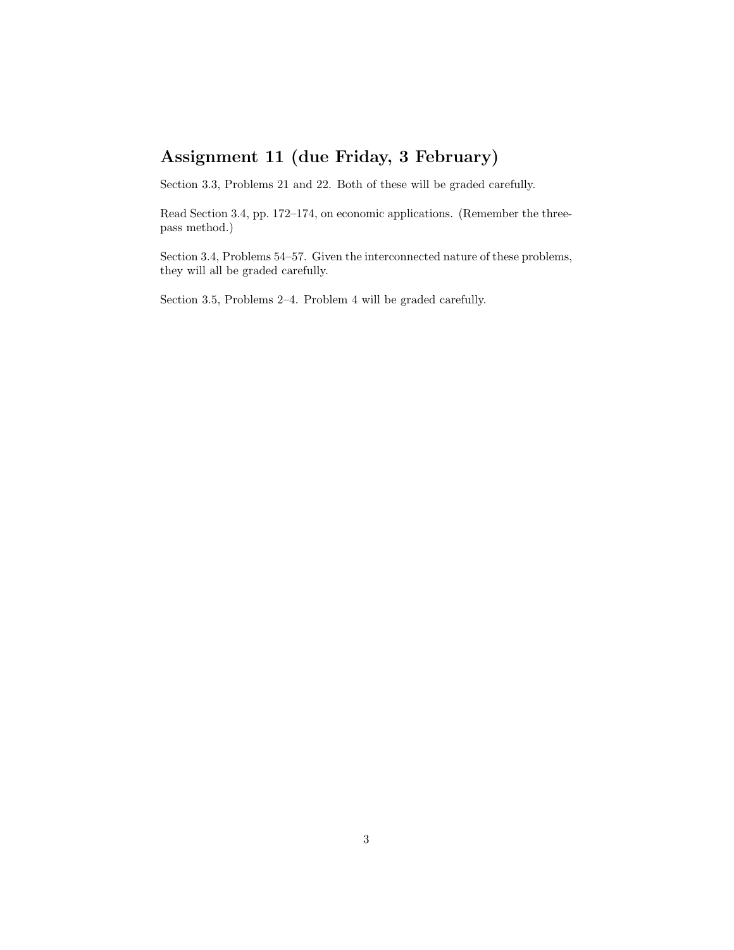## Assignment 11 (due Friday, 3 February)

Section 3.3, Problems 21 and 22. Both of these will be graded carefully.

Read Section 3.4, pp. 172–174, on economic applications. (Remember the threepass method.)

Section 3.4, Problems 54–57. Given the interconnected nature of these problems, they will all be graded carefully.

Section 3.5, Problems 2–4. Problem 4 will be graded carefully.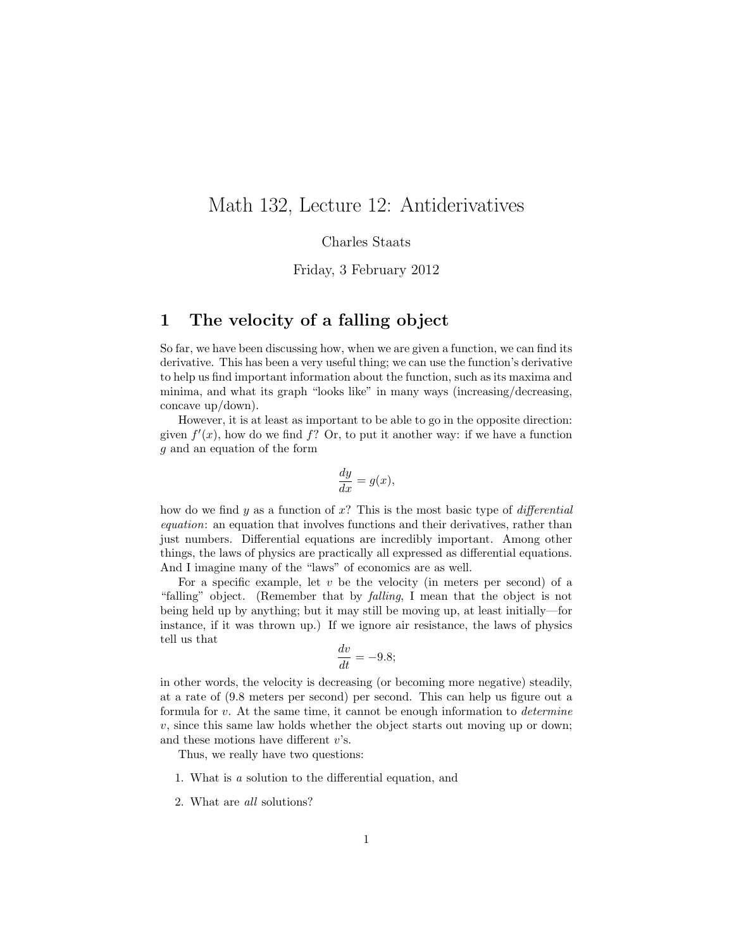## Math 132, Lecture 12: Antiderivatives

Charles Staats

Friday, 3 February 2012

#### 1 The velocity of a falling object

So far, we have been discussing how, when we are given a function, we can find its derivative. This has been a very useful thing; we can use the function's derivative to help us find important information about the function, such as its maxima and minima, and what its graph "looks like" in many ways (increasing/decreasing, concave up/down).

However, it is at least as important to be able to go in the opposite direction: given  $f'(x)$ , how do we find  $f$ ? Or, to put it another way: if we have a function g and an equation of the form

$$
\frac{dy}{dx} = g(x),
$$

how do we find y as a function of x? This is the most basic type of differential equation: an equation that involves functions and their derivatives, rather than just numbers. Differential equations are incredibly important. Among other things, the laws of physics are practically all expressed as differential equations. And I imagine many of the "laws" of economics are as well.

For a specific example, let  $v$  be the velocity (in meters per second) of a "falling" object. (Remember that by falling, I mean that the object is not being held up by anything; but it may still be moving up, at least initially—for instance, if it was thrown up.) If we ignore air resistance, the laws of physics tell us that

$$
\frac{dv}{dt} = -9.8;
$$

in other words, the velocity is decreasing (or becoming more negative) steadily, at a rate of (9.8 meters per second) per second. This can help us figure out a formula for  $v$ . At the same time, it cannot be enough information to *determine*  $v$ , since this same law holds whether the object starts out moving up or down; and these motions have different  $v$ 's.

Thus, we really have two questions:

- 1. What is a solution to the differential equation, and
- 2. What are all solutions?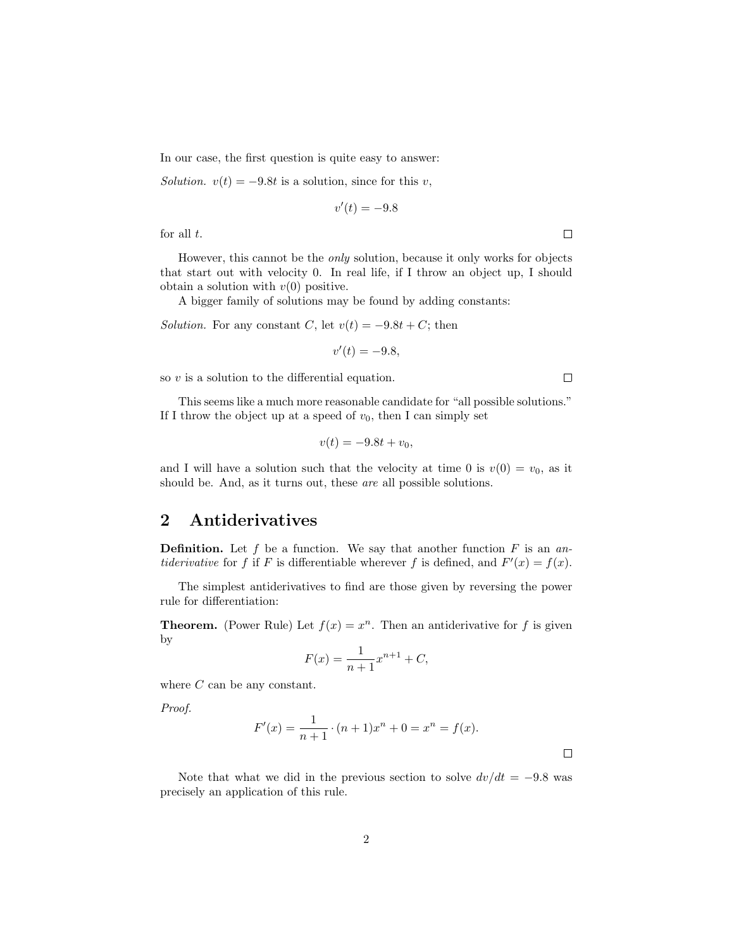In our case, the first question is quite easy to answer:

Solution.  $v(t) = -9.8t$  is a solution, since for this v,

$$
v'(t) = -9.8
$$

for all  $t$ .

However, this cannot be the only solution, because it only works for objects that start out with velocity 0. In real life, if I throw an object up, I should obtain a solution with  $v(0)$  positive.

A bigger family of solutions may be found by adding constants:

Solution. For any constant C, let  $v(t) = -9.8t + C$ ; then

$$
v'(t) = -9.8,
$$

so  $v$  is a solution to the differential equation.

This seems like a much more reasonable candidate for "all possible solutions." If I throw the object up at a speed of  $v_0$ , then I can simply set

$$
v(t) = -9.8t + v_0,
$$

and I will have a solution such that the velocity at time 0 is  $v(0) = v_0$ , as it should be. And, as it turns out, these are all possible solutions.

#### 2 Antiderivatives

**Definition.** Let f be a function. We say that another function  $F$  is an an*tiderivative* for f if F is differentiable wherever f is defined, and  $F'(x) = f(x)$ .

The simplest antiderivatives to find are those given by reversing the power rule for differentiation:

**Theorem.** (Power Rule) Let  $f(x) = x^n$ . Then an antiderivative for f is given by

$$
F(x) = \frac{1}{n+1}x^{n+1} + C,
$$

where  $C$  can be any constant.

Proof.

$$
F'(x) = \frac{1}{n+1} \cdot (n+1)x^{n} + 0 = x^{n} = f(x).
$$

Note that what we did in the previous section to solve  $dv/dt = -9.8$  was precisely an application of this rule.



 $\Box$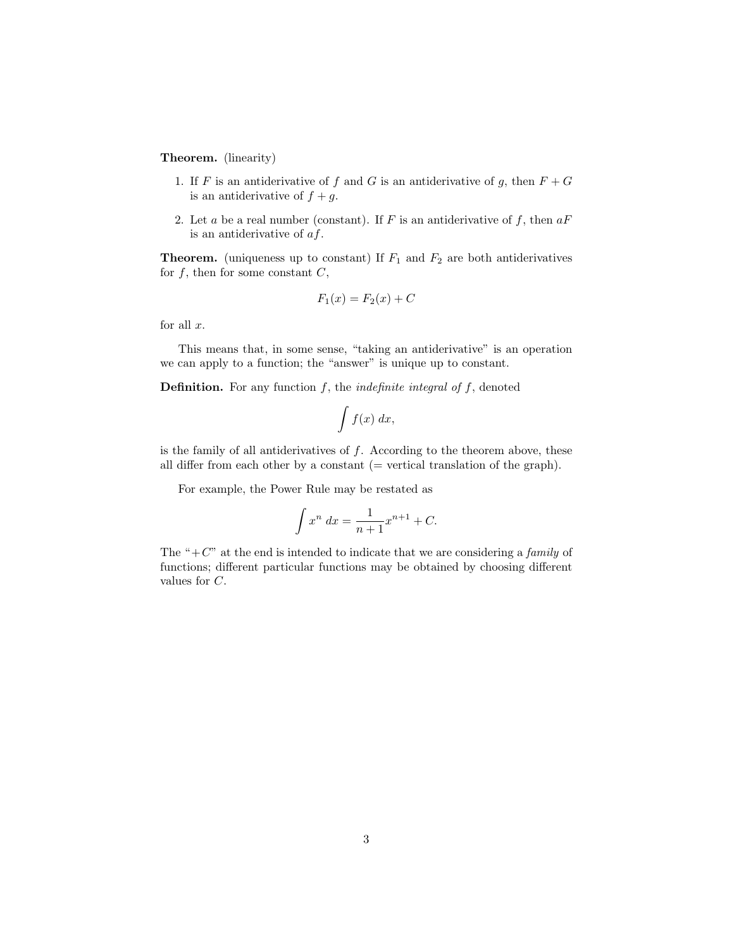Theorem. (linearity)

- 1. If F is an antiderivative of f and G is an antiderivative of g, then  $F + G$ is an antiderivative of  $f + g$ .
- 2. Let a be a real number (constant). If F is an antiderivative of f, then  $aF$ is an antiderivative of af.

**Theorem.** (uniqueness up to constant) If  $F_1$  and  $F_2$  are both antiderivatives for  $f$ , then for some constant  $C$ ,

$$
F_1(x) = F_2(x) + C
$$

for all  $x$ .

This means that, in some sense, "taking an antiderivative" is an operation we can apply to a function; the "answer" is unique up to constant.

**Definition.** For any function  $f$ , the *indefinite integral of*  $f$ , denoted

$$
\int f(x) \ dx,
$$

is the family of all antiderivatives of  $f$ . According to the theorem above, these all differ from each other by a constant  $($  = vertical translation of the graph $).$ 

For example, the Power Rule may be restated as

$$
\int x^n \, dx = \frac{1}{n+1} x^{n+1} + C.
$$

The " $+C$ " at the end is intended to indicate that we are considering a *family* of functions; different particular functions may be obtained by choosing different values for C.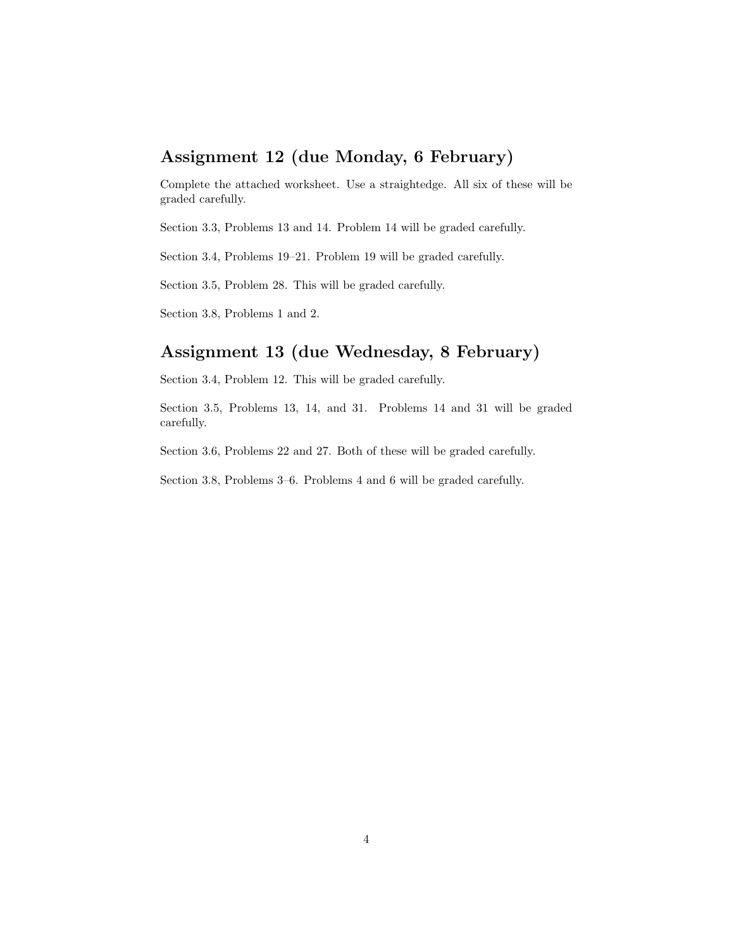## Assignment 12 (due Monday, 6 February)

Complete the attached worksheet. Use a straightedge. All six of these will be graded carefully.

Section 3.3, Problems 13 and 14. Problem 14 will be graded carefully.

Section 3.4, Problems 19–21. Problem 19 will be graded carefully.

Section 3.5, Problem 28. This will be graded carefully.

Section 3.8, Problems 1 and 2.

## Assignment 13 (due Wednesday, 8 February)

Section 3.4, Problem 12. This will be graded carefully.

Section 3.5, Problems 13, 14, and 31. Problems 14 and 31 will be graded carefully.

Section 3.6, Problems 22 and 27. Both of these will be graded carefully.

Section 3.8, Problems 3–6. Problems 4 and 6 will be graded carefully.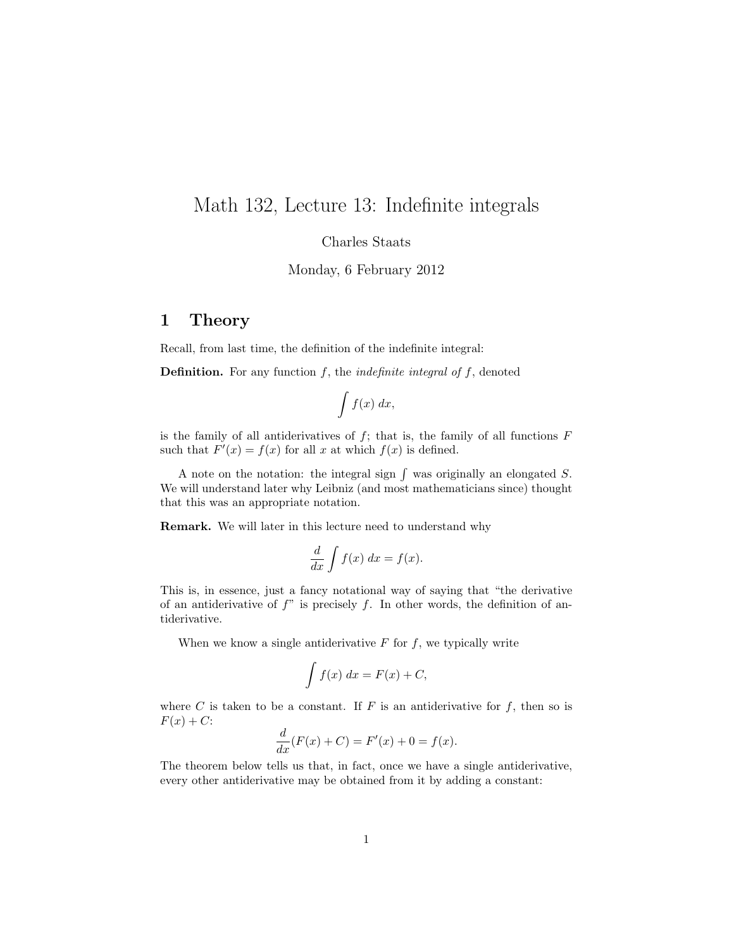## Math 132, Lecture 13: Indefinite integrals

Charles Staats

Monday, 6 February 2012

#### 1 Theory

Recall, from last time, the definition of the indefinite integral:

**Definition.** For any function  $f$ , the *indefinite integral of*  $f$ , denoted

$$
\int f(x) \; dx,
$$

is the family of all antiderivatives of  $f$ ; that is, the family of all functions  $F$ such that  $F'(x) = f(x)$  for all x at which  $f(x)$  is defined.

A note on the notation: the integral sign  $\int$  was originally an elongated S. We will understand later why Leibniz (and most mathematicians since) thought that this was an appropriate notation.

Remark. We will later in this lecture need to understand why

$$
\frac{d}{dx}\int f(x) \ dx = f(x).
$$

This is, in essence, just a fancy notational way of saying that "the derivative of an antiderivative of  $f''$  is precisely f. In other words, the definition of antiderivative.

When we know a single antiderivative  $F$  for  $f$ , we typically write

$$
\int f(x) \, dx = F(x) + C,
$$

where C is taken to be a constant. If  $F$  is an antiderivative for  $f$ , then so is  $F(x) + C$ :

$$
\frac{d}{dx}(F(x) + C) = F'(x) + 0 = f(x).
$$

The theorem below tells us that, in fact, once we have a single antiderivative, every other antiderivative may be obtained from it by adding a constant: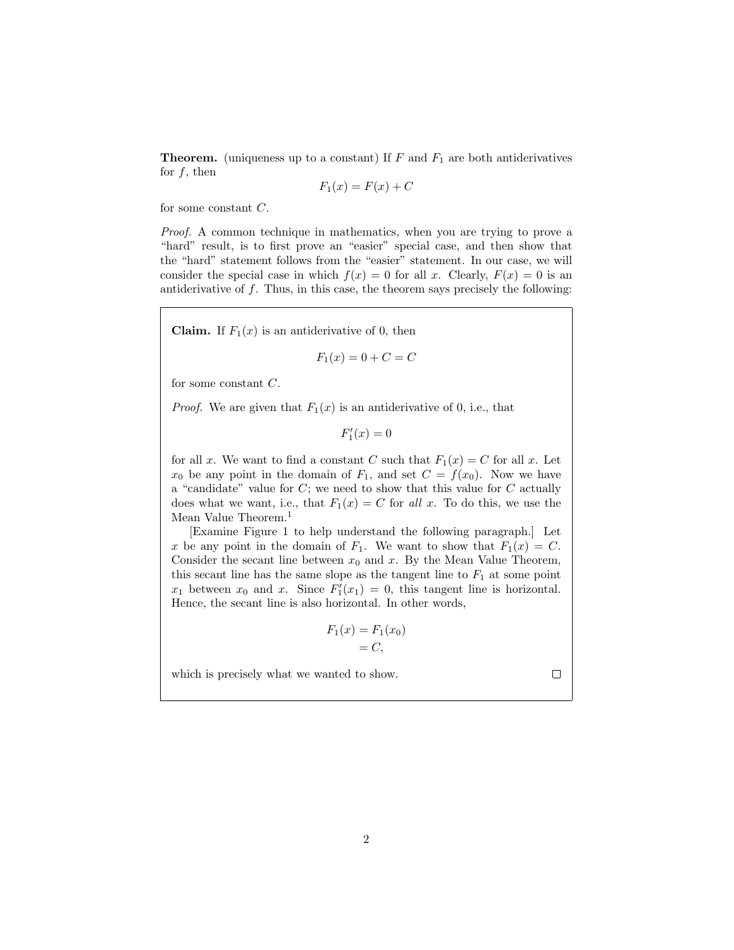**Theorem.** (uniqueness up to a constant) If  $F$  and  $F_1$  are both antiderivatives for  $f$ , then

$$
F_1(x) = F(x) + C
$$

for some constant C.

Proof. A common technique in mathematics, when you are trying to prove a "hard" result, is to first prove an "easier" special case, and then show that the "hard" statement follows from the "easier" statement. In our case, we will consider the special case in which  $f(x) = 0$  for all x. Clearly,  $F(x) = 0$  is an antiderivative of  $f$ . Thus, in this case, the theorem says precisely the following:

**Claim.** If  $F_1(x)$  is an antiderivative of 0, then

$$
F_1(x) = 0 + C = C
$$

for some constant C.

*Proof.* We are given that  $F_1(x)$  is an antiderivative of 0, i.e., that

 $F_1'(x) = 0$ 

for all x. We want to find a constant C such that  $F_1(x) = C$  for all x. Let  $x_0$  be any point in the domain of  $F_1$ , and set  $C = f(x_0)$ . Now we have a "candidate" value for  $C$ ; we need to show that this value for  $C$  actually does what we want, i.e., that  $F_1(x) = C$  for all x. To do this, we use the Mean Value Theorem.<sup>1</sup>

[Examine Figure 1 to help understand the following paragraph.] Let x be any point in the domain of  $F_1$ . We want to show that  $F_1(x) = C$ . Consider the secant line between  $x_0$  and  $x$ . By the Mean Value Theorem, this secant line has the same slope as the tangent line to  $F_1$  at some point  $x_1$  between  $x_0$  and  $x$ . Since  $F_1'(x_1) = 0$ , this tangent line is horizontal. Hence, the secant line is also horizontal. In other words,

$$
F_1(x) = F_1(x_0)
$$

$$
= C,
$$

which is precisely what we wanted to show.

 $\Box$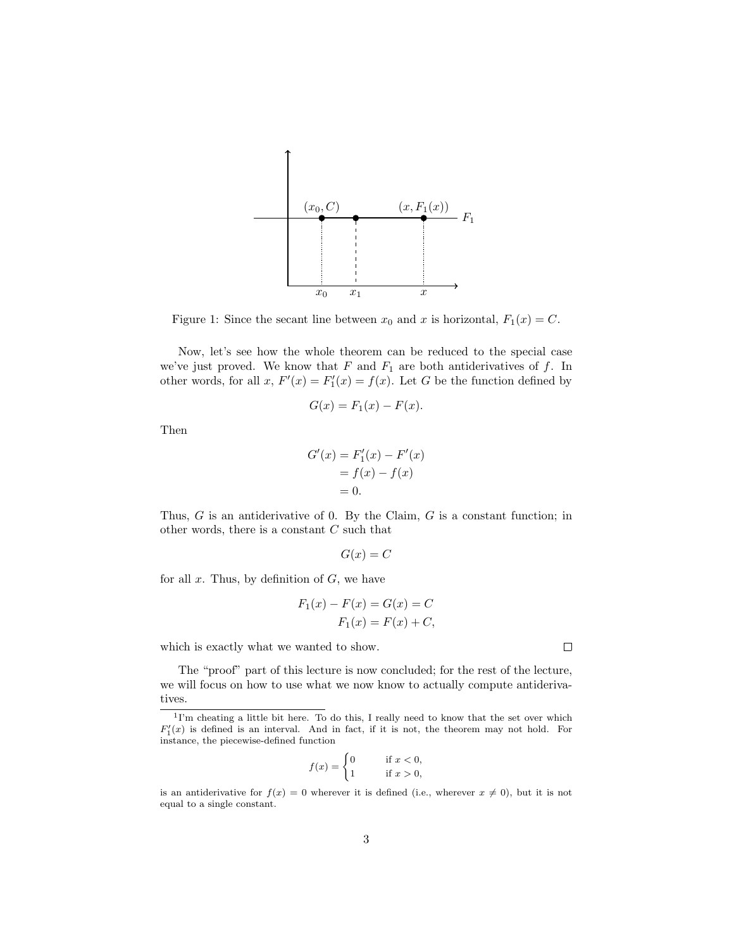

Figure 1: Since the secant line between  $x_0$  and x is horizontal,  $F_1(x) = C$ .

Now, let's see how the whole theorem can be reduced to the special case we've just proved. We know that  $F$  and  $F_1$  are both antiderivatives of  $f$ . In other words, for all  $x$ ,  $F'(x) = F'_1(x) = f(x)$ . Let G be the function defined by

$$
G(x) = F_1(x) - F(x).
$$

Then

$$
G'(x) = F'_1(x) - F'(x)
$$

$$
= f(x) - f(x)
$$

$$
= 0.
$$

Thus,  $G$  is an antiderivative of 0. By the Claim,  $G$  is a constant function; in other words, there is a constant  $C$  such that

$$
G(x) = C
$$

for all  $x$ . Thus, by definition of  $G$ , we have

$$
F_1(x) - F(x) = G(x) = C
$$
  

$$
F_1(x) = F(x) + C,
$$

which is exactly what we wanted to show.

The "proof" part of this lecture is now concluded; for the rest of the lecture, we will focus on how to use what we now know to actually compute antiderivatives.

$$
f(x) = \begin{cases} 0 & \text{if } x < 0, \\ 1 & \text{if } x > 0, \end{cases}
$$

 $\Box$ 

<sup>&</sup>lt;sup>1</sup>I'm cheating a little bit here. To do this, I really need to know that the set over which  $F'_{1}(x)$  is defined is an interval. And in fact, if it is not, the theorem may not hold. For instance, the piecewise-defined function

is an antiderivative for  $f(x) = 0$  wherever it is defined (i.e., wherever  $x \neq 0$ ), but it is not equal to a single constant.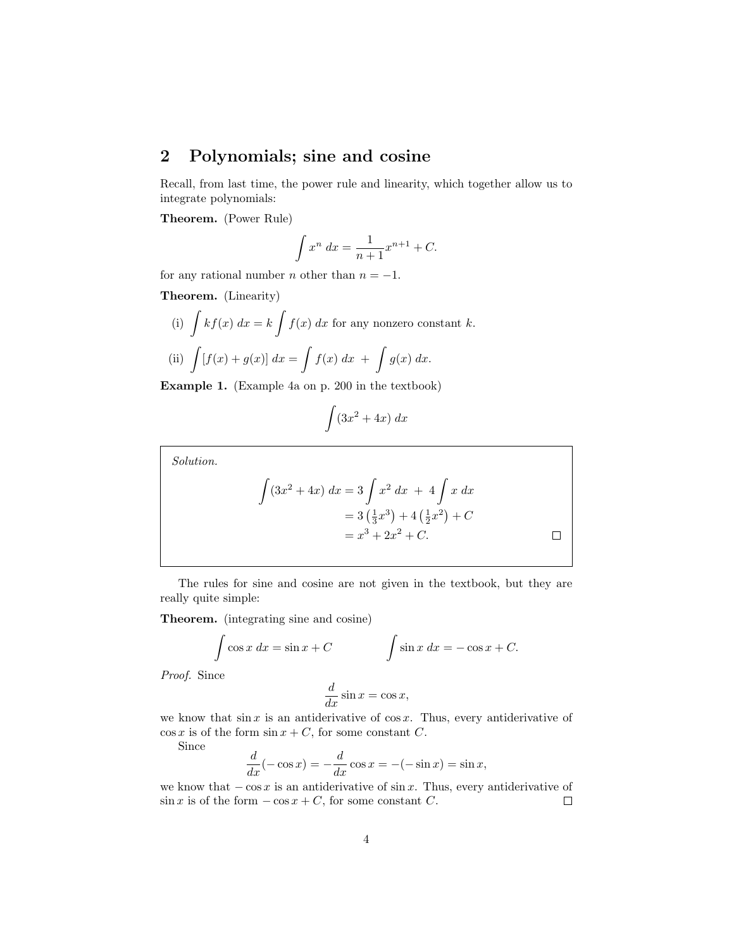## 2 Polynomials; sine and cosine

Recall, from last time, the power rule and linearity, which together allow us to integrate polynomials:

Theorem. (Power Rule)

$$
\int x^n \, dx = \frac{1}{n+1} x^{n+1} + C.
$$

for any rational number *n* other than  $n = -1$ .

Theorem. (Linearity)

(i) 
$$
\int kf(x) dx = k \int f(x) dx
$$
 for any nonzero constant k.  
\n(ii)  $\int [f(x) + g(x)] dx = \int f(x) dx + \int g(x) dx$ .

Example 1. (Example 4a on p. 200 in the textbook)

$$
\int (3x^2 + 4x) \ dx
$$

Solution.

$$
\int (3x^2 + 4x) dx = 3 \int x^2 dx + 4 \int x dx
$$
  
= 3 (\frac{1}{3}x^3) + 4 (\frac{1}{2}x^2) + C  
= x^3 + 2x^2 + C.

The rules for sine and cosine are not given in the textbook, but they are really quite simple:

Theorem. (integrating sine and cosine)

$$
\int \cos x \, dx = \sin x + C \qquad \qquad \int \sin x \, dx = -\cos x + C.
$$

Proof. Since

$$
\frac{d}{dx}\sin x = \cos x,
$$

we know that  $\sin x$  is an antiderivative of  $\cos x$ . Thus, every antiderivative of  $\cos x$  is of the form  $\sin x + C$ , for some constant C.

Since

$$
\frac{d}{dx}(-\cos x) = -\frac{d}{dx}\cos x = -(-\sin x) = \sin x,
$$

we know that  $-\cos x$  is an antiderivative of sin x. Thus, every antiderivative of sin x is of the form  $-\cos x + C$ , for some constant C.  $\sin x$  is of the form  $-\cos x + C$ , for some constant C.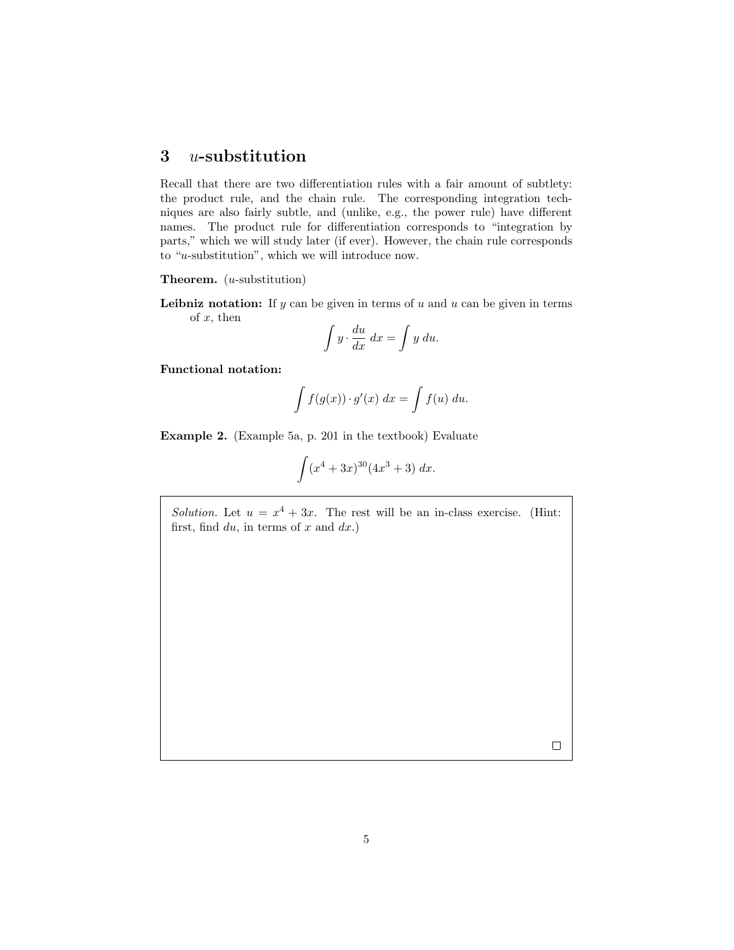#### 3 u-substitution

Recall that there are two differentiation rules with a fair amount of subtlety: the product rule, and the chain rule. The corresponding integration techniques are also fairly subtle, and (unlike, e.g., the power rule) have different names. The product rule for differentiation corresponds to "integration by parts," which we will study later (if ever). However, the chain rule corresponds to "u-substitution", which we will introduce now.

**Theorem.**  $(u$ -substitution)

**Leibniz notation:** If  $y$  can be given in terms of  $u$  and  $u$  can be given in terms of  $x$ , then

$$
\int y \cdot \frac{du}{dx} \, dx = \int y \, du.
$$

Functional notation:

$$
\int f(g(x)) \cdot g'(x) \ dx = \int f(u) \ du.
$$

Example 2. (Example 5a, p. 201 in the textbook) Evaluate

$$
\int (x^4 + 3x)^{30} (4x^3 + 3) \ dx.
$$

Solution. Let  $u = x^4 + 3x$ . The rest will be an in-class exercise. (Hint: first, find  $du$ , in terms of x and  $dx$ .)

 $\Box$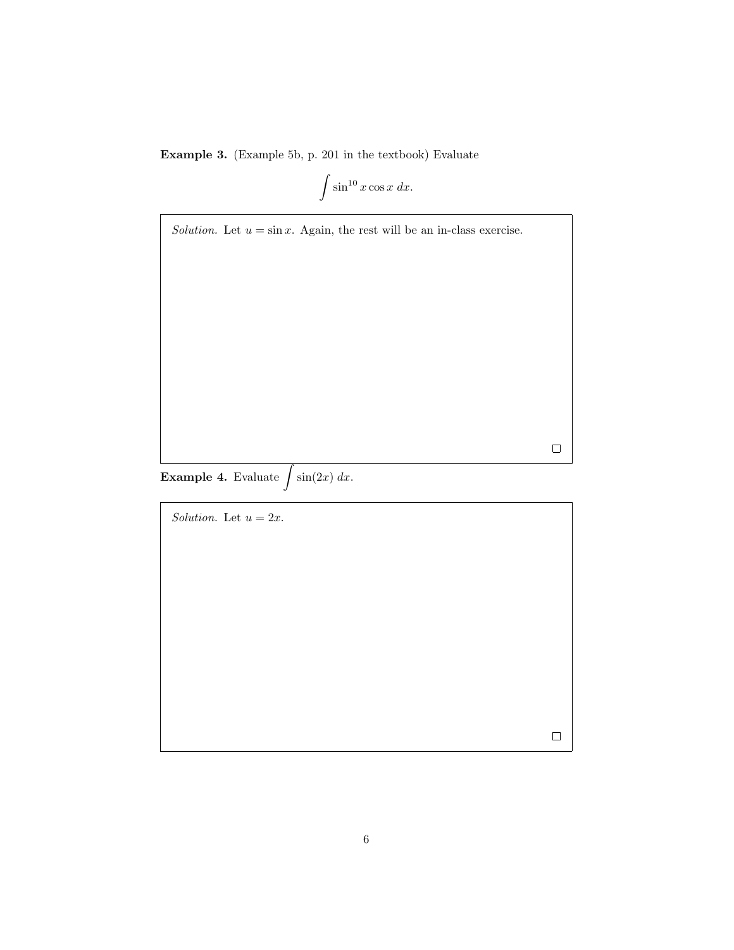Example 3. (Example 5b, p. 201 in the textbook) Evaluate

$$
\int \sin^{10} x \cos x \, dx.
$$

 $\Box$ 

 $\Box$ 

Solution. Let  $u = \sin x$ . Again, the rest will be an in-class exercise.

**Example 4.** Evaluate  $\int \sin(2x) dx$ .

Solution. Let  $u = 2x$ .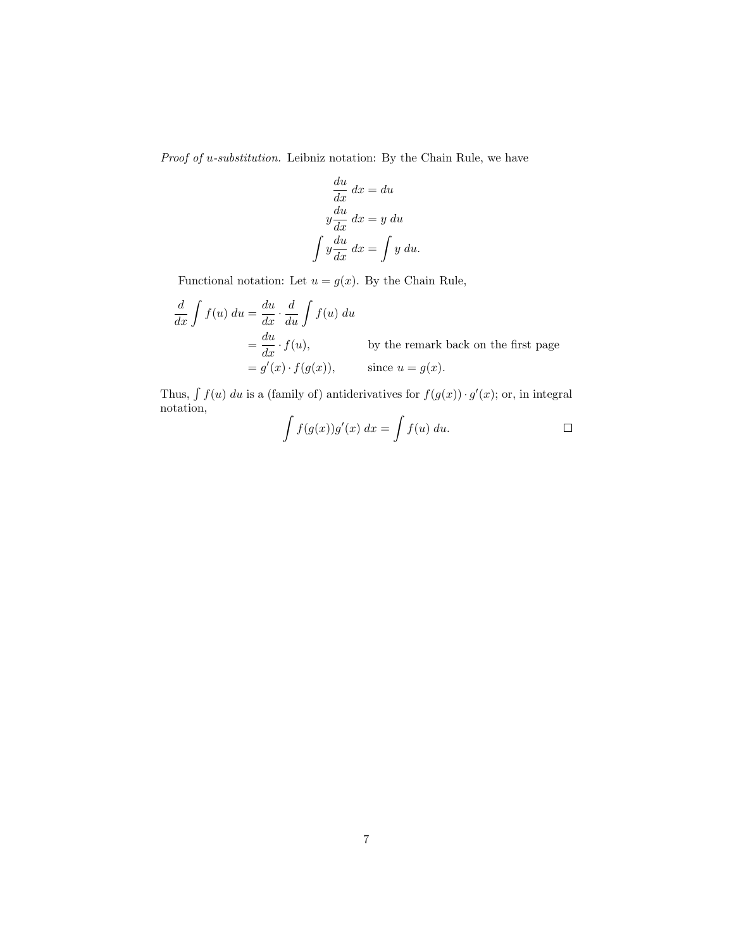Proof of u-substitution. Leibniz notation: By the Chain Rule, we have

$$
\frac{du}{dx} dx = du
$$

$$
y\frac{du}{dx} dx = y du
$$

$$
\int y\frac{du}{dx} dx = \int y du.
$$

Functional notation: Let  $u = g(x)$ . By the Chain Rule,

$$
\frac{d}{dx} \int f(u) \, du = \frac{du}{dx} \cdot \frac{d}{du} \int f(u) \, du
$$
\n
$$
= \frac{du}{dx} \cdot f(u), \qquad \text{by the remark back on the first page}
$$
\n
$$
= g'(x) \cdot f(g(x)), \qquad \text{since } u = g(x).
$$

Thus,  $\int f(u) du$  is a (family of) antiderivatives for  $f(g(x)) \cdot g'(x)$ ; or, in integral notation,

$$
\int f(g(x))g'(x) dx = \int f(u) du.
$$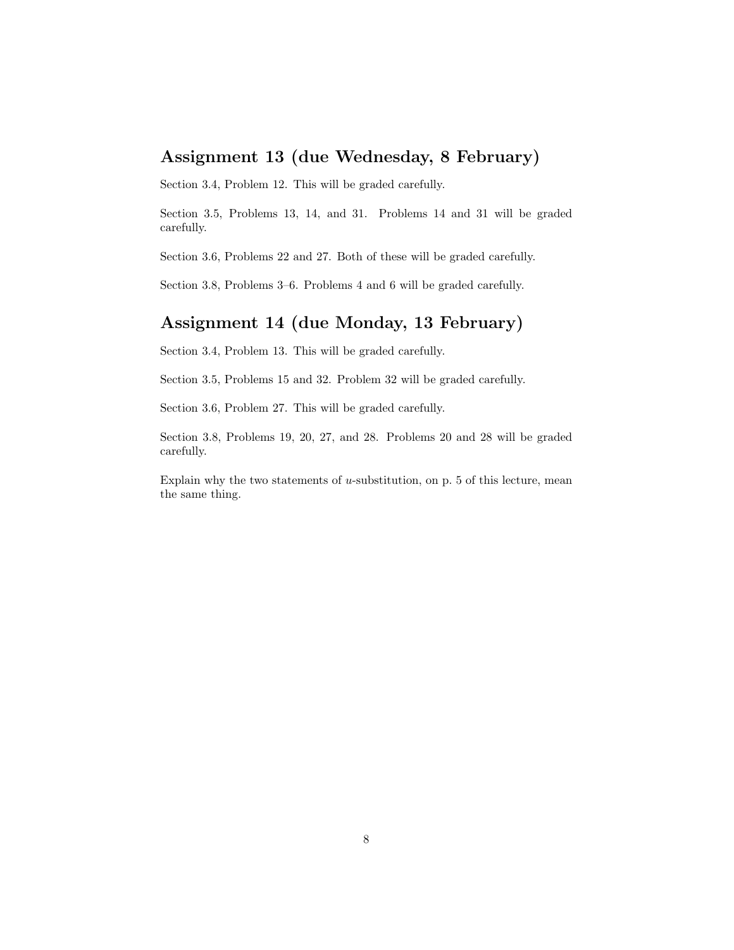## Assignment 13 (due Wednesday, 8 February)

Section 3.4, Problem 12. This will be graded carefully.

Section 3.5, Problems 13, 14, and 31. Problems 14 and 31 will be graded carefully.

Section 3.6, Problems 22 and 27. Both of these will be graded carefully.

Section 3.8, Problems 3–6. Problems 4 and 6 will be graded carefully.

### Assignment 14 (due Monday, 13 February)

Section 3.4, Problem 13. This will be graded carefully.

Section 3.5, Problems 15 and 32. Problem 32 will be graded carefully.

Section 3.6, Problem 27. This will be graded carefully.

Section 3.8, Problems 19, 20, 27, and 28. Problems 20 and 28 will be graded carefully.

Explain why the two statements of  $u$ -substitution, on p. 5 of this lecture, mean the same thing.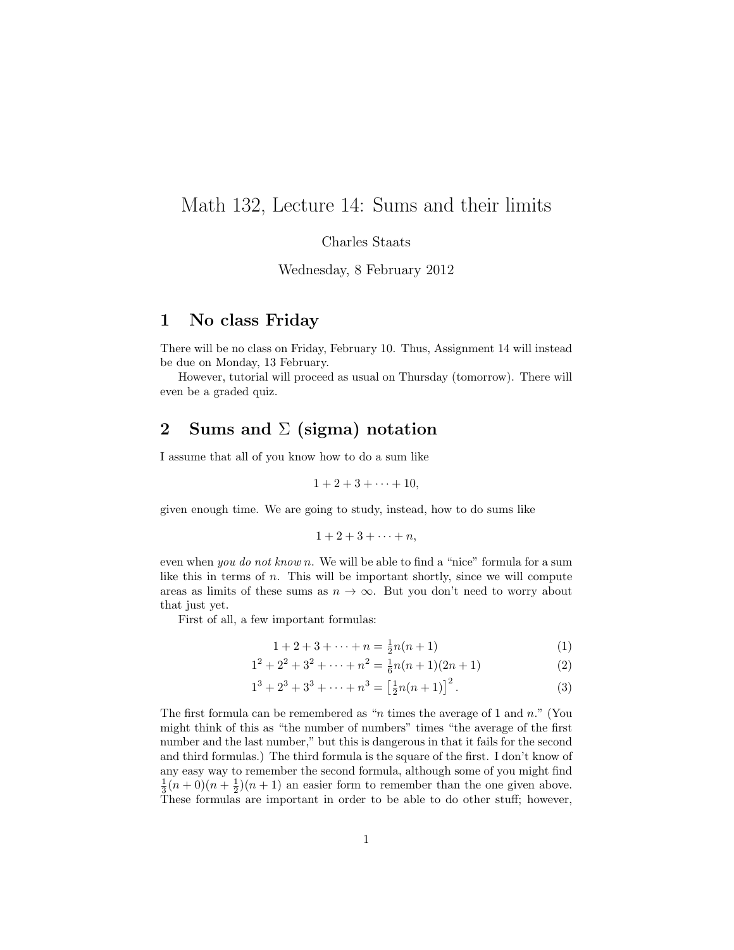## Math 132, Lecture 14: Sums and their limits

Charles Staats

Wednesday, 8 February 2012

#### 1 No class Friday

There will be no class on Friday, February 10. Thus, Assignment 14 will instead be due on Monday, 13 February.

However, tutorial will proceed as usual on Thursday (tomorrow). There will even be a graded quiz.

### 2 Sums and  $\Sigma$  (sigma) notation

I assume that all of you know how to do a sum like

$$
1+2+3+\cdots+10,
$$

given enough time. We are going to study, instead, how to do sums like

$$
1+2+3+\cdots+n,
$$

even when you do not know n. We will be able to find a "nice" formula for a sum like this in terms of  $n$ . This will be important shortly, since we will compute areas as limits of these sums as  $n \to \infty$ . But you don't need to worry about that just yet.

First of all, a few important formulas:

$$
1 + 2 + 3 + \dots + n = \frac{1}{2}n(n+1)
$$
 (1)

$$
12 + 22 + 32 + \dots + n2 = \frac{1}{6}n(n+1)(2n+1)
$$
 (2)

$$
13 + 23 + 33 + \dots + n3 = \left[\frac{1}{2}n(n+1)\right]^{2}.
$$
 (3)

The first formula can be remembered as "n times the average of 1 and  $n$ ." (You might think of this as "the number of numbers" times "the average of the first number and the last number," but this is dangerous in that it fails for the second and third formulas.) The third formula is the square of the first. I don't know of any easy way to remember the second formula, although some of you might find  $\frac{1}{3}(n+0)(n+\frac{1}{2})(n+1)$  an easier form to remember than the one given above. These formulas are important in order to be able to do other stuff; however,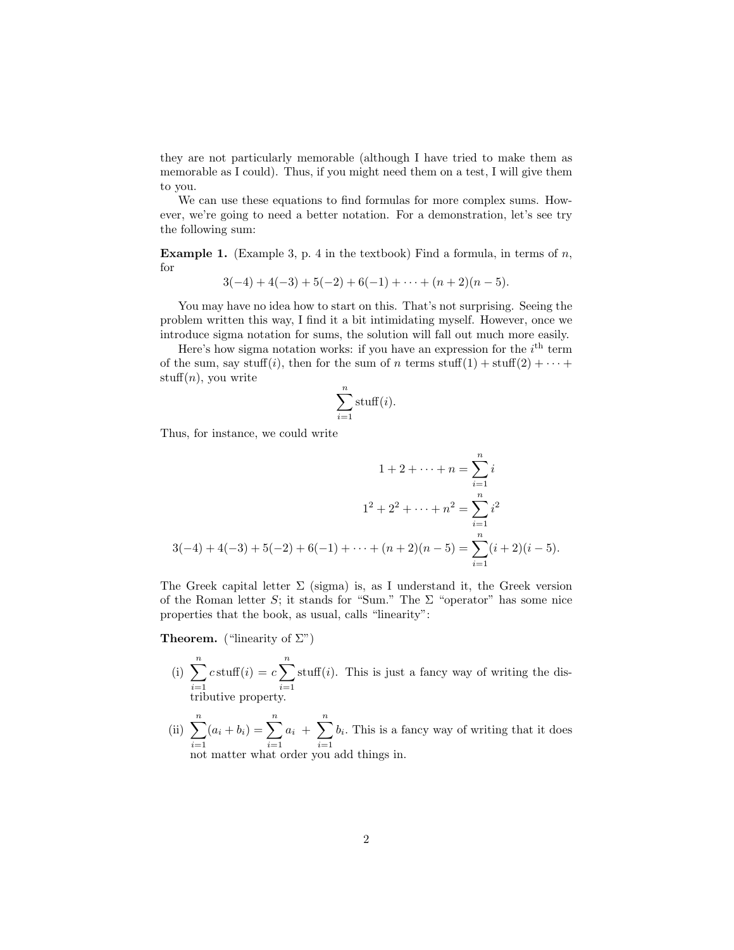they are not particularly memorable (although I have tried to make them as memorable as I could). Thus, if you might need them on a test, I will give them to you.

We can use these equations to find formulas for more complex sums. However, we're going to need a better notation. For a demonstration, let's see try the following sum:

**Example 1.** (Example 3, p. 4 in the textbook) Find a formula, in terms of n, for

$$
3(-4) + 4(-3) + 5(-2) + 6(-1) + \cdots + (n+2)(n-5).
$$

You may have no idea how to start on this. That's not surprising. Seeing the problem written this way, I find it a bit intimidating myself. However, once we introduce sigma notation for sums, the solution will fall out much more easily.

Here's how sigma notation works: if you have an expression for the  $i<sup>th</sup>$  term of the sum, say stuff(i), then for the sum of n terms stuff(1) + stuff(2) +  $\cdots$  +  $\text{stuff}(n)$ , you write

$$
\sum_{i=1}^{n} \text{stuff}(i).
$$

Thus, for instance, we could write

$$
1 + 2 + \dots + n = \sum_{i=1}^{n} i
$$
  

$$
1^2 + 2^2 + \dots + n^2 = \sum_{i=1}^{n} i^2
$$
  

$$
3(-4) + 4(-3) + 5(-2) + 6(-1) + \dots + (n+2)(n-5) = \sum_{i=1}^{n} (i+2)(i-5).
$$

The Greek capital letter  $\Sigma$  (sigma) is, as I understand it, the Greek version of the Roman letter S; it stands for "Sum." The  $\Sigma$  "operator" has some nice properties that the book, as usual, calls "linearity":

**Theorem.** ("linearity of  $\Sigma$ ")

- (i)  $\sum_{n=1}^{\infty}$  $i=1$  $c \operatorname{stuff}(i) = c \sum_{i=1}^{n}$  $i=1$ stuff $(i)$ . This is just a fancy way of writing the distributive property.
- (ii)  $\sum_{n=1}^{\infty}$  $i=1$  $(a_i + b_i) = \sum_{i=1}^{n}$  $i=1$  $a_i + \sum_{i=1}^n$  $i=1$  $b_i$ . This is a fancy way of writing that it does not matter what order you add things in.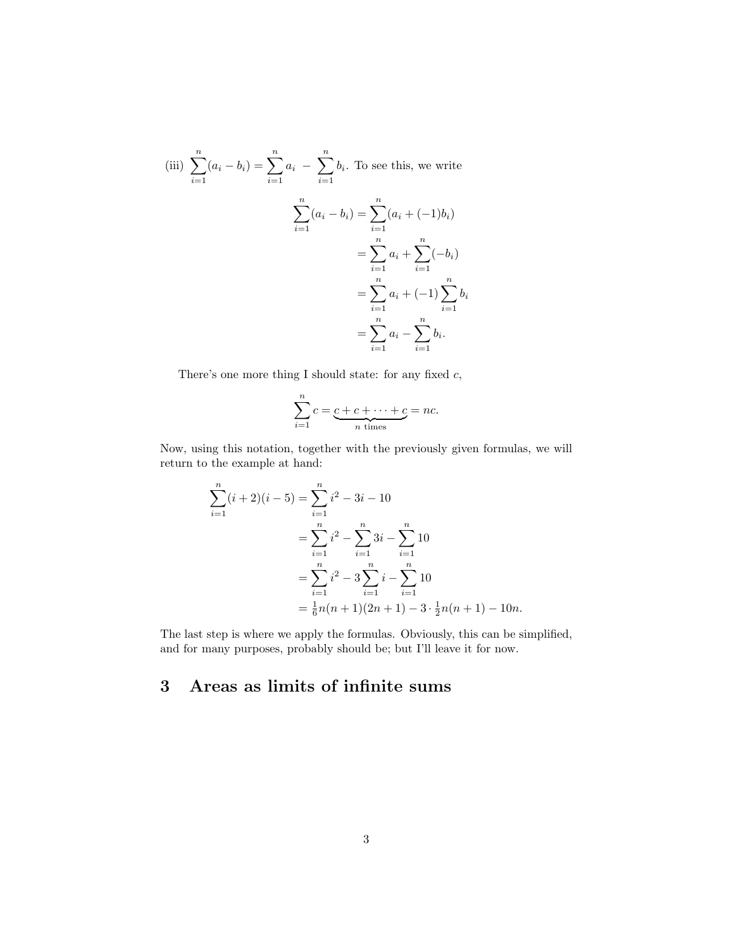(iii) 
$$
\sum_{i=1}^{n} (a_i - b_i) = \sum_{i=1}^{n} a_i - \sum_{i=1}^{n} b_i
$$
. To see this, we write  

$$
\sum_{i=1}^{n} (a_i - b_i) = \sum_{i=1}^{n} (a_i + (-1)b_i)
$$

$$
= \sum_{i=1}^{n} a_i + \sum_{i=1}^{n} (-b_i)
$$

$$
= \sum_{i=1}^{n} a_i + (-1) \sum_{i=1}^{n} b_i
$$

$$
= \sum_{i=1}^{n} a_i - \sum_{i=1}^{n} b_i.
$$

There's one more thing I should state: for any fixed  $c$ ,

$$
\sum_{i=1}^{n} c = \underbrace{c + c + \dots + c}_{n \text{ times}} = nc.
$$

Now, using this notation, together with the previously given formulas, we will return to the example at hand:

$$
\sum_{i=1}^{n} (i+2)(i-5) = \sum_{i=1}^{n} i^2 - 3i - 10
$$
  
= 
$$
\sum_{i=1}^{n} i^2 - \sum_{i=1}^{n} 3i - \sum_{i=1}^{n} 10
$$
  
= 
$$
\sum_{i=1}^{n} i^2 - 3 \sum_{i=1}^{n} i - \sum_{i=1}^{n} 10
$$
  
= 
$$
\frac{1}{6}n(n+1)(2n+1) - 3 \cdot \frac{1}{2}n(n+1) - 10n.
$$

The last step is where we apply the formulas. Obviously, this can be simplified, and for many purposes, probably should be; but I'll leave it for now.

## 3 Areas as limits of infinite sums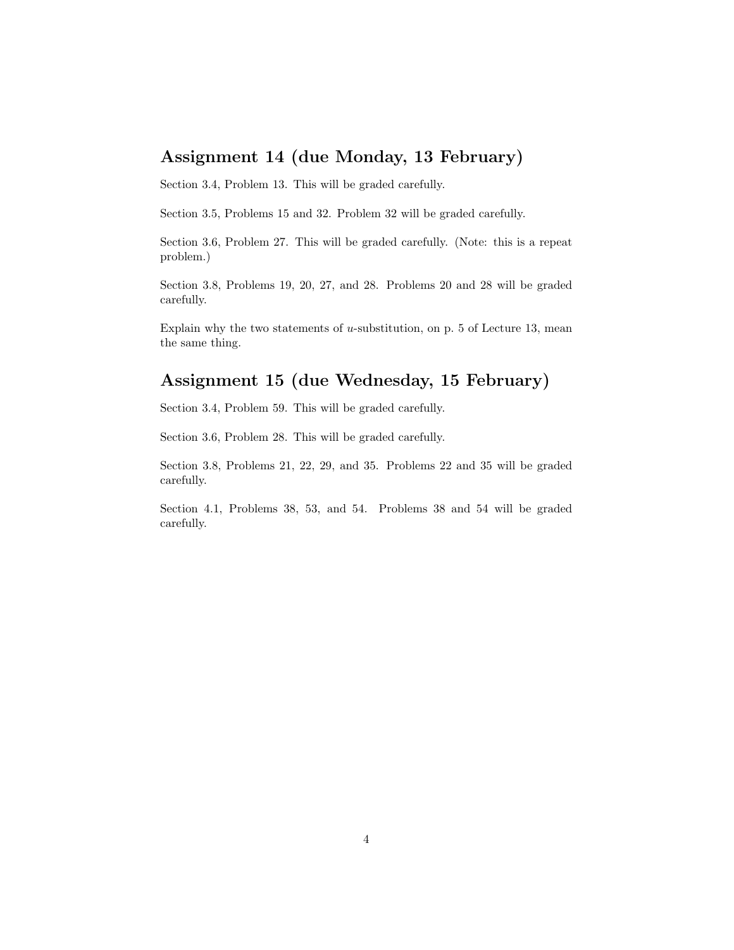## Assignment 14 (due Monday, 13 February)

Section 3.4, Problem 13. This will be graded carefully.

Section 3.5, Problems 15 and 32. Problem 32 will be graded carefully.

Section 3.6, Problem 27. This will be graded carefully. (Note: this is a repeat problem.)

Section 3.8, Problems 19, 20, 27, and 28. Problems 20 and 28 will be graded carefully.

Explain why the two statements of u-substitution, on p. 5 of Lecture 13, mean the same thing.

#### Assignment 15 (due Wednesday, 15 February)

Section 3.4, Problem 59. This will be graded carefully.

Section 3.6, Problem 28. This will be graded carefully.

Section 3.8, Problems 21, 22, 29, and 35. Problems 22 and 35 will be graded carefully.

Section 4.1, Problems 38, 53, and 54. Problems 38 and 54 will be graded carefully.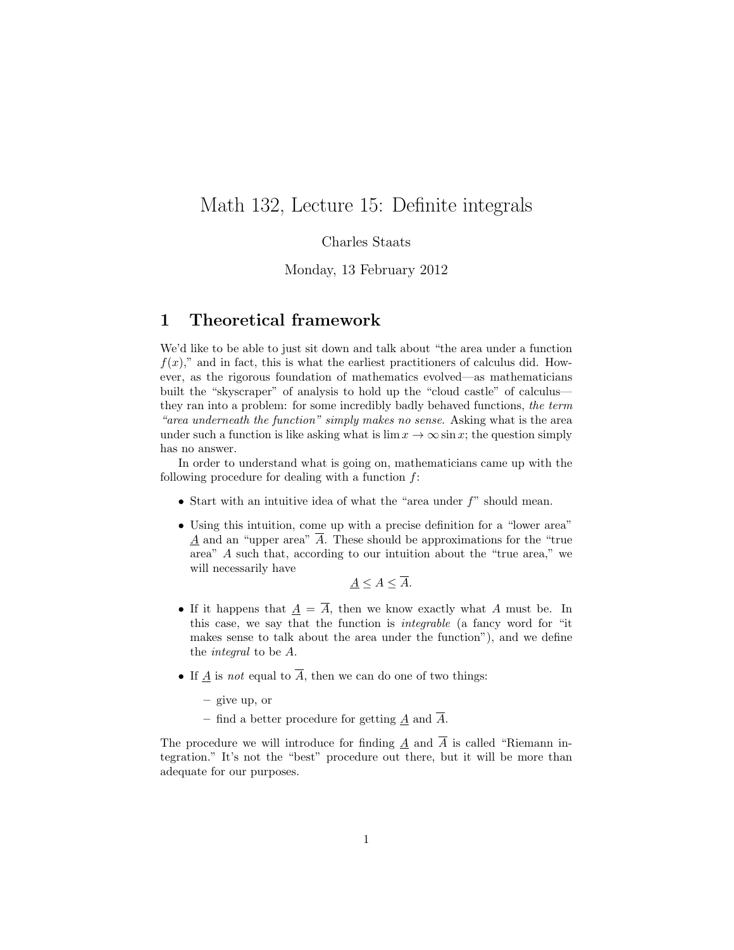## Math 132, Lecture 15: Definite integrals

#### Charles Staats

Monday, 13 February 2012

#### 1 Theoretical framework

We'd like to be able to just sit down and talk about "the area under a function  $f(x)$ ," and in fact, this is what the earliest practitioners of calculus did. However, as the rigorous foundation of mathematics evolved—as mathematicians built the "skyscraper" of analysis to hold up the "cloud castle" of calculus they ran into a problem: for some incredibly badly behaved functions, the term "area underneath the function" simply makes no sense. Asking what is the area under such a function is like asking what is  $\lim x \to \infty \sin x$ ; the question simply has no answer.

In order to understand what is going on, mathematicians came up with the following procedure for dealing with a function  $f$ :

- Start with an intuitive idea of what the "area under  $f$ " should mean.
- Using this intuition, come up with a precise definition for a "lower area"  $\underline{A}$  and an "upper area"  $\overline{A}$ . These should be approximations for the "true" area" A such that, according to our intuition about the "true area," we will necessarily have

 $A \leq A \leq \overline{A}.$ 

- If it happens that  $\underline{A} = \overline{A}$ , then we know exactly what A must be. In this case, we say that the function is integrable (a fancy word for "it makes sense to talk about the area under the function"), and we define the integral to be A.
- If  $\underline{A}$  is not equal to  $\overline{A}$ , then we can do one of two things:

– give up, or

– find a better procedure for getting  $\underline{A}$  and  $\overline{A}$ .

The procedure we will introduce for finding  $\underline{A}$  and  $\overline{A}$  is called "Riemann integration." It's not the "best" procedure out there, but it will be more than adequate for our purposes.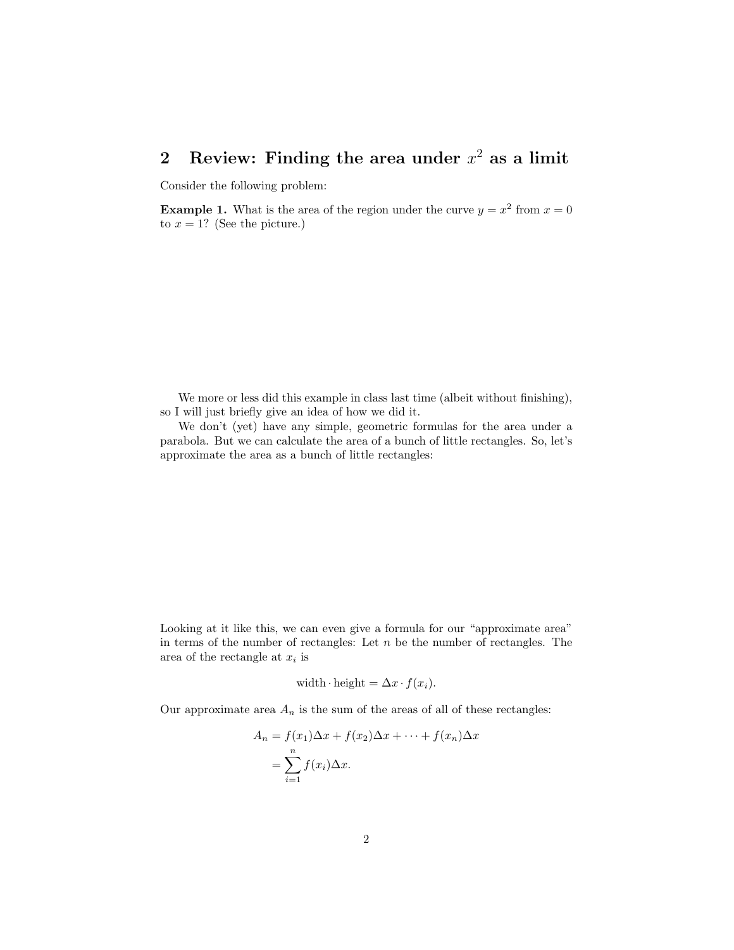## 2 Review: Finding the area under  $x^2$  as a limit

Consider the following problem:

**Example 1.** What is the area of the region under the curve  $y = x^2$  from  $x = 0$ to  $x = 1$ ? (See the picture.)

We more or less did this example in class last time (albeit without finishing), so I will just briefly give an idea of how we did it.

We don't (yet) have any simple, geometric formulas for the area under a parabola. But we can calculate the area of a bunch of little rectangles. So, let's approximate the area as a bunch of little rectangles:

Looking at it like this, we can even give a formula for our "approximate area" in terms of the number of rectangles: Let  $n$  be the number of rectangles. The area of the rectangle at  $x_i$  is

width height = 
$$
\Delta x \cdot f(x_i)
$$
.

Our approximate area  $A_n$  is the sum of the areas of all of these rectangles:

$$
A_n = f(x_1)\Delta x + f(x_2)\Delta x + \dots + f(x_n)\Delta x
$$
  
= 
$$
\sum_{i=1}^n f(x_i)\Delta x.
$$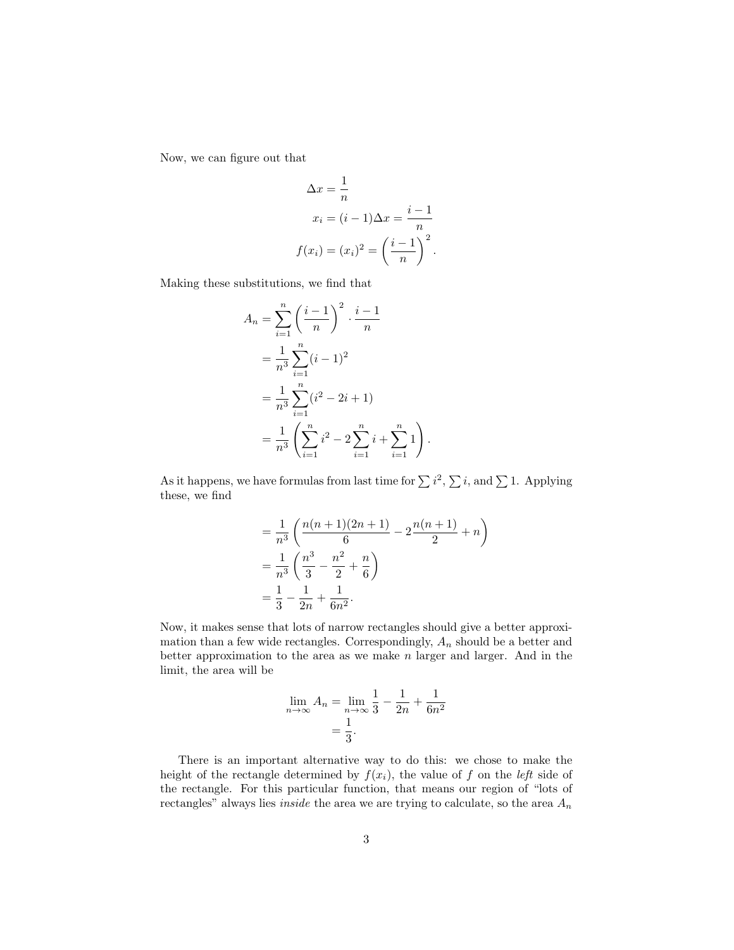Now, we can figure out that

$$
\Delta x = \frac{1}{n}
$$
  

$$
x_i = (i - 1)\Delta x = \frac{i - 1}{n}
$$
  

$$
f(x_i) = (x_i)^2 = \left(\frac{i - 1}{n}\right)^2.
$$

Making these substitutions, we find that

$$
A_n = \sum_{i=1}^n \left(\frac{i-1}{n}\right)^2 \cdot \frac{i-1}{n}
$$
  
=  $\frac{1}{n^3} \sum_{i=1}^n (i-1)^2$   
=  $\frac{1}{n^3} \sum_{i=1}^n (i^2 - 2i + 1)$   
=  $\frac{1}{n^3} \left(\sum_{i=1}^n i^2 - 2\sum_{i=1}^n i + \sum_{i=1}^n 1\right).$ 

As it happens, we have formulas from last time for  $\sum i^2$ ,  $\sum i$ , and  $\sum 1$ . Applying these, we find

$$
= \frac{1}{n^3} \left( \frac{n(n+1)(2n+1)}{6} - 2\frac{n(n+1)}{2} + n \right)
$$
  
=  $\frac{1}{n^3} \left( \frac{n^3}{3} - \frac{n^2}{2} + \frac{n}{6} \right)$   
=  $\frac{1}{3} - \frac{1}{2n} + \frac{1}{6n^2}$ .

Now, it makes sense that lots of narrow rectangles should give a better approximation than a few wide rectangles. Correspondingly,  $A_n$  should be a better and better approximation to the area as we make  $n$  larger and larger. And in the limit, the area will be

$$
\lim_{n \to \infty} A_n = \lim_{n \to \infty} \frac{1}{3} - \frac{1}{2n} + \frac{1}{6n^2}
$$

$$
= \frac{1}{3}.
$$

There is an important alternative way to do this: we chose to make the height of the rectangle determined by  $f(x_i)$ , the value of f on the *left* side of the rectangle. For this particular function, that means our region of "lots of rectangles" always lies *inside* the area we are trying to calculate, so the area  $A_n$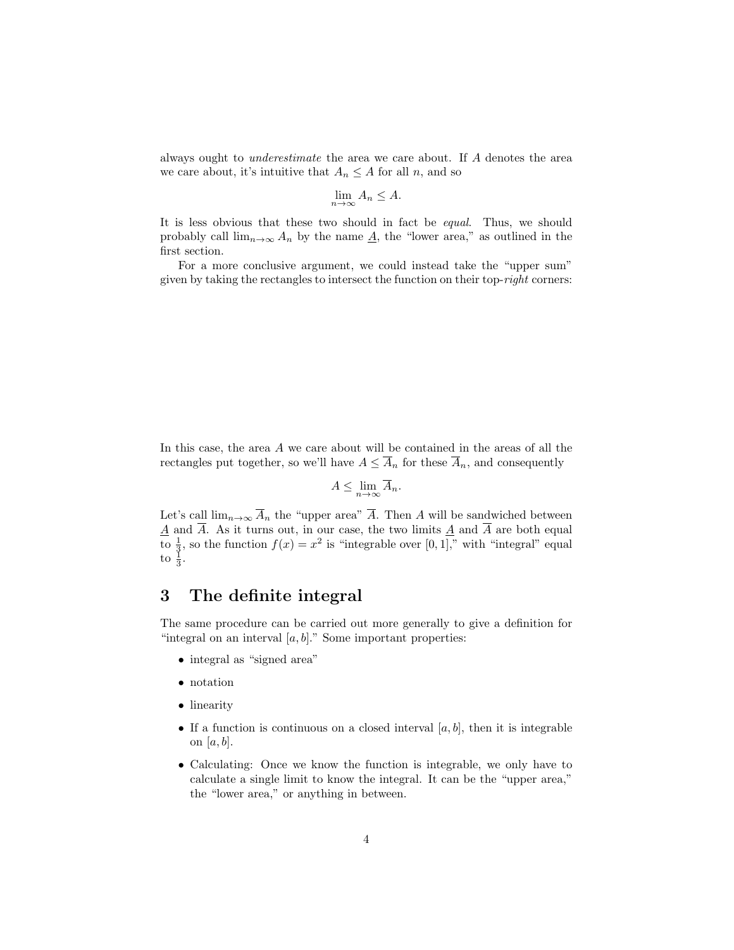always ought to underestimate the area we care about. If A denotes the area we care about, it's intuitive that  $A_n \leq A$  for all n, and so

$$
\lim_{n \to \infty} A_n \le A.
$$

It is less obvious that these two should in fact be equal. Thus, we should probably call  $\lim_{n\to\infty} A_n$  by the name  $\underline{A}$ , the "lower area," as outlined in the first section.

For a more conclusive argument, we could instead take the "upper sum" given by taking the rectangles to intersect the function on their top-right corners:

In this case, the area A we care about will be contained in the areas of all the rectangles put together, so we'll have  $A \leq \overline{A}_n$  for these  $\overline{A}_n$ , and consequently

$$
A \le \lim_{n \to \infty} \overline{A}_n.
$$

Let's call  $\lim_{n\to\infty} \overline{A}_n$  the "upper area"  $\overline{A}$ . Then A will be sandwiched between  $\underline{A}$  and A. As it turns out, in our case, the two limits  $\underline{A}$  and A are both equal to  $\frac{1}{3}$ , so the function  $f(x) = x^2$  is "integrable over [0, 1]," with "integral" equal to  $\frac{1}{3}$ .

#### 3 The definite integral

The same procedure can be carried out more generally to give a definition for "integral on an interval  $[a, b]$ ." Some important properties:

- integral as "signed area"
- notation
- linearity
- If a function is continuous on a closed interval  $[a, b]$ , then it is integrable on [a, b].
- Calculating: Once we know the function is integrable, we only have to calculate a single limit to know the integral. It can be the "upper area," the "lower area," or anything in between.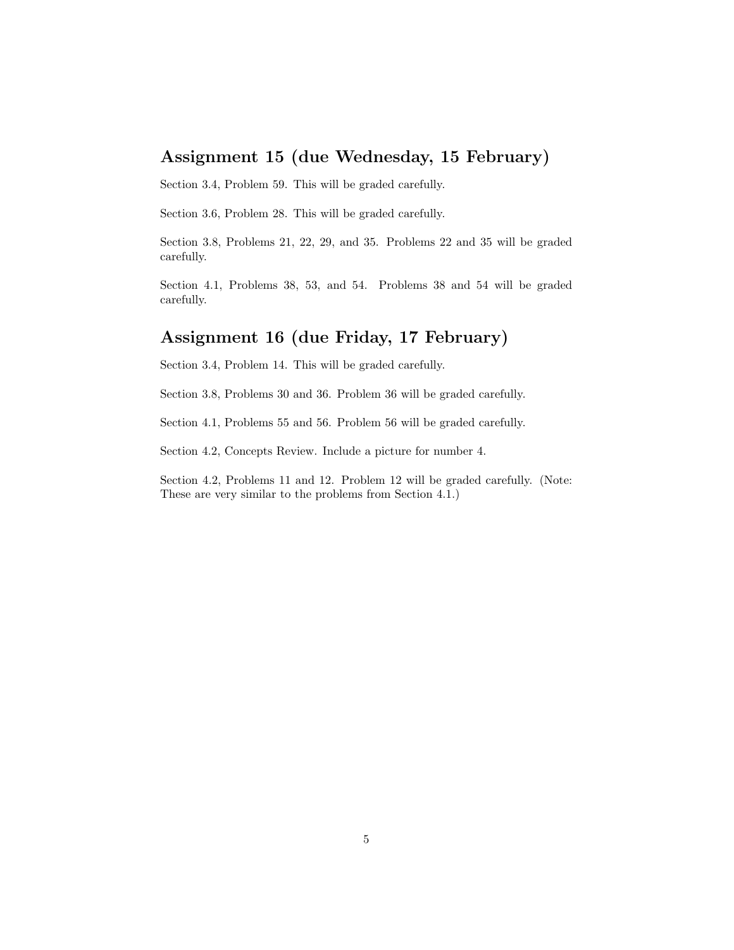# Assignment 15 (due Wednesday, 15 February)

Section 3.4, Problem 59. This will be graded carefully.

Section 3.6, Problem 28. This will be graded carefully.

Section 3.8, Problems 21, 22, 29, and 35. Problems 22 and 35 will be graded carefully.

Section 4.1, Problems 38, 53, and 54. Problems 38 and 54 will be graded carefully.

### Assignment 16 (due Friday, 17 February)

Section 3.4, Problem 14. This will be graded carefully.

Section 3.8, Problems 30 and 36. Problem 36 will be graded carefully.

Section 4.1, Problems 55 and 56. Problem 56 will be graded carefully.

Section 4.2, Concepts Review. Include a picture for number 4.

Section 4.2, Problems 11 and 12. Problem 12 will be graded carefully. (Note: These are very similar to the problems from Section 4.1.)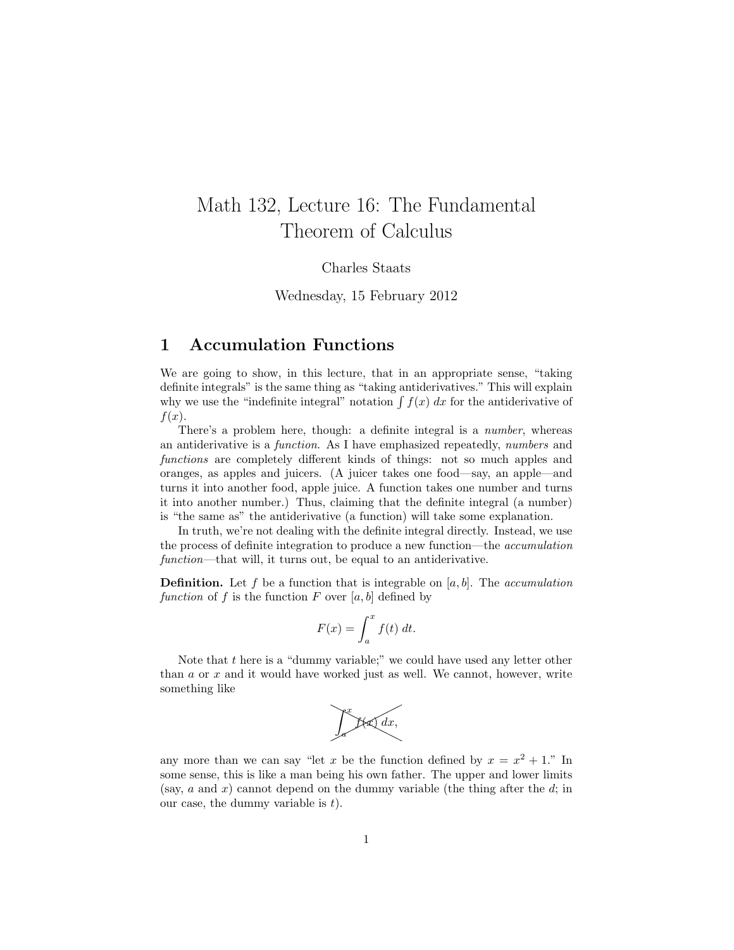# Math 132, Lecture 16: The Fundamental Theorem of Calculus

Charles Staats

Wednesday, 15 February 2012

#### **Accumulation Functions** 1

We are going to show, in this lecture, that in an appropriate sense, "taking" definite integrals" is the same thing as "taking antiderivatives." This will explain why we use the "indefinite integral" notation  $\int f(x) dx$  for the antiderivative of  $f(x)$ .

There's a problem here, though: a definite integral is a *number*, whereas an antiderivative is a *function*. As I have emphasized repeatedly, *numbers* and functions are completely different kinds of things: not so much apples and oranges, as apples and juicers. (A juicer takes one food—say, an apple—and turns it into another food, apple juice. A function takes one number and turns it into another number.) Thus, claiming that the definite integral (a number) is "the same as" the antiderivative (a function) will take some explanation.

In truth, we're not dealing with the definite integral directly. Instead, we use the process of definite integration to produce a new function—the *accumulation* function—that will, it turns out, be equal to an antiderivative.

**Definition.** Let f be a function that is integrable on [a, b]. The accumulation function of f is the function F over [a, b] defined by

$$
F(x) = \int_{a}^{x} f(t) \, dt.
$$

Note that  $t$  here is a "dummy variable;" we could have used any letter other than  $a$  or  $x$  and it would have worked just as well. We cannot, however, write something like



any more than we can say "let x be the function defined by  $x = x^2 + 1$ ." In some sense, this is like a man being his own father. The upper and lower limits (say, a and x) cannot depend on the dummy variable (the thing after the d; in our case, the dummy variable is  $t$ .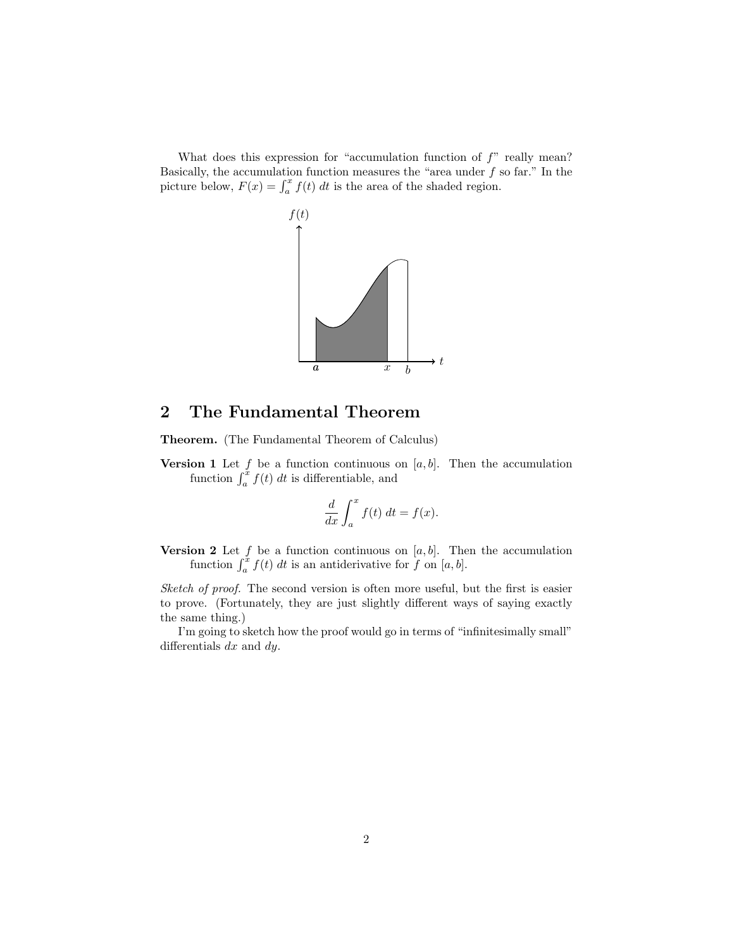What does this expression for "accumulation function of  $f$ " really mean? Basically, the accumulation function measures the "area under  $f$  so far." In the picture below,  $F(x) = \int_a^x f(t) dt$  is the area of the shaded region.



#### $\overline{2}$ The Fundamental Theorem

Theorem. (The Fundamental Theorem of Calculus)

**Version 1** Let f be a function continuous on  $[a, b]$ . Then the accumulation function  $\int_a^{\tilde{x}} f(t) dt$  is differentiable, and

$$
\frac{d}{dx} \int_{a}^{x} f(t) dt = f(x).
$$

**Version 2** Let  $f$  be a function continuous on [a, b]. Then the accumulation function  $\int_a^x f(t) dt$  is an antiderivative for f on [a, b].

Sketch of proof. The second version is often more useful, but the first is easier to prove. (Fortunately, they are just slightly different ways of saying exactly the same thing.)

I'm going to sketch how the proof would go in terms of "infinitesimally small" differentials  $dx$  and  $dy$ .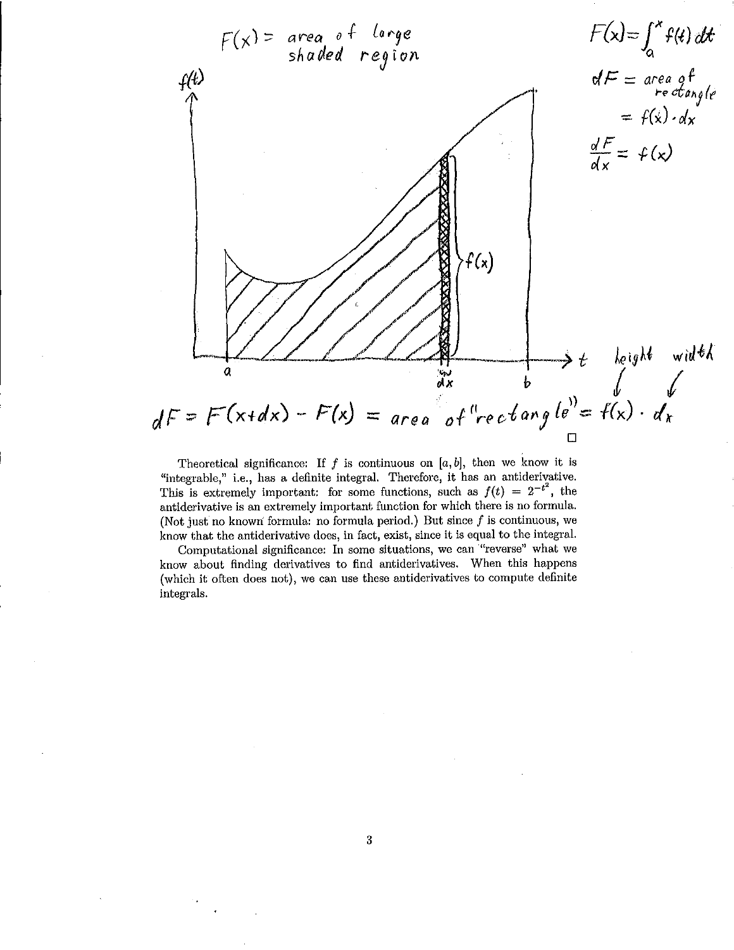

Theoretical significance: If  $f$  is continuous on  $[a, b]$ , then we know it is "integrable," i.e., has a definite integral. Therefore, it has an antiderivative. This is extremely important: for some functions, such as  $f(t) = 2^{-t^2}$ , the antiderivative is an extremely important function for which there is no formula. (Not just no known formula: no formula period.) But since  $f$  is continuous, we know that the antiderivative does, in fact, exist, since it is equal to the integral.

Computational significance: In some situations, we can "reverse" what we know about finding derivatives to find antiderivatives. When this happens (which it often does not), we can use these antiderivatives to compute definite integrals.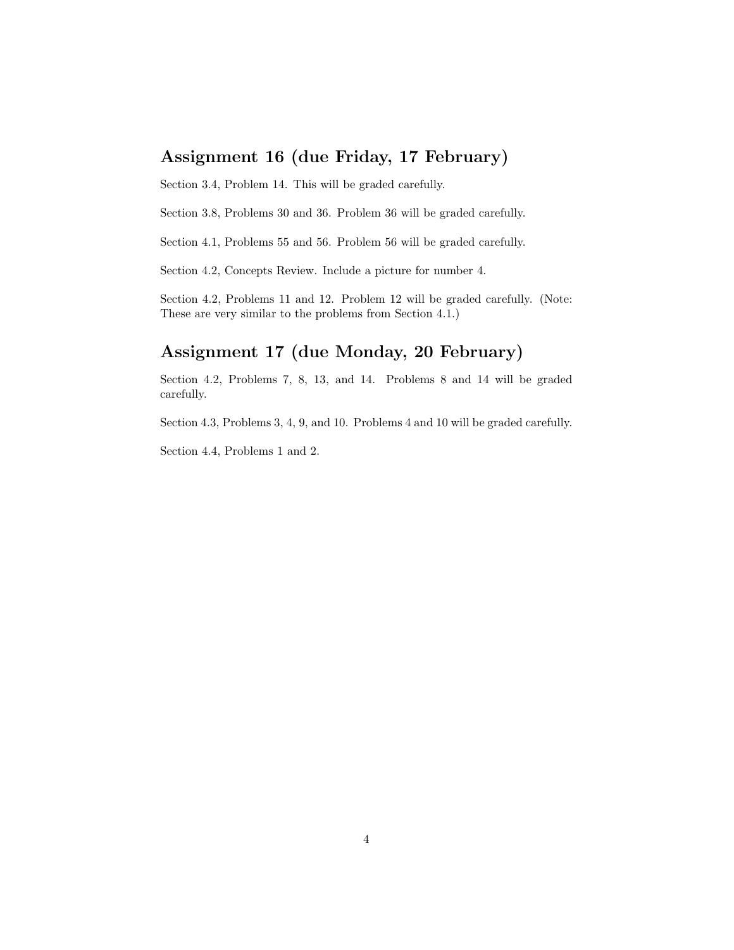# Assignment 16 (due Friday, 17 February)

Section 3.4, Problem 14. This will be graded carefully.

Section 3.8, Problems 30 and 36. Problem 36 will be graded carefully.

Section 4.1, Problems 55 and 56. Problem 56 will be graded carefully.

Section 4.2, Concepts Review. Include a picture for number 4.

Section 4.2, Problems 11 and 12. Problem 12 will be graded carefully. (Note: These are very similar to the problems from Section 4.1.)

# Assignment 17 (due Monday, 20 February)

Section 4.2, Problems 7, 8, 13, and 14. Problems 8 and 14 will be graded carefully.

Section 4.3, Problems 3, 4, 9, and 10. Problems 4 and 10 will be graded carefully.

Section 4.4, Problems 1 and 2.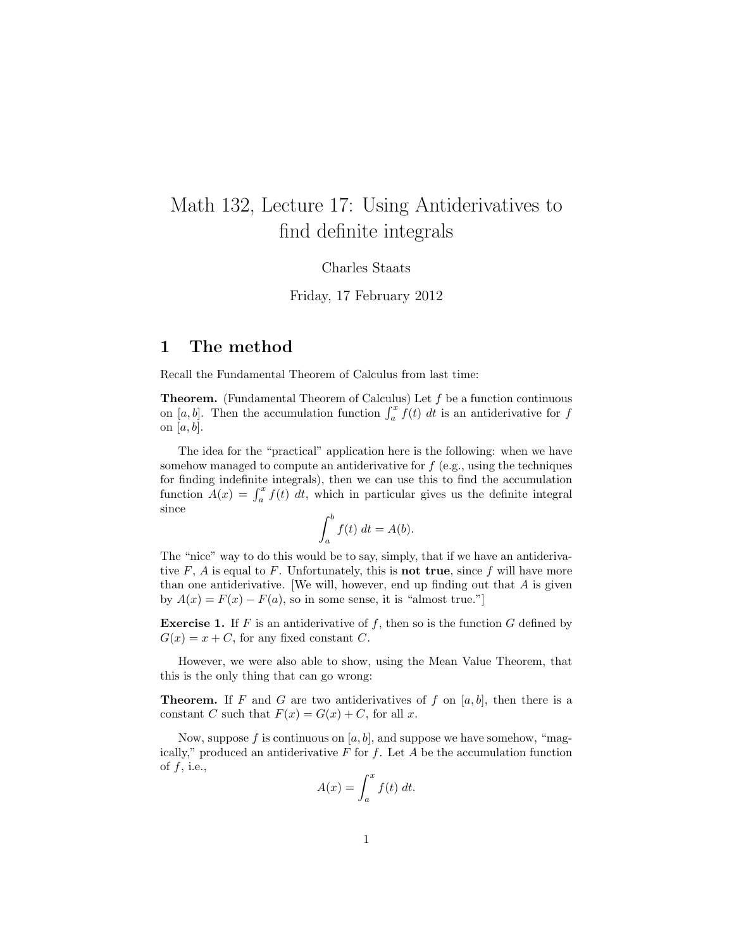# Math 132, Lecture 17: Using Antiderivatives to find definite integrals

Charles Staats

Friday, 17 February 2012

#### 1 The method

Recall the Fundamental Theorem of Calculus from last time:

**Theorem.** (Fundamental Theorem of Calculus) Let  $f$  be a function continuous on [a, b]. Then the accumulation function  $\int_a^x f(t) dt$  is an antiderivative for f on  $[a, b]$ .

The idea for the "practical" application here is the following: when we have somehow managed to compute an antiderivative for  $f$  (e.g., using the techniques for finding indefinite integrals), then we can use this to find the accumulation function  $\ddot{A}(x) = \int_a^x f(t) dt$ , which in particular gives us the definite integral since

$$
\int_a^b f(t) \, dt = A(b).
$$

The "nice" way to do this would be to say, simply, that if we have an antiderivative  $F$ ,  $\vec{A}$  is equal to  $\vec{F}$ . Unfortunately, this is **not true**, since  $\vec{f}$  will have more than one antiderivative. We will, however, end up finding out that  $A$  is given by  $A(x) = F(x) - F(a)$ , so in some sense, it is "almost true."]

**Exercise 1.** If F is an antiderivative of f, then so is the function G defined by  $G(x) = x + C$ , for any fixed constant C.

However, we were also able to show, using the Mean Value Theorem, that this is the only thing that can go wrong:

**Theorem.** If F and G are two antiderivatives of f on  $[a, b]$ , then there is a constant C such that  $F(x) = G(x) + C$ , for all x.

Now, suppose f is continuous on  $[a, b]$ , and suppose we have somehow, "magically," produced an antiderivative  $F$  for  $f$ . Let  $A$  be the accumulation function of  $f$ , i.e.,

$$
A(x) = \int_{a}^{x} f(t) \, dt.
$$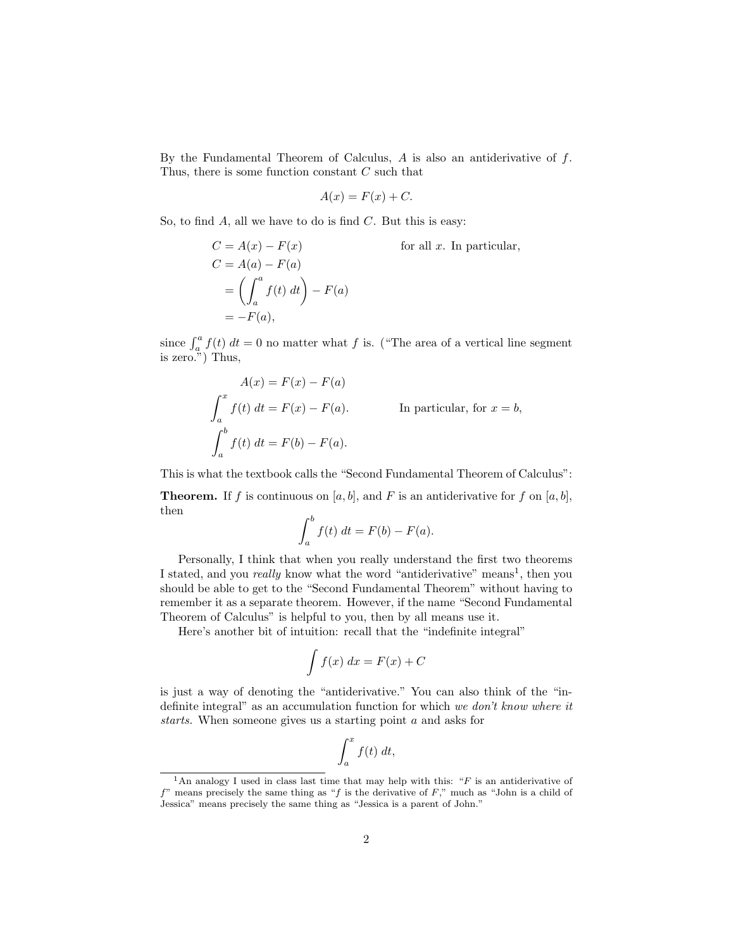By the Fundamental Theorem of Calculus,  $A$  is also an antiderivative of  $f$ . Thus, there is some function constant  $C$  such that

$$
A(x) = F(x) + C.
$$

So, to find  $A$ , all we have to do is find  $C$ . But this is easy:

$$
C = A(x) - F(x)
$$
 for all  $x$ . In particular,  
\n
$$
C = A(a) - F(a)
$$
  
\n
$$
= \left( \int_a^a f(t) dt \right) - F(a)
$$
  
\n
$$
= -F(a),
$$

since  $\int_a^a f(t) dt = 0$  no matter what f is. ("The area of a vertical line segment is zero.") Thus,

$$
A(x) = F(x) - F(a)
$$
  

$$
\int_{a}^{x} f(t) dt = F(x) - F(a).
$$
 In particular, for  $x = b$ ,  

$$
\int_{a}^{b} f(t) dt = F(b) - F(a).
$$

This is what the textbook calls the "Second Fundamental Theorem of Calculus":

**Theorem.** If f is continuous on [a, b], and F is an antiderivative for f on [a, b], then

$$
\int_a^b f(t) \, dt = F(b) - F(a).
$$

Personally, I think that when you really understand the first two theorems I stated, and you *really* know what the word "antiderivative" means<sup>1</sup>, then you should be able to get to the "Second Fundamental Theorem" without having to remember it as a separate theorem. However, if the name "Second Fundamental Theorem of Calculus" is helpful to you, then by all means use it.

Here's another bit of intuition: recall that the "indefinite integral"

$$
\int f(x) \, dx = F(x) + C
$$

is just a way of denoting the "antiderivative." You can also think of the "indefinite integral" as an accumulation function for which we don't know where it starts. When someone gives us a starting point a and asks for

$$
\int_{a}^{x} f(t) \; dt,
$$

<sup>&</sup>lt;sup>1</sup>An analogy I used in class last time that may help with this: " $F$  is an antiderivative of  $f$ " means precisely the same thing as "f is the derivative of F," much as "John is a child of Jessica" means precisely the same thing as "Jessica is a parent of John."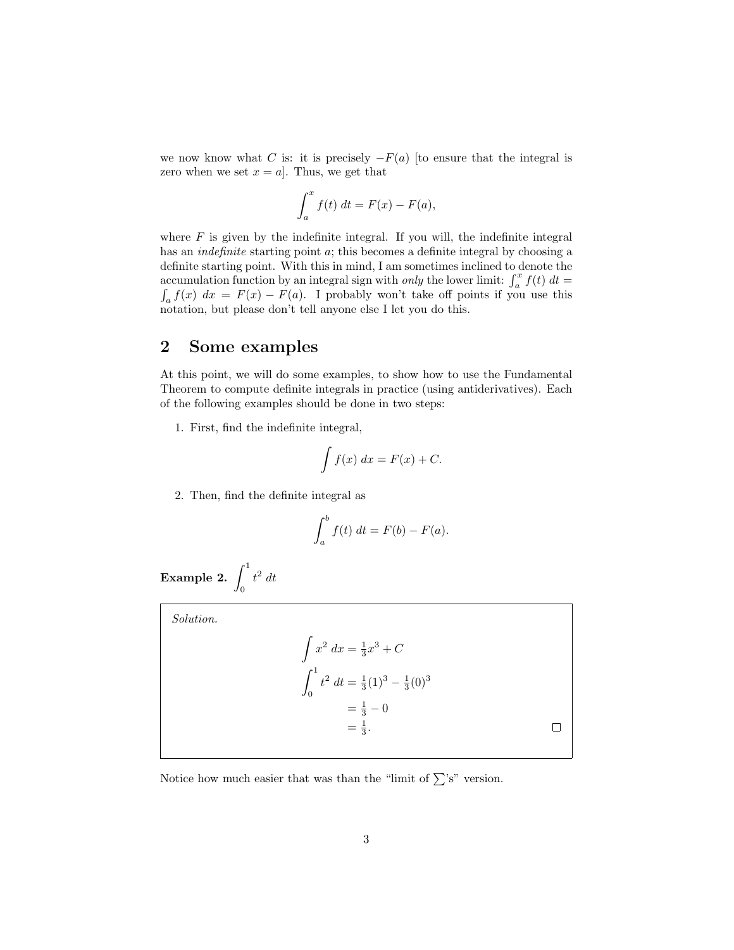we now know what C is: it is precisely  $-F(a)$  [to ensure that the integral is zero when we set  $x = a$ . Thus, we get that

$$
\int_a^x f(t) \, dt = F(x) - F(a),
$$

where  $F$  is given by the indefinite integral. If you will, the indefinite integral has an *indefinite* starting point a; this becomes a definite integral by choosing a definite starting point. With this in mind, I am sometimes inclined to denote the accumulation function by an integral sign with *only* the lower limit:  $\int_a^x f(t) dt =$ <br> $\int_a^x f(x) dx = F(x) - F(a)$ . I probably won't take off points if you use this  $\int_a^b f(x) \, dx = F(x) - F(a)$ . I probably won't take off points if you use this notation, but please don't tell anyone else I let you do this.

#### 2 Some examples

At this point, we will do some examples, to show how to use the Fundamental Theorem to compute definite integrals in practice (using antiderivatives). Each of the following examples should be done in two steps:

1. First, find the indefinite integral,

$$
\int f(x) \, dx = F(x) + C.
$$

2. Then, find the definite integral as

J

$$
\int_a^b f(t) \, dt = F(b) - F(a).
$$

Example 2.  $\int^1$ 0  $t^2 dt$ 

Solution.

| $\int x^2 dx = \frac{1}{3}x^3 + C$                          |  |
|-------------------------------------------------------------|--|
| $\int_{0}^{1} t^2 dt = \frac{1}{3}(1)^3 - \frac{1}{3}(0)^3$ |  |
| $=\frac{1}{3}-0$                                            |  |
| $=\frac{1}{3}$ .                                            |  |
|                                                             |  |

Notice how much easier that was than the "limit of  $\sum$ 's" version.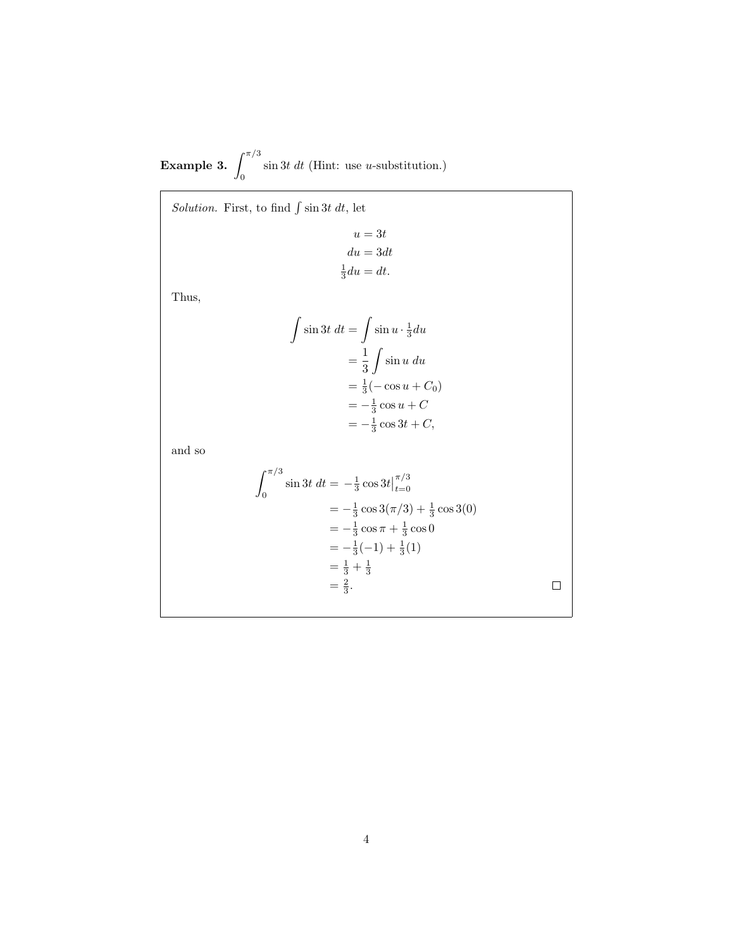Example 3.  $\int^{\pi/3}$ 0  $\sin 3t \, dt$  (Hint: use *u*-substitution.)

Solution. First, to find  $\int \sin 3t \, dt$ , let

$$
u = 3t
$$
  
\n
$$
du = 3dt
$$
  
\n
$$
\frac{1}{3}du = dt.
$$

Thus,

$$
\int \sin 3t \, dt = \int \sin u \cdot \frac{1}{3} du
$$

$$
= \frac{1}{3} \int \sin u \, du
$$

$$
= \frac{1}{3} (-\cos u + C_0)
$$

$$
= -\frac{1}{3} \cos u + C
$$

$$
= -\frac{1}{3} \cos 3t + C,
$$

and so

$$
\int_0^{\pi/3} \sin 3t \, dt = -\frac{1}{3} \cos 3t \Big|_{t=0}^{\pi/3}
$$
  
=  $-\frac{1}{3} \cos 3(\pi/3) + \frac{1}{3} \cos 3(0)$   
=  $-\frac{1}{3} \cos \pi + \frac{1}{3} \cos 0$   
=  $-\frac{1}{3}(-1) + \frac{1}{3}(1)$   
=  $\frac{1}{3} + \frac{1}{3}$   
=  $\frac{2}{3}$ .

 $\Box$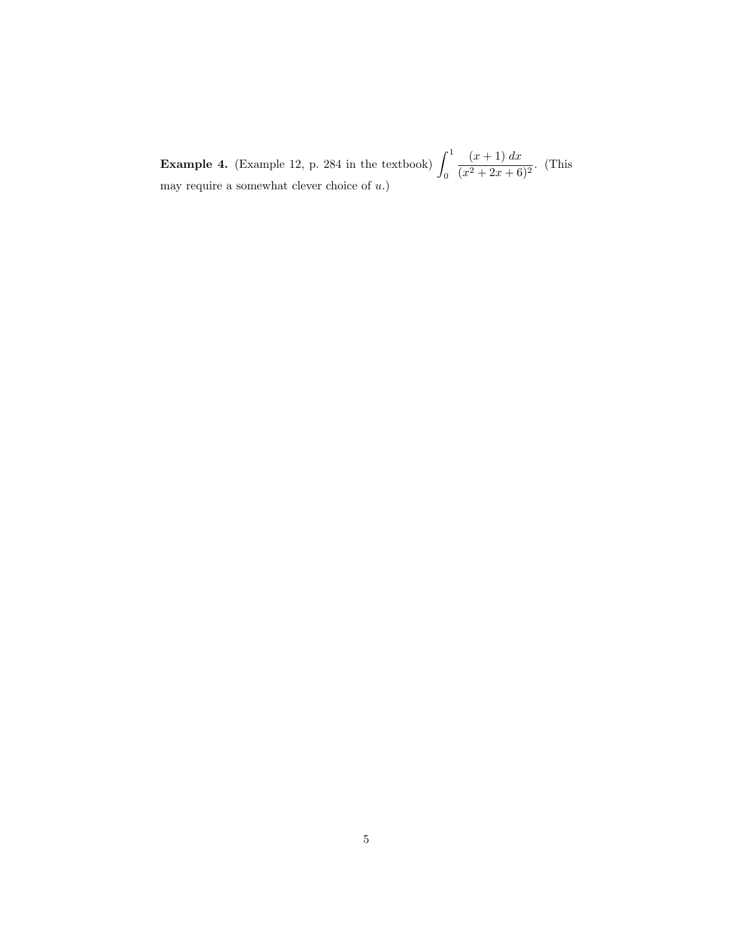**Example 4.** (Example 12, p. 284 in the textbook)  $\int_1^1$ 0  $(x+1) dx$  $\frac{(x+2)x}{(x^2+2x+6)^2}$ . (This may require a somewhat clever choice of  $u$ .)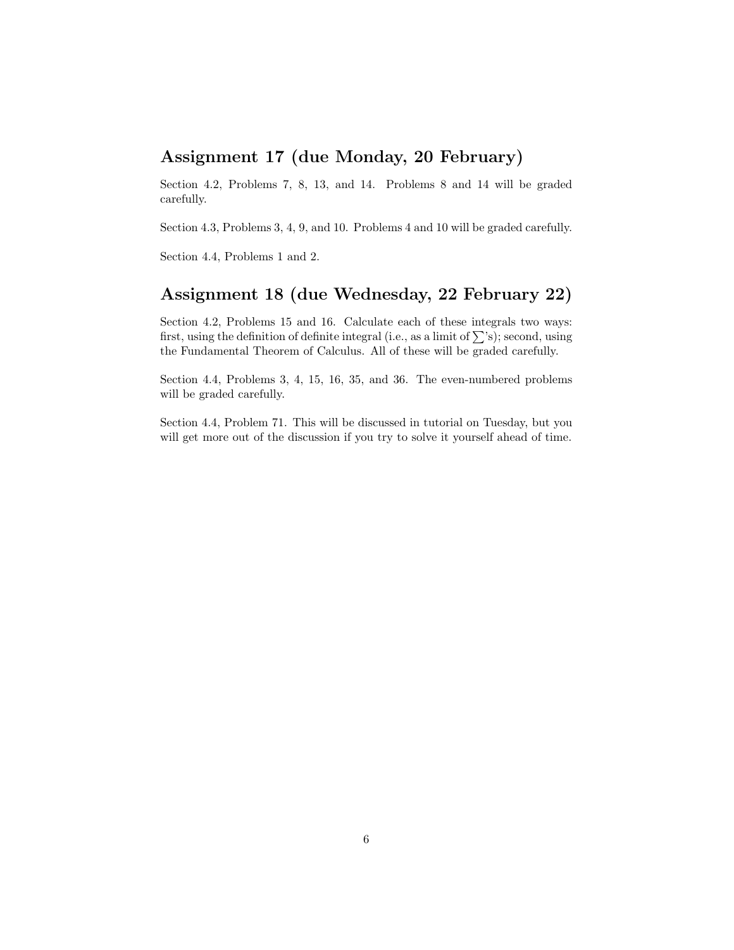# Assignment 17 (due Monday, 20 February)

Section 4.2, Problems 7, 8, 13, and 14. Problems 8 and 14 will be graded carefully.

Section 4.3, Problems 3, 4, 9, and 10. Problems 4 and 10 will be graded carefully.

Section 4.4, Problems 1 and 2.

# Assignment 18 (due Wednesday, 22 February 22)

Section 4.2, Problems 15 and 16. Calculate each of these integrals two ways: first, using the definition of definite integral (i.e., as a limit of  $\sum$ 's); second, using the Fundamental Theorem of Calculus. All of these will be graded carefully.

Section 4.4, Problems 3, 4, 15, 16, 35, and 36. The even-numbered problems will be graded carefully.

Section 4.4, Problem 71. This will be discussed in tutorial on Tuesday, but you will get more out of the discussion if you try to solve it yourself ahead of time.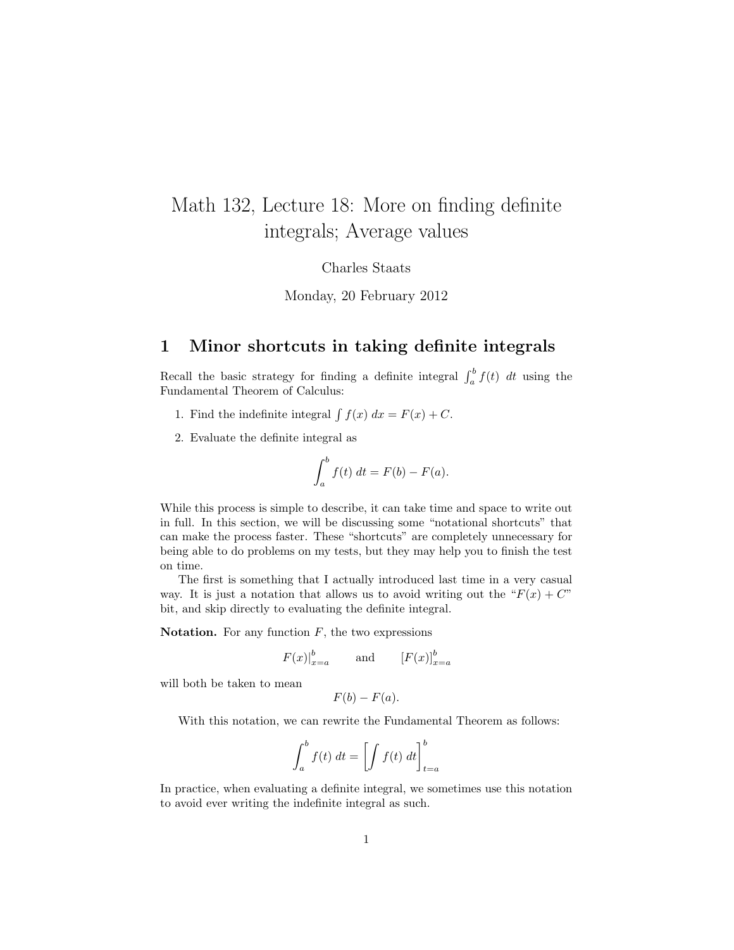# Math 132, Lecture 18: More on finding definite integrals; Average values

Charles Staats

Monday, 20 February 2012

#### 1 Minor shortcuts in taking definite integrals

Recall the basic strategy for finding a definite integral  $\int_a^b f(t) dt$  using the Fundamental Theorem of Calculus:

- 1. Find the indefinite integral  $\int f(x) dx = F(x) + C$ .
- 2. Evaluate the definite integral as

$$
\int_a^b f(t) \, dt = F(b) - F(a).
$$

While this process is simple to describe, it can take time and space to write out in full. In this section, we will be discussing some "notational shortcuts" that can make the process faster. These "shortcuts" are completely unnecessary for being able to do problems on my tests, but they may help you to finish the test on time.

The first is something that I actually introduced last time in a very casual way. It is just a notation that allows us to avoid writing out the " $F(x) + C$ " bit, and skip directly to evaluating the definite integral.

**Notation.** For any function  $F$ , the two expressions

$$
F(x)|_{x=a}^{b} \qquad \text{and} \qquad [F(x)]_{x=a}^{b}
$$

will both be taken to mean

$$
F(b) - F(a).
$$

With this notation, we can rewrite the Fundamental Theorem as follows:

$$
\int_{a}^{b} f(t) dt = \left[ \int f(t) dt \right]_{t=a}^{b}
$$

In practice, when evaluating a definite integral, we sometimes use this notation to avoid ever writing the indefinite integral as such.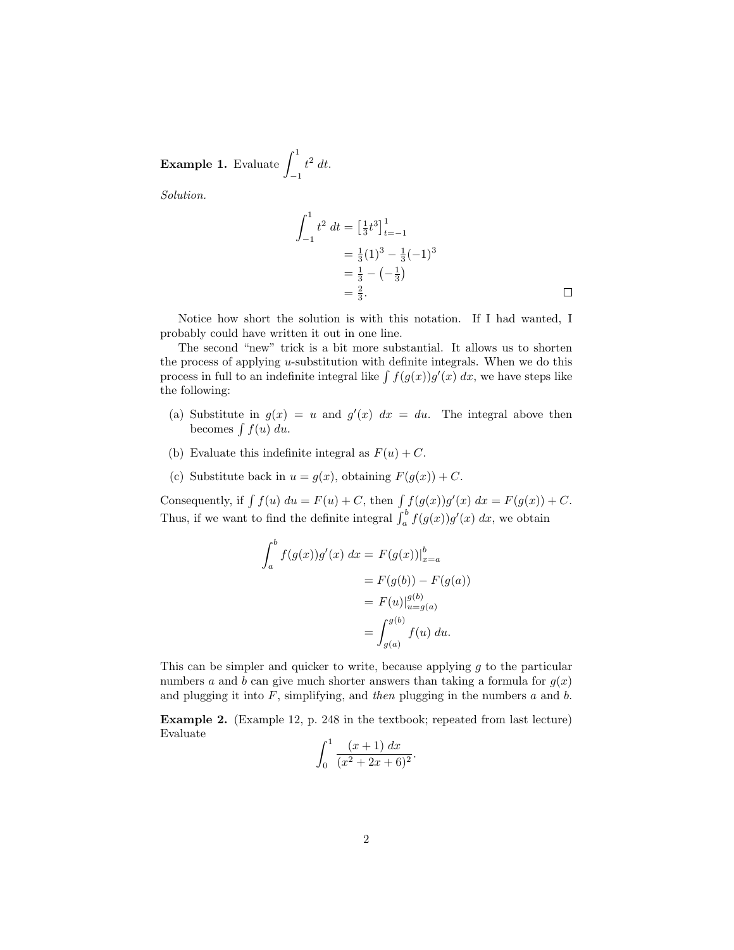**Example 1.** Evaluate 
$$
\int_{-1}^{1} t^2 dt
$$
.

Solution.

$$
\int_{-1}^{1} t^2 dt = \left[\frac{1}{3}t^3\right]_{t=-1}^{1}
$$
  
=  $\frac{1}{3}(1)^3 - \frac{1}{3}(-1)^3$   
=  $\frac{1}{3} - (-\frac{1}{3})$   
=  $\frac{2}{3}$ .

Notice how short the solution is with this notation. If I had wanted, I probably could have written it out in one line.

The second "new" trick is a bit more substantial. It allows us to shorten the process of applying u-substitution with definite integrals. When we do this process in full to an indefinite integral like  $\int f(g(x))g'(x) dx$ , we have steps like the following:

- (a) Substitute in  $g(x) = u$  and  $g'(x) dx = du$ . The integral above then becomes  $\int f(u) du$ .
- (b) Evaluate this indefinite integral as  $F(u) + C$ .
- (c) Substitute back in  $u = g(x)$ , obtaining  $F(g(x)) + C$ .

Consequently, if  $\int f(u) du = F(u) + C$ , then  $\int f(g(x))g'(x) dx = F(g(x)) + C$ . Thus, if we want to find the definite integral  $\int_a^b f(g(x))g'(x) dx$ , we obtain

$$
\int_{a}^{b} f(g(x))g'(x) dx = F(g(x))|_{x=a}^{b}
$$
  
=  $F(g(b)) - F(g(a))$   
=  $F(u)|_{u=g(a)}^{g(b)}$   
=  $\int_{g(a)}^{g(b)} f(u) du.$ 

This can be simpler and quicker to write, because applying  $g$  to the particular numbers a and b can give much shorter answers than taking a formula for  $g(x)$ and plugging it into  $F$ , simplifying, and then plugging in the numbers  $a$  and  $b$ .

Example 2. (Example 12, p. 248 in the textbook; repeated from last lecture) Evaluate

$$
\int_0^1 \frac{(x+1) \, dx}{(x^2+2x+6)^2}.
$$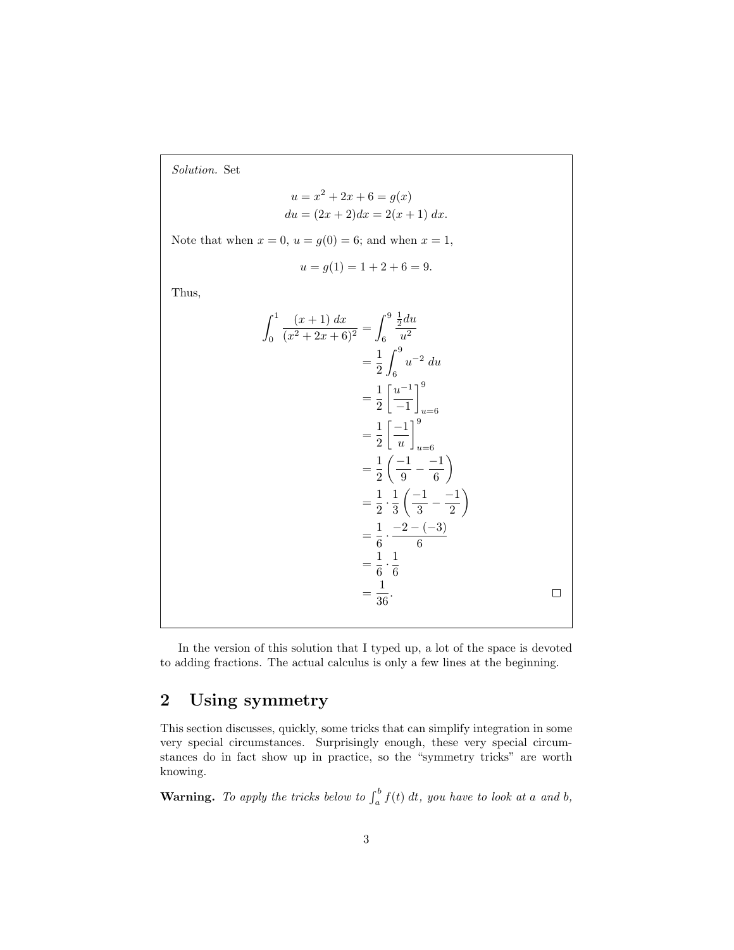Solution. Set

$$
u = x2 + 2x + 6 = g(x)
$$
  

$$
du = (2x + 2)dx = 2(x + 1) dx.
$$

Note that when  $x = 0$ ,  $u = g(0) = 6$ ; and when  $x = 1$ ,

$$
u = g(1) = 1 + 2 + 6 = 9.
$$

Thus,

$$
\int_0^1 \frac{(x+1) dx}{(x^2+2x+6)^2} = \int_6^9 \frac{\frac{1}{2} du}{u^2}
$$
  
\n
$$
= \frac{1}{2} \int_6^9 u^{-2} du
$$
  
\n
$$
= \frac{1}{2} \left[ \frac{u^{-1}}{-1} \right]_{u=6}^9
$$
  
\n
$$
= \frac{1}{2} \left( \frac{-1}{u} \right)_{u=6}^9
$$
  
\n
$$
= \frac{1}{2} \left( \frac{-1}{9} - \frac{-1}{6} \right)
$$
  
\n
$$
= \frac{1}{2} \cdot \frac{1}{3} \left( \frac{-1}{3} - \frac{-1}{2} \right)
$$
  
\n
$$
= \frac{1}{6} \cdot \frac{-2 - (-3)}{6}
$$
  
\n
$$
= \frac{1}{6} \cdot \frac{1}{6}
$$
  
\n
$$
= \frac{1}{36}.
$$

In the version of this solution that I typed up, a lot of the space is devoted to adding fractions. The actual calculus is only a few lines at the beginning.

# 2 Using symmetry

This section discusses, quickly, some tricks that can simplify integration in some very special circumstances. Surprisingly enough, these very special circumstances do in fact show up in practice, so the "symmetry tricks" are worth knowing.

**Warning.** To apply the tricks below to  $\int_a^b f(t) dt$ , you have to look at a and b,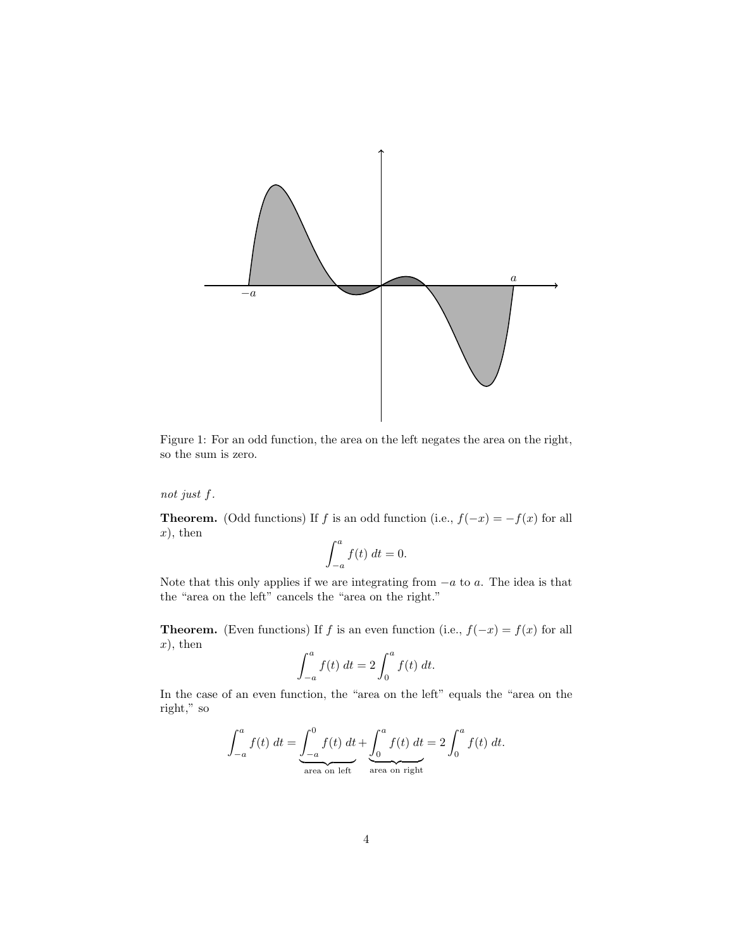

Figure 1: For an odd function, the area on the left negates the area on the right, so the sum is zero.

not just f.

**Theorem.** (Odd functions) If f is an odd function (i.e.,  $f(-x) = -f(x)$  for all  $x)$ , then

$$
\int_{-a}^{a} f(t) \, dt = 0.
$$

Note that this only applies if we are integrating from  $-a$  to  $a$ . The idea is that the "area on the left" cancels the "area on the right."

**Theorem.** (Even functions) If f is an even function (i.e.,  $f(-x) = f(x)$  for all  $x)$ , then

$$
\int_{-a}^{a} f(t) \, dt = 2 \int_{0}^{a} f(t) \, dt.
$$

In the case of an even function, the "area on the left" equals the "area on the right," so

$$
\int_{-a}^{a} f(t) dt = \underbrace{\int_{-a}^{0} f(t) dt}_{\text{area on left}} + \underbrace{\int_{0}^{a} f(t) dt}_{\text{area on right}} = 2 \int_{0}^{a} f(t) dt.
$$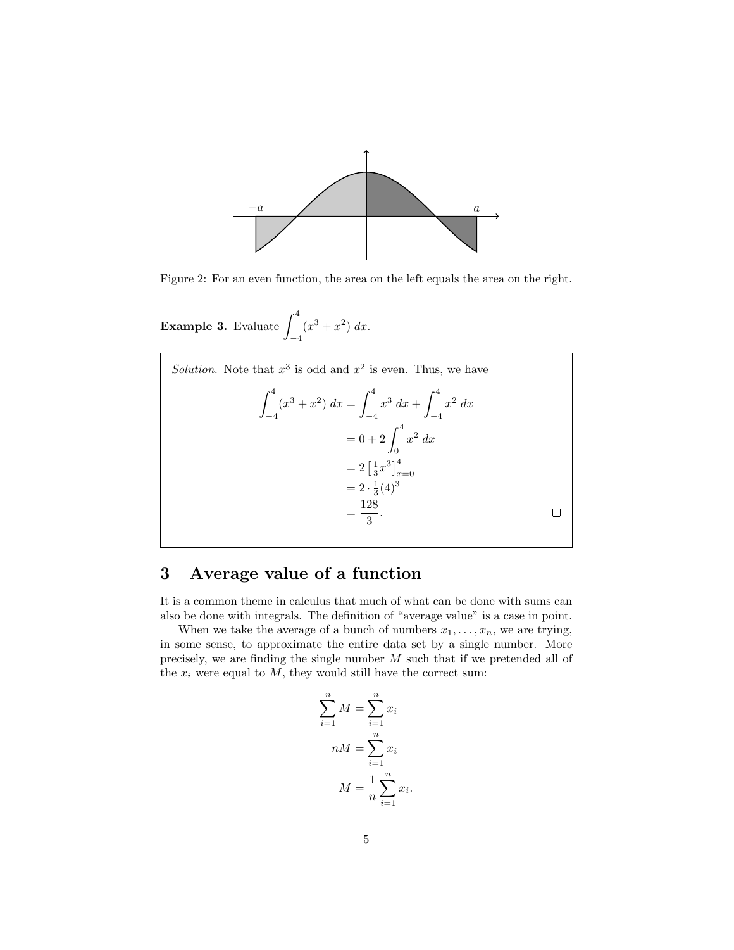

Figure 2: For an even function, the area on the left equals the area on the right.

**Example 3.** Evaluate  $\int^4$  $-4$  $(x^3 + x^2) dx$ .



#### 3 Average value of a function

It is a common theme in calculus that much of what can be done with sums can also be done with integrals. The definition of "average value" is a case in point.

When we take the average of a bunch of numbers  $x_1, \ldots, x_n$ , we are trying, in some sense, to approximate the entire data set by a single number. More precisely, we are finding the single number M such that if we pretended all of the  $x_i$  were equal to  $M$ , they would still have the correct sum:

$$
\sum_{i=1}^{n} M = \sum_{i=1}^{n} x_i
$$

$$
nM = \sum_{i=1}^{n} x_i
$$

$$
M = \frac{1}{n} \sum_{i=1}^{n} x_i.
$$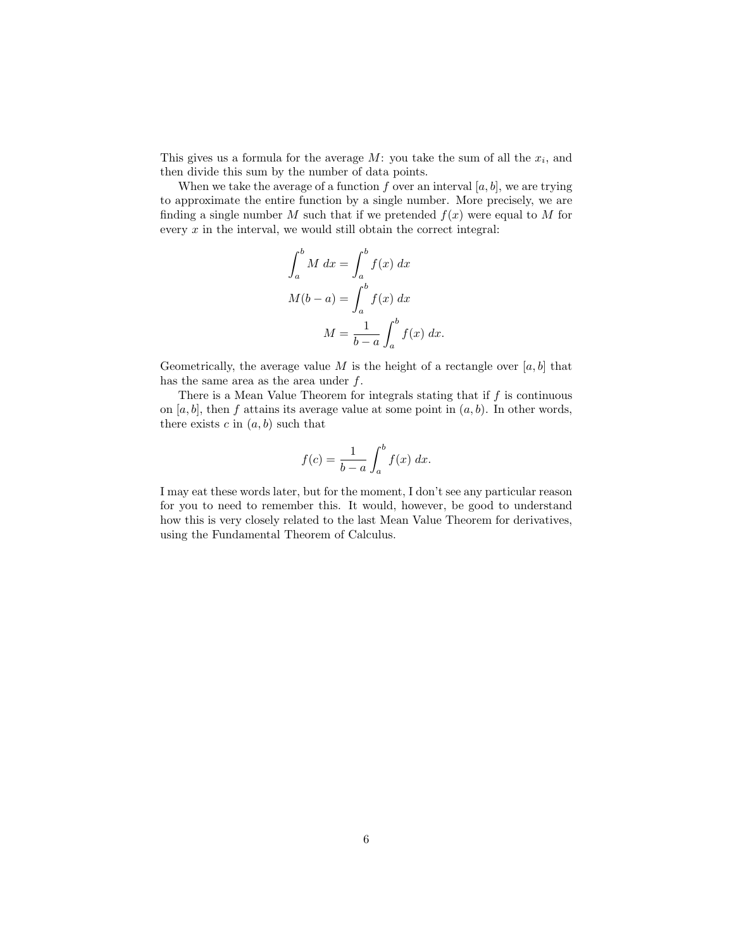This gives us a formula for the average  $M$ : you take the sum of all the  $x_i$ , and then divide this sum by the number of data points.

When we take the average of a function f over an interval  $[a, b]$ , we are trying to approximate the entire function by a single number. More precisely, we are finding a single number M such that if we pretended  $f(x)$  were equal to M for every  $x$  in the interval, we would still obtain the correct integral:

$$
\int_{a}^{b} M dx = \int_{a}^{b} f(x) dx
$$

$$
M(b-a) = \int_{a}^{b} f(x) dx
$$

$$
M = \frac{1}{b-a} \int_{a}^{b} f(x) dx.
$$

Geometrically, the average value M is the height of a rectangle over  $[a, b]$  that has the same area as the area under  $f$ .

There is a Mean Value Theorem for integrals stating that if  $f$  is continuous on [a, b], then f attains its average value at some point in  $(a, b)$ . In other words, there exists c in  $(a, b)$  such that

$$
f(c) = \frac{1}{b-a} \int_a^b f(x) \, dx.
$$

I may eat these words later, but for the moment, I don't see any particular reason for you to need to remember this. It would, however, be good to understand how this is very closely related to the last Mean Value Theorem for derivatives, using the Fundamental Theorem of Calculus.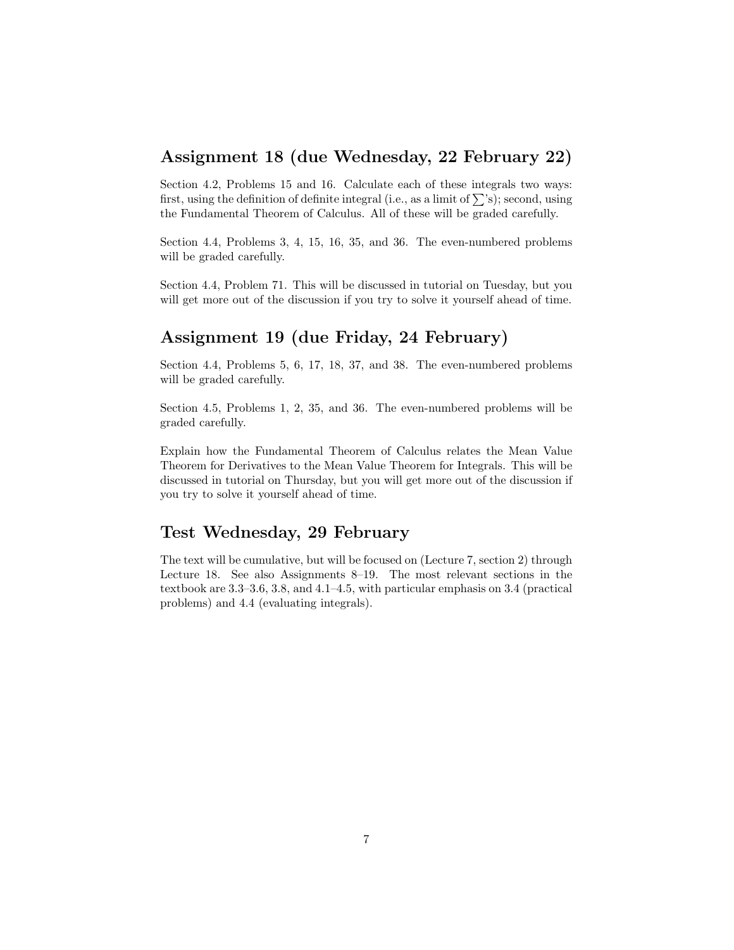#### Assignment 18 (due Wednesday, 22 February 22)

Section 4.2, Problems 15 and 16. Calculate each of these integrals two ways: first, using the definition of definite integral (i.e., as a limit of  $\sum$ 's); second, using the Fundamental Theorem of Calculus. All of these will be graded carefully.

Section 4.4, Problems 3, 4, 15, 16, 35, and 36. The even-numbered problems will be graded carefully.

Section 4.4, Problem 71. This will be discussed in tutorial on Tuesday, but you will get more out of the discussion if you try to solve it yourself ahead of time.

## Assignment 19 (due Friday, 24 February)

Section 4.4, Problems 5, 6, 17, 18, 37, and 38. The even-numbered problems will be graded carefully.

Section 4.5, Problems 1, 2, 35, and 36. The even-numbered problems will be graded carefully.

Explain how the Fundamental Theorem of Calculus relates the Mean Value Theorem for Derivatives to the Mean Value Theorem for Integrals. This will be discussed in tutorial on Thursday, but you will get more out of the discussion if you try to solve it yourself ahead of time.

#### Test Wednesday, 29 February

The text will be cumulative, but will be focused on (Lecture 7, section 2) through Lecture 18. See also Assignments 8–19. The most relevant sections in the textbook are 3.3–3.6, 3.8, and 4.1–4.5, with particular emphasis on 3.4 (practical problems) and 4.4 (evaluating integrals).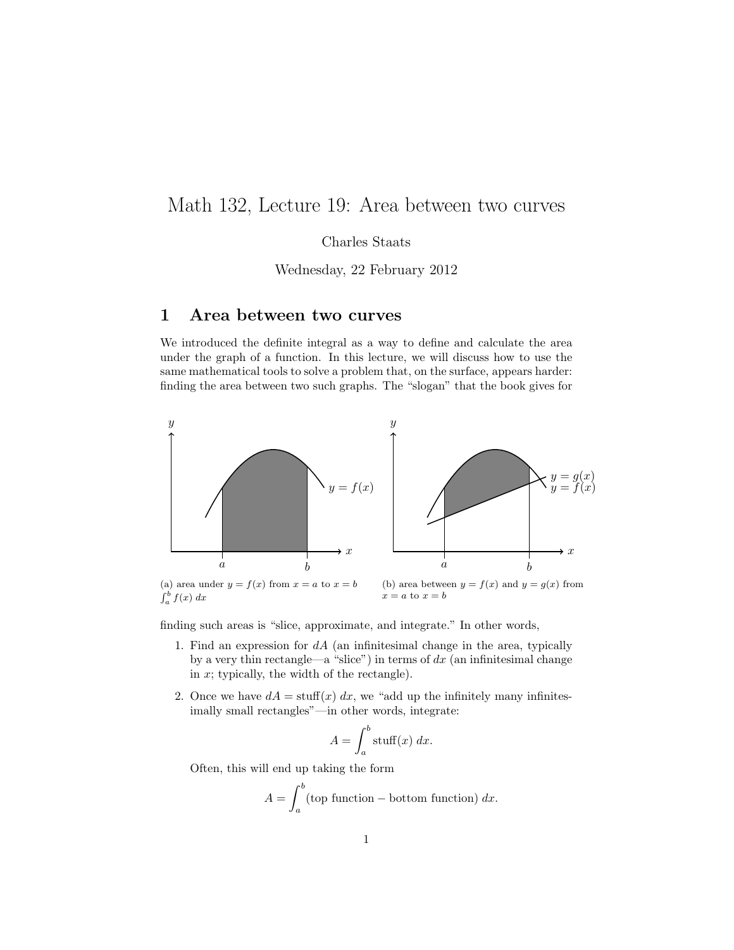# Math 132, Lecture 19: Area between two curves

Charles Staats

Wednesday, 22 February 2012

#### 1 Area between two curves

We introduced the definite integral as a way to define and calculate the area under the graph of a function. In this lecture, we will discuss how to use the same mathematical tools to solve a problem that, on the surface, appears harder: finding the area between two such graphs. The "slogan" that the book gives for



finding such areas is "slice, approximate, and integrate." In other words,

- 1. Find an expression for  $dA$  (an infinitesimal change in the area, typically by a very thin rectangle—a "slice") in terms of  $dx$  (an infinitesimal change in  $x$ ; typically, the width of the rectangle).
- 2. Once we have  $dA = \text{stuff}(x) dx$ , we "add up the infinitely many infinitesimally small rectangles"—in other words, integrate:

$$
A = \int_{a}^{b} \operatorname{stuff}(x) \, dx.
$$

Often, this will end up taking the form

$$
A = \int_{a}^{b} \text{(top function - bottom function)} \, dx.
$$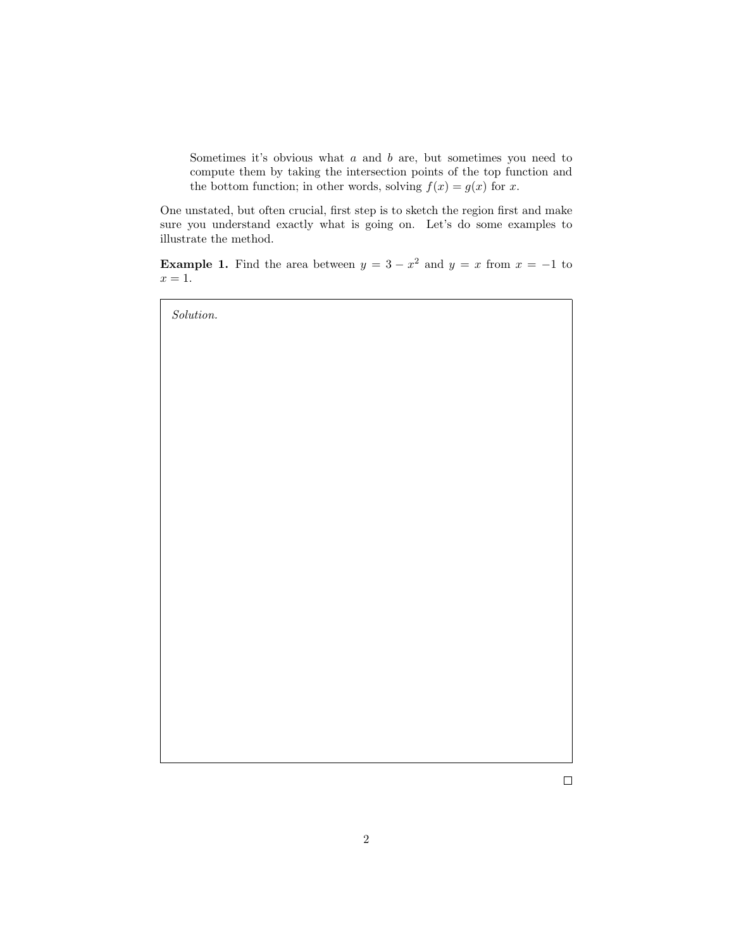Sometimes it's obvious what  $a$  and  $b$  are, but sometimes you need to compute them by taking the intersection points of the top function and the bottom function; in other words, solving  $f(x) = g(x)$  for x.

One unstated, but often crucial, first step is to sketch the region first and make sure you understand exactly what is going on. Let's do some examples to illustrate the method.

**Example 1.** Find the area between  $y = 3 - x^2$  and  $y = x$  from  $x = -1$  to  $x=1.$ 



 $\Box$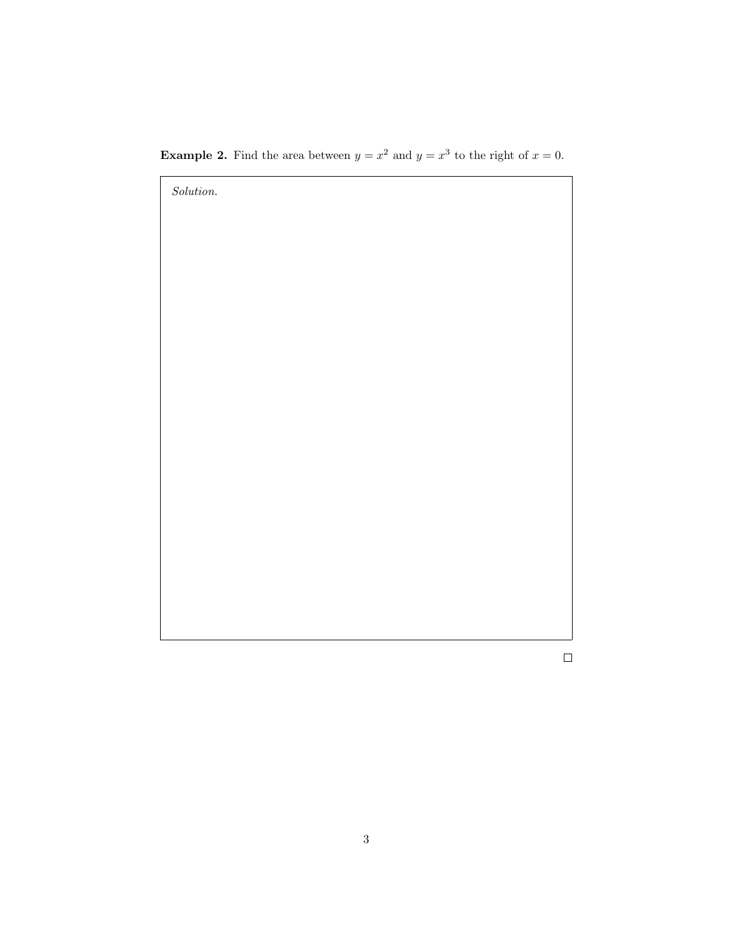**Example 2.** Find the area between  $y = x^2$  and  $y = x^3$  to the right of  $x = 0$ .



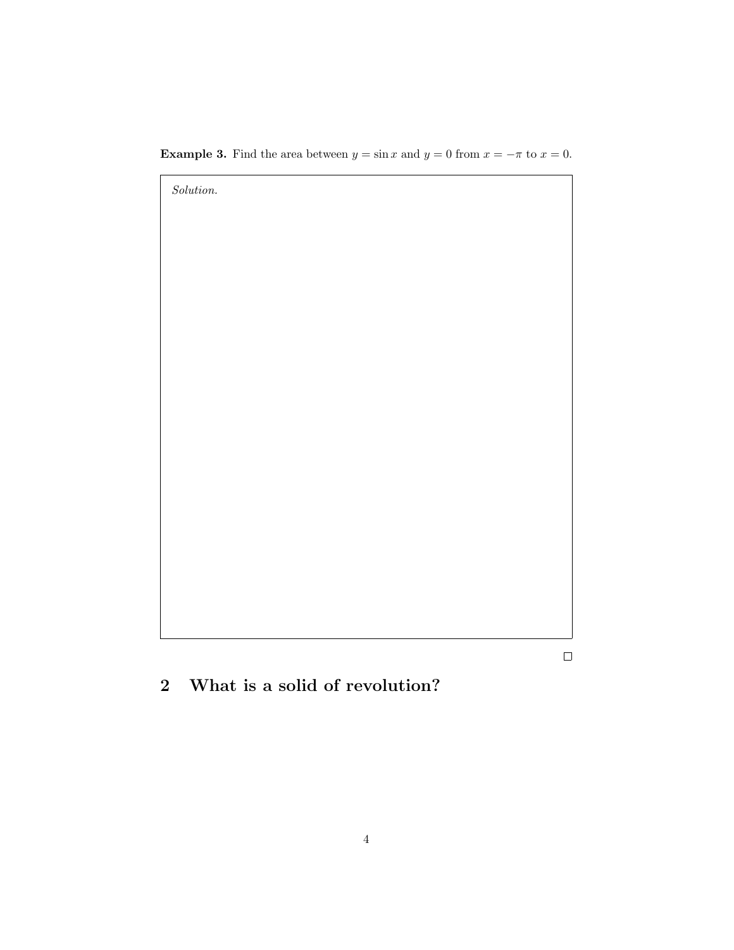**Example 3.** Find the area between  $y = \sin x$  and  $y = 0$  from  $x = -\pi$  to  $x = 0$ .



 $\Box$ 

2 What is a solid of revolution?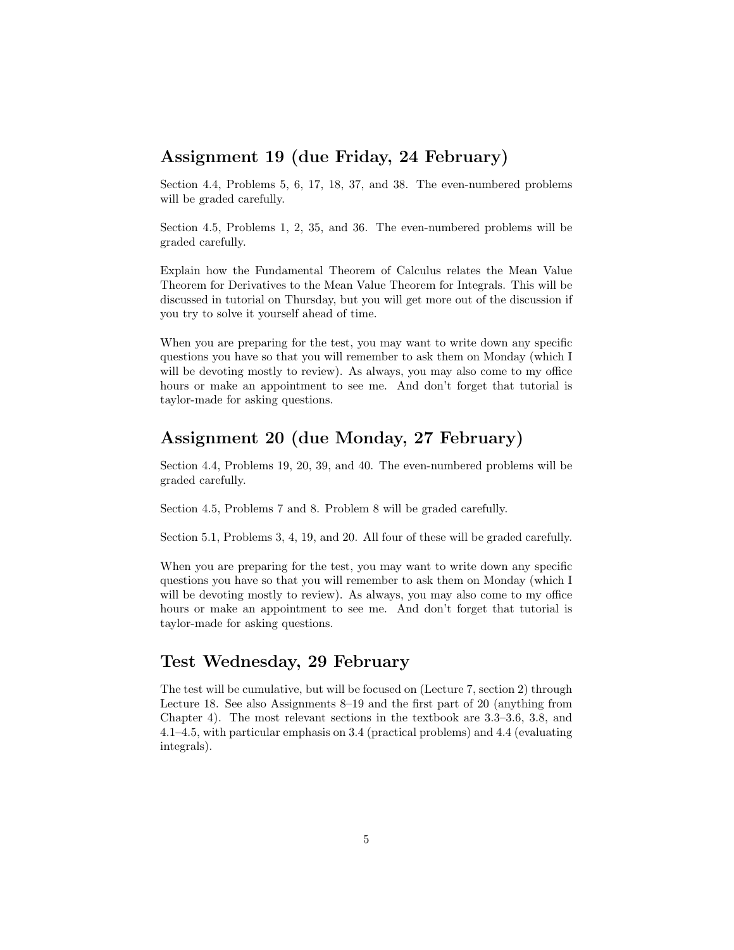#### Assignment 19 (due Friday, 24 February)

Section 4.4, Problems 5, 6, 17, 18, 37, and 38. The even-numbered problems will be graded carefully.

Section 4.5, Problems 1, 2, 35, and 36. The even-numbered problems will be graded carefully.

Explain how the Fundamental Theorem of Calculus relates the Mean Value Theorem for Derivatives to the Mean Value Theorem for Integrals. This will be discussed in tutorial on Thursday, but you will get more out of the discussion if you try to solve it yourself ahead of time.

When you are preparing for the test, you may want to write down any specific questions you have so that you will remember to ask them on Monday (which I will be devoting mostly to review). As always, you may also come to my office hours or make an appointment to see me. And don't forget that tutorial is taylor-made for asking questions.

#### Assignment 20 (due Monday, 27 February)

Section 4.4, Problems 19, 20, 39, and 40. The even-numbered problems will be graded carefully.

Section 4.5, Problems 7 and 8. Problem 8 will be graded carefully.

Section 5.1, Problems 3, 4, 19, and 20. All four of these will be graded carefully.

When you are preparing for the test, you may want to write down any specific questions you have so that you will remember to ask them on Monday (which I will be devoting mostly to review). As always, you may also come to my office hours or make an appointment to see me. And don't forget that tutorial is taylor-made for asking questions.

#### Test Wednesday, 29 February

The test will be cumulative, but will be focused on (Lecture 7, section 2) through Lecture 18. See also Assignments 8–19 and the first part of 20 (anything from Chapter 4). The most relevant sections in the textbook are 3.3–3.6, 3.8, and 4.1–4.5, with particular emphasis on 3.4 (practical problems) and 4.4 (evaluating integrals).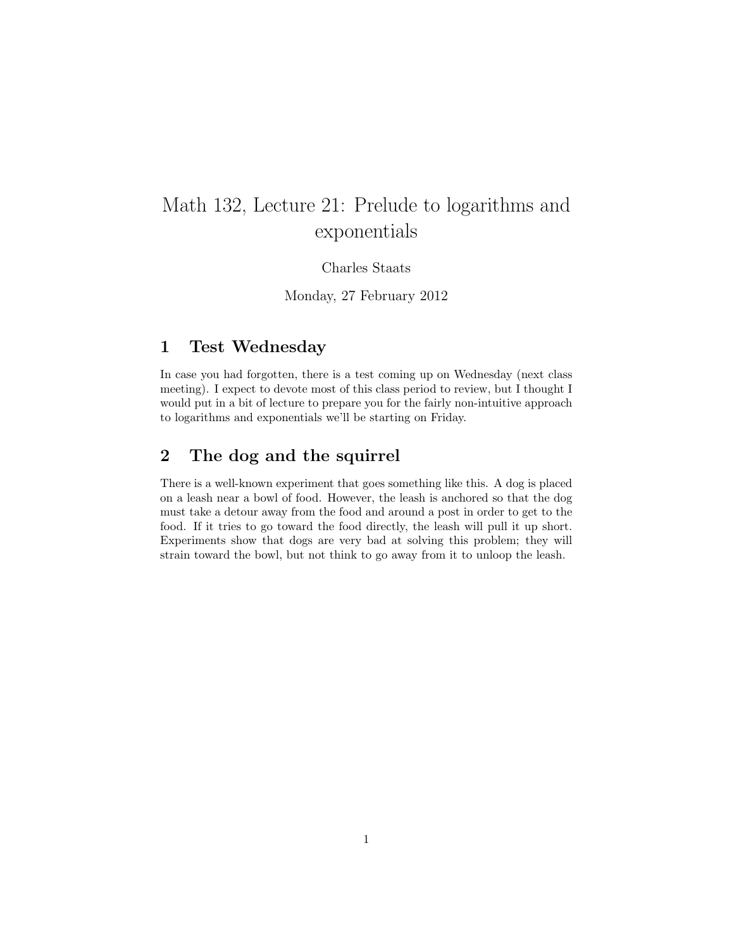# Math 132, Lecture 21: Prelude to logarithms and exponentials

Charles Staats

Monday, 27 February 2012

### 1 Test Wednesday

In case you had forgotten, there is a test coming up on Wednesday (next class meeting). I expect to devote most of this class period to review, but I thought I would put in a bit of lecture to prepare you for the fairly non-intuitive approach to logarithms and exponentials we'll be starting on Friday.

#### 2 The dog and the squirrel

There is a well-known experiment that goes something like this. A dog is placed on a leash near a bowl of food. However, the leash is anchored so that the dog must take a detour away from the food and around a post in order to get to the food. If it tries to go toward the food directly, the leash will pull it up short. Experiments show that dogs are very bad at solving this problem; they will strain toward the bowl, but not think to go away from it to unloop the leash.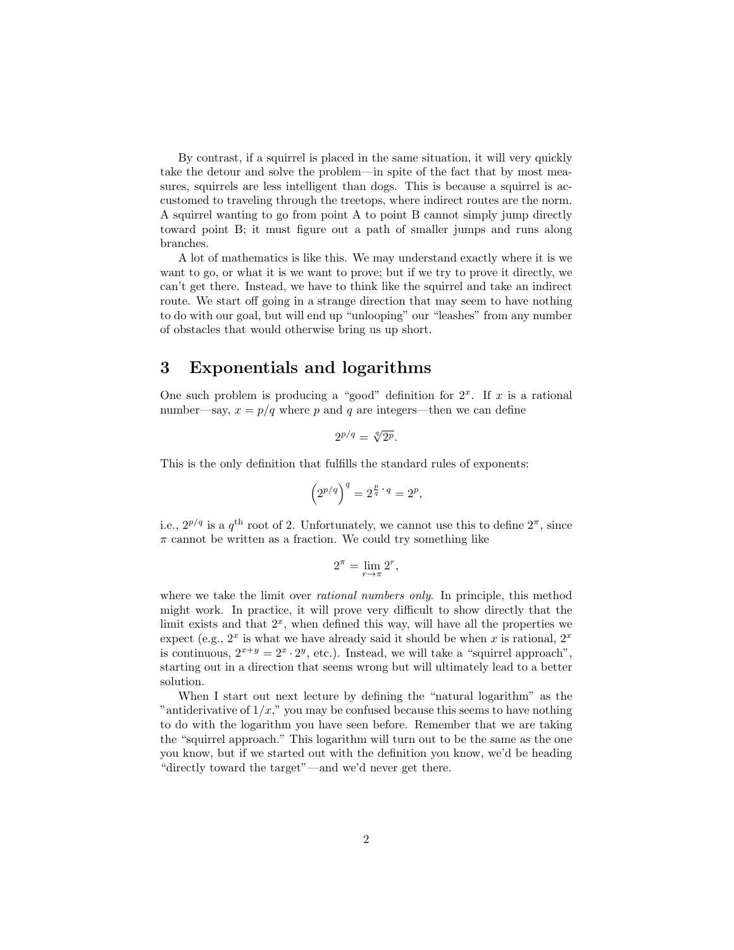By contrast, if a squirrel is placed in the same situation, it will very quickly take the detour and solve the problem—in spite of the fact that by most measures, squirrels are less intelligent than dogs. This is because a squirrel is accustomed to traveling through the treetops, where indirect routes are the norm. A squirrel wanting to go from point A to point B cannot simply jump directly toward point B; it must figure out a path of smaller jumps and runs along branches.

A lot of mathematics is like this. We may understand exactly where it is we want to go, or what it is we want to prove; but if we try to prove it directly, we can't get there. Instead, we have to think like the squirrel and take an indirect route. We start off going in a strange direction that may seem to have nothing to do with our goal, but will end up "unlooping" our "leashes" from any number of obstacles that would otherwise bring us up short.

#### 3 Exponentials and logarithms

One such problem is producing a "good" definition for  $2<sup>x</sup>$ . If x is a rational number—say,  $x = p/q$  where p and q are integers—then we can define

$$
2^{p/q} = \sqrt[q]{2^p}.
$$

This is the only definition that fulfills the standard rules of exponents:

$$
\left(2^{p/q}\right)^q = 2^{\frac{p}{q} \cdot q} = 2^p,
$$

i.e.,  $2^{p/q}$  is a  $q^{\text{th}}$  root of 2. Unfortunately, we cannot use this to define  $2^{\pi}$ , since  $\pi$  cannot be written as a fraction. We could try something like

$$
2^{\pi} = \lim_{r \to \pi} 2^r,
$$

where we take the limit over *rational numbers only*. In principle, this method might work. In practice, it will prove very difficult to show directly that the limit exists and that  $2<sup>x</sup>$ , when defined this way, will have all the properties we expect (e.g.,  $2^x$  is what we have already said it should be when x is rational,  $2^x$ is continuous,  $2^{x+y} = 2^x \cdot 2^y$ , etc.). Instead, we will take a "squirrel approach", starting out in a direction that seems wrong but will ultimately lead to a better solution.

When I start out next lecture by defining the "natural logarithm" as the "antiderivative of  $1/x$ ," you may be confused because this seems to have nothing to do with the logarithm you have seen before. Remember that we are taking the "squirrel approach." This logarithm will turn out to be the same as the one you know, but if we started out with the definition you know, we'd be heading "directly toward the target"—and we'd never get there.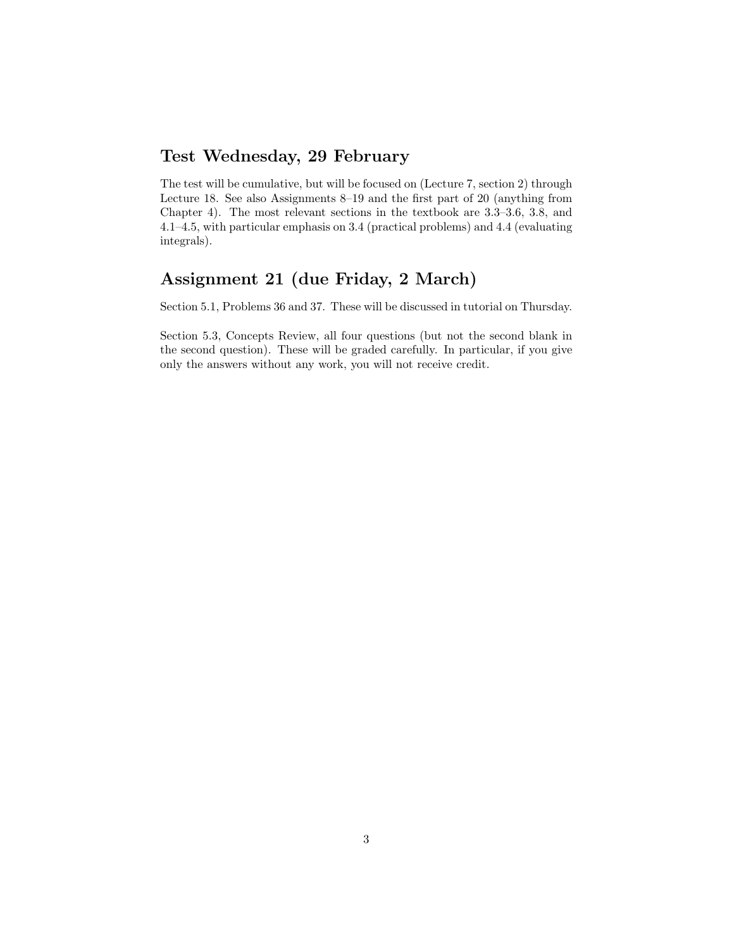### Test Wednesday, 29 February

The test will be cumulative, but will be focused on (Lecture 7, section 2) through Lecture 18. See also Assignments 8–19 and the first part of 20 (anything from Chapter 4). The most relevant sections in the textbook are 3.3–3.6, 3.8, and 4.1–4.5, with particular emphasis on 3.4 (practical problems) and 4.4 (evaluating integrals).

# Assignment 21 (due Friday, 2 March)

Section 5.1, Problems 36 and 37. These will be discussed in tutorial on Thursday.

Section 5.3, Concepts Review, all four questions (but not the second blank in the second question). These will be graded carefully. In particular, if you give only the answers without any work, you will not receive credit.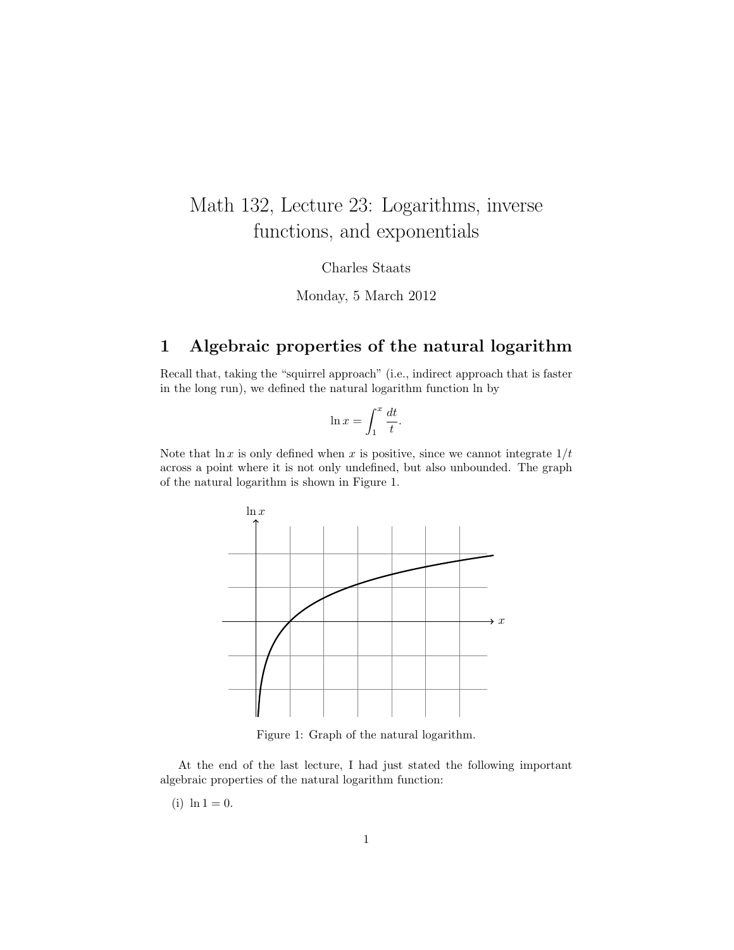# Math 132, Lecture 23: Logarithms, inverse functions, and exponentials

Charles Staats

Monday, 5 March 2012

# 1 Algebraic properties of the natural logarithm

Recall that, taking the "squirrel approach" (i.e., indirect approach that is faster in the long run), we defined the natural logarithm function ln by

$$
\ln x = \int_1^x \frac{dt}{t}.
$$

Note that  $\ln x$  is only defined when x is positive, since we cannot integrate  $1/t$ across a point where it is not only undefined, but also unbounded. The graph of the natural logarithm is shown in Figure 1.



Figure 1: Graph of the natural logarithm.

At the end of the last lecture, I had just stated the following important algebraic properties of the natural logarithm function:

(i)  $\ln 1 = 0$ .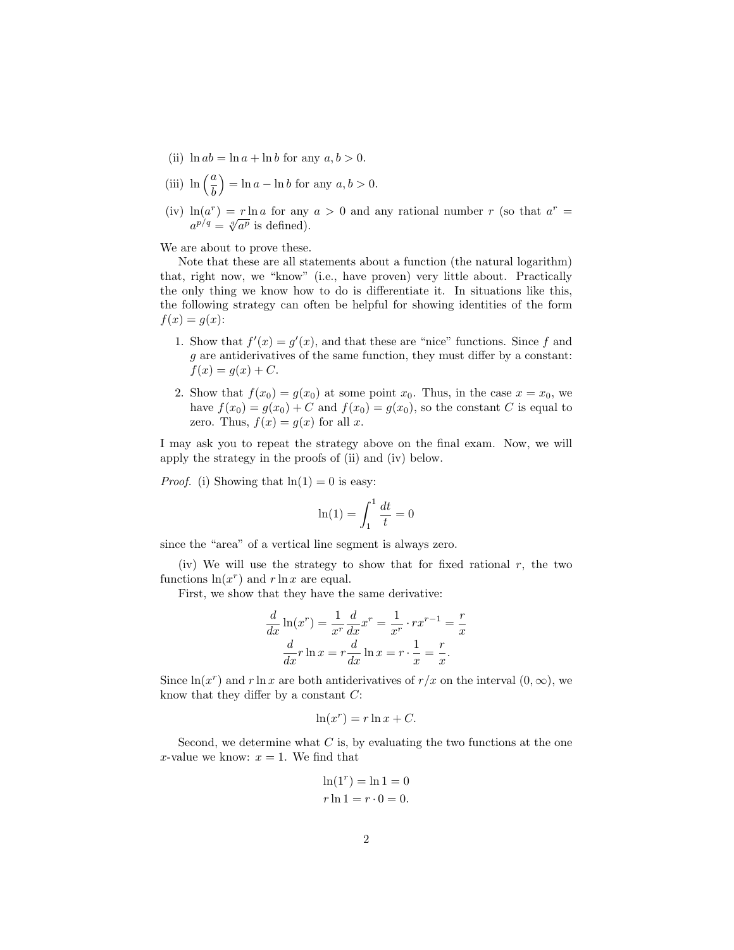- (ii)  $\ln ab = \ln a + \ln b$  for any  $a, b > 0$ .
- (iii)  $\ln\left(\frac{a}{b}\right)$  $=$  ln  $a$  – ln  $b$  for any  $a, b > 0$ .
- (iv)  $\ln(a^r) = r \ln a$  for any  $a > 0$  and any rational number r (so that  $a^r =$  $a^{p/q} = \sqrt[q]{a^p}$  is defined).

We are about to prove these.

Note that these are all statements about a function (the natural logarithm) that, right now, we "know" (i.e., have proven) very little about. Practically the only thing we know how to do is differentiate it. In situations like this, the following strategy can often be helpful for showing identities of the form  $f(x) = q(x)$ :

- 1. Show that  $f'(x) = g'(x)$ , and that these are "nice" functions. Since f and g are antiderivatives of the same function, they must differ by a constant:  $f(x) = g(x) + C.$
- 2. Show that  $f(x_0) = g(x_0)$  at some point  $x_0$ . Thus, in the case  $x = x_0$ , we have  $f(x_0) = g(x_0) + C$  and  $f(x_0) = g(x_0)$ , so the constant C is equal to zero. Thus,  $f(x) = g(x)$  for all x.

I may ask you to repeat the strategy above on the final exam. Now, we will apply the strategy in the proofs of (ii) and (iv) below.

*Proof.* (i) Showing that  $ln(1) = 0$  is easy:

$$
\ln(1) = \int_1^1 \frac{dt}{t} = 0
$$

since the "area" of a vertical line segment is always zero.

(iv) We will use the strategy to show that for fixed rational  $r$ , the two functions  $\ln(x^r)$  and  $r \ln x$  are equal.

First, we show that they have the same derivative:

$$
\frac{d}{dx}\ln(x^r) = \frac{1}{x^r}\frac{d}{dx}x^r = \frac{1}{x^r}\cdot rx^{r-1} = \frac{r}{x}
$$

$$
\frac{d}{dx}r\ln x = r\frac{d}{dx}\ln x = r\cdot\frac{1}{x} = \frac{r}{x}.
$$

Since  $\ln(x^r)$  and r ln x are both antiderivatives of  $r/x$  on the interval  $(0, \infty)$ , we know that they differ by a constant  $C$ :

$$
\ln(x^r) = r \ln x + C.
$$

Second, we determine what  $C$  is, by evaluating the two functions at the one x-value we know:  $x = 1$ . We find that

$$
\ln(1^r) = \ln 1 = 0
$$
  

$$
r \ln 1 = r \cdot 0 = 0.
$$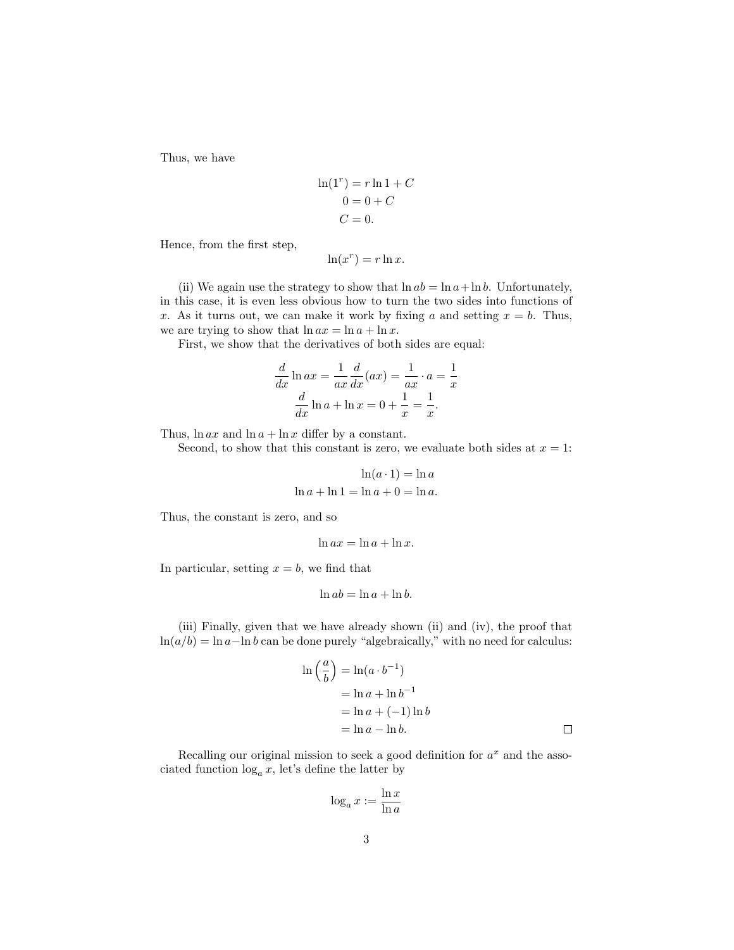Thus, we have

$$
\ln(1^r) = r \ln 1 + C
$$

$$
0 = 0 + C
$$

$$
C = 0.
$$

Hence, from the first step,

$$
\ln(x^r) = r \ln x.
$$

(ii) We again use the strategy to show that  $\ln ab = \ln a + \ln b$ . Unfortunately, in this case, it is even less obvious how to turn the two sides into functions of x. As it turns out, we can make it work by fixing a and setting  $x = b$ . Thus, we are trying to show that  $\ln ax = \ln a + \ln x$ .

First, we show that the derivatives of both sides are equal:

$$
\frac{d}{dx}\ln ax = \frac{1}{ax}\frac{d}{dx}(ax) = \frac{1}{ax}\cdot a = \frac{1}{x}
$$

$$
\frac{d}{dx}\ln a + \ln x = 0 + \frac{1}{x} = \frac{1}{x}.
$$

Thus,  $\ln ax$  and  $\ln a + \ln x$  differ by a constant.

Second, to show that this constant is zero, we evaluate both sides at  $x = 1$ :

$$
\ln(a \cdot 1) = \ln a
$$

$$
\ln a + \ln 1 = \ln a + 0 = \ln a.
$$

Thus, the constant is zero, and so

$$
\ln ax = \ln a + \ln x.
$$

In particular, setting  $x = b$ , we find that

$$
\ln ab = \ln a + \ln b.
$$

(iii) Finally, given that we have already shown (ii) and (iv), the proof that  $ln(a/b) = ln a - ln b$  can be done purely "algebraically," with no need for calculus:

$$
\ln\left(\frac{a}{b}\right) = \ln(a \cdot b^{-1})
$$
  
=  $\ln a + \ln b^{-1}$   
=  $\ln a + (-1) \ln b$   
=  $\ln a - \ln b$ .

Recalling our original mission to seek a good definition for  $a^x$  and the associated function  $log_a x$ , let's define the latter by

$$
\log_a x := \frac{\ln x}{\ln a}
$$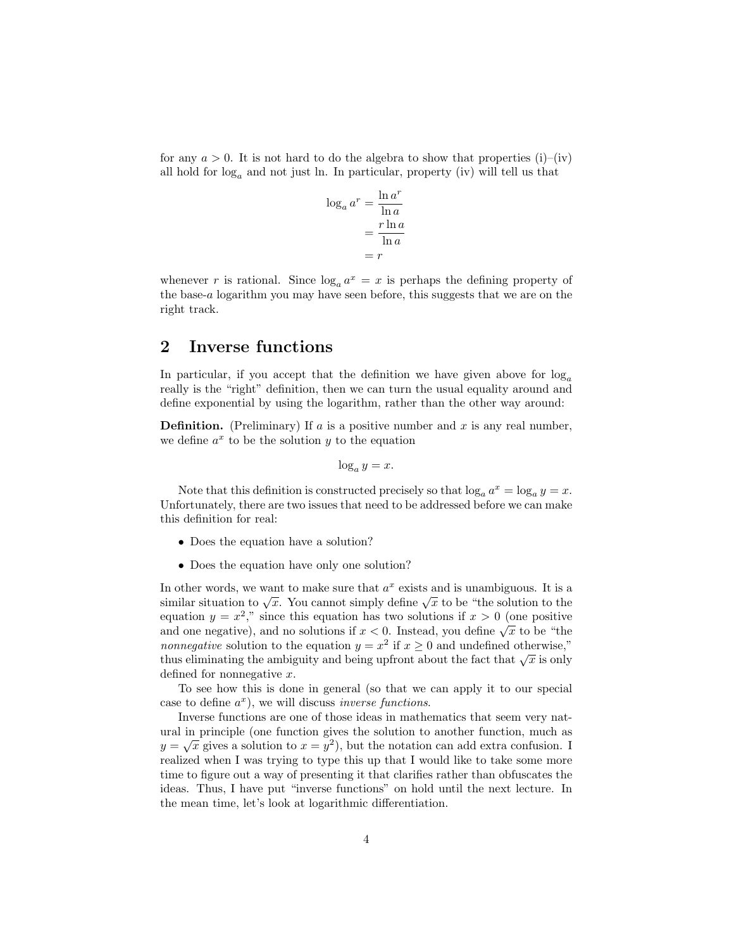for any  $a > 0$ . It is not hard to do the algebra to show that properties (i)–(iv) all hold for  $log_a$  and not just ln. In particular, property (iv) will tell us that

$$
\log_a a^r = \frac{\ln a^r}{\ln a} \n= \frac{r \ln a}{\ln a} \n= r
$$

whenever r is rational. Since  $log_a a^x = x$  is perhaps the defining property of the base-a logarithm you may have seen before, this suggests that we are on the right track.

#### 2 Inverse functions

In particular, if you accept that the definition we have given above for  $log_a$ really is the "right" definition, then we can turn the usual equality around and define exponential by using the logarithm, rather than the other way around:

**Definition.** (Preliminary) If a is a positive number and x is any real number, we define  $a^x$  to be the solution y to the equation

$$
\log_a y = x.
$$

Note that this definition is constructed precisely so that  $\log_a a^x = \log_a y = x$ . Unfortunately, there are two issues that need to be addressed before we can make this definition for real:

- Does the equation have a solution?
- Does the equation have only one solution?

In other words, we want to make sure that  $a^x$  exists and is unambiguous. It is a similar situation to  $\sqrt{x}$ . You cannot simply define  $\sqrt{x}$  to be "the solution to the equation  $y = x^2$ ," since this equation has two solutions if  $x > 0$  (one positive and one negative), and no solutions if  $x < 0$ . Instead, you define  $\sqrt{x}$  to be "the *nonnegative* solution to the equation  $y = x^2$  if  $x \ge 0$  and undefined otherwise," thus eliminating the ambiguity and being upfront about the fact that  $\sqrt{x}$  is only defined for nonnegative x.

To see how this is done in general (so that we can apply it to our special case to define  $a^x$ ), we will discuss *inverse functions*.

Inverse functions are one of those ideas in mathematics that seem very natural in principle (one function gives the solution to another function, much as  $y = \sqrt{x}$  gives a solution to  $x = y^2$ ), but the notation can add extra confusion. I realized when I was trying to type this up that I would like to take some more time to figure out a way of presenting it that clarifies rather than obfuscates the ideas. Thus, I have put "inverse functions" on hold until the next lecture. In the mean time, let's look at logarithmic differentiation.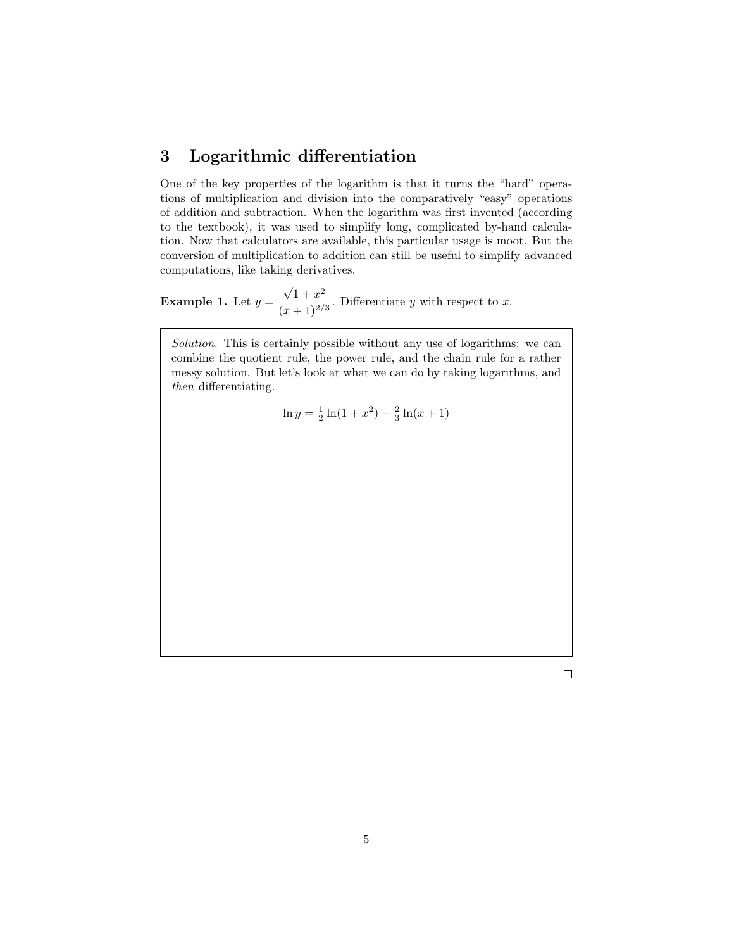## 3 Logarithmic differentiation

One of the key properties of the logarithm is that it turns the "hard" operations of multiplication and division into the comparatively "easy" operations of addition and subtraction. When the logarithm was first invented (according to the textbook), it was used to simplify long, complicated by-hand calculation. Now that calculators are available, this particular usage is moot. But the conversion of multiplication to addition can still be useful to simplify advanced computations, like taking derivatives.

**Example 1.** Let  $y =$  $\sqrt{1+x^2}$  $\frac{v+1}{(x+1)^{2/3}}$ . Differentiate y with respect to x.

Solution. This is certainly possible without any use of logarithms: we can combine the quotient rule, the power rule, and the chain rule for a rather messy solution. But let's look at what we can do by taking logarithms, and then differentiating.

$$
\ln y = \frac{1}{2}\ln(1+x^2) - \frac{2}{3}\ln(x+1)
$$

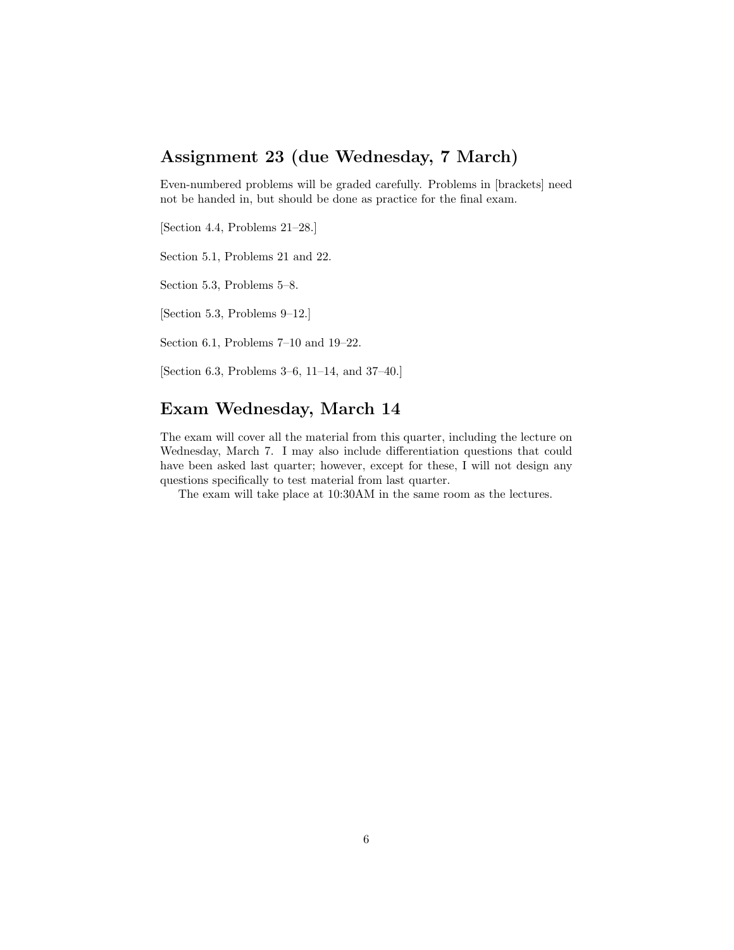### Assignment 23 (due Wednesday, 7 March)

Even-numbered problems will be graded carefully. Problems in [brackets] need not be handed in, but should be done as practice for the final exam.

[Section 4.4, Problems 21–28.]

Section 5.1, Problems 21 and 22.

Section 5.3, Problems 5–8.

[Section 5.3, Problems 9–12.]

Section 6.1, Problems 7–10 and 19–22.

[Section 6.3, Problems 3–6, 11–14, and 37–40.]

#### Exam Wednesday, March 14

The exam will cover all the material from this quarter, including the lecture on Wednesday, March 7. I may also include differentiation questions that could have been asked last quarter; however, except for these, I will not design any questions specifically to test material from last quarter.

The exam will take place at 10:30AM in the same room as the lectures.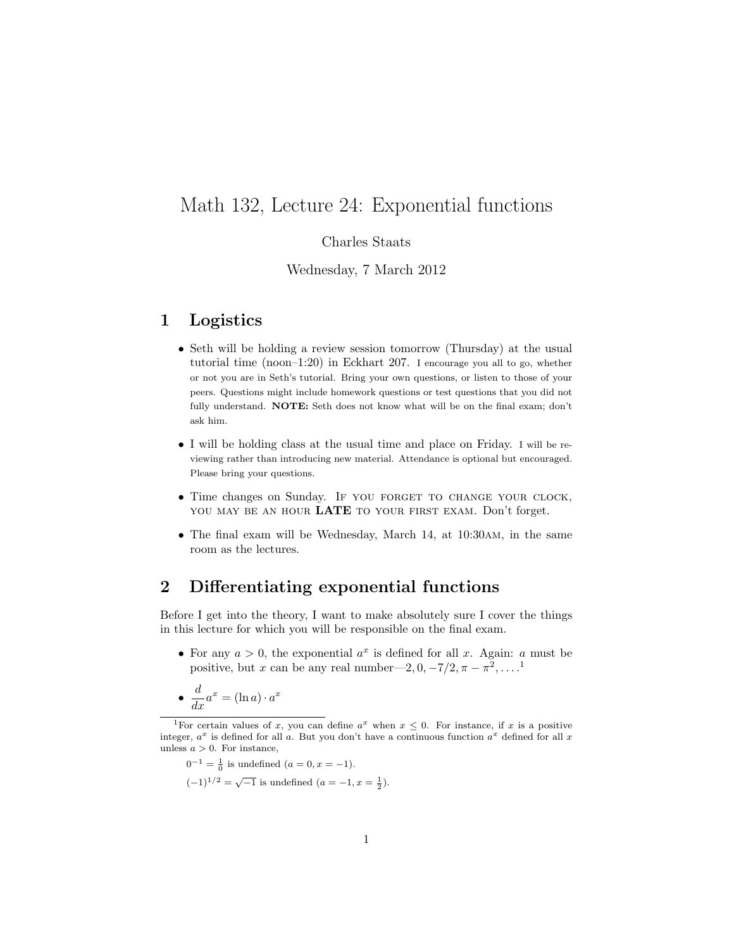# Math 132, Lecture 24: Exponential functions

#### Charles Staats

#### Wednesday, 7 March 2012

### 1 Logistics

- Seth will be holding a review session tomorrow (Thursday) at the usual tutorial time (noon–1:20) in Eckhart 207. I encourage you all to go, whether or not you are in Seth's tutorial. Bring your own questions, or listen to those of your peers. Questions might include homework questions or test questions that you did not fully understand. **NOTE:** Seth does not know what will be on the final exam; don't ask him.
- I will be holding class at the usual time and place on Friday. I will be reviewing rather than introducing new material. Attendance is optional but encouraged. Please bring your questions.
- Time changes on Sunday. IF YOU FORGET TO CHANGE YOUR CLOCK, YOU MAY BE AN HOUR LATE TO YOUR FIRST EXAM. Don't forget.
- The final exam will be Wednesday, March 14, at 10:30am, in the same room as the lectures.

#### 2 Differentiating exponential functions

Before I get into the theory, I want to make absolutely sure I cover the things in this lecture for which you will be responsible on the final exam.

• For any  $a > 0$ , the exponential  $a^x$  is defined for all x. Again: a must be positive, but x can be any real number—2,  $0, -7/2, \pi - \pi^2, \dots$ <sup>1</sup>

$$
\bullet \ \frac{d}{dx}a^x = (\ln a) \cdot a^x
$$

$$
0^{-1} = \frac{1}{0}
$$
 is undefined  $(a = 0, x = -1)$ .

$$
(-1)^{1/2} = \sqrt{-1}
$$
 is undefined  $(a = -1, x = \frac{1}{2})$ .

<sup>&</sup>lt;sup>1</sup>For certain values of x, you can define  $a^x$  when  $x \leq 0$ . For instance, if x is a positive integer,  $a^x$  is defined for all a. But you don't have a continuous function  $a^x$  defined for all x unless  $a > 0$ . For instance,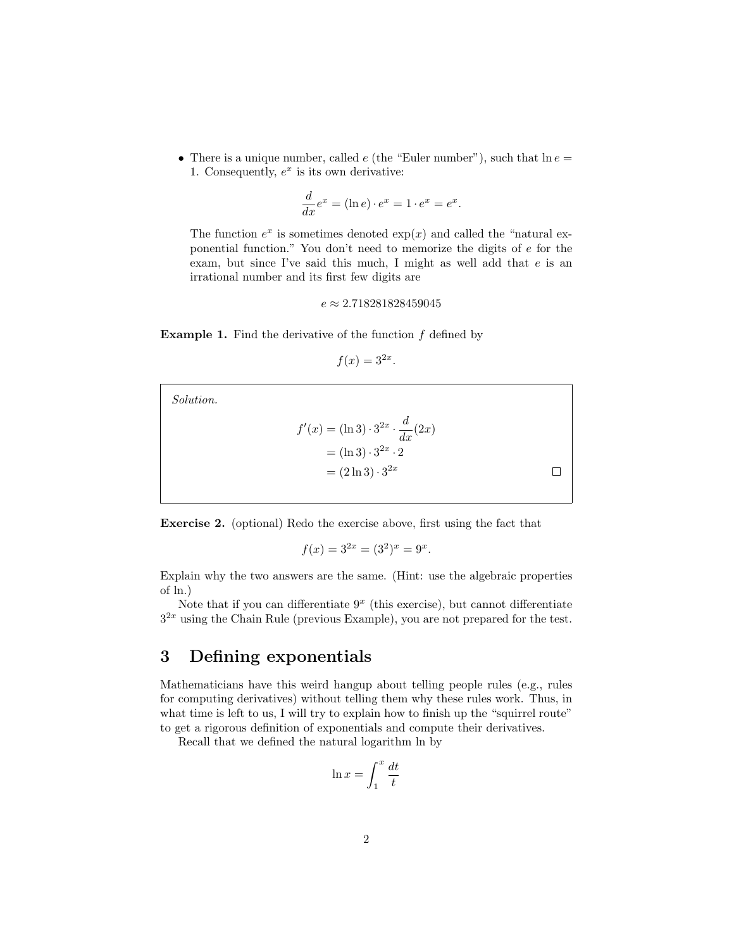• There is a unique number, called  $e$  (the "Euler number"), such that  $\ln e =$ 1. Consequently,  $e^x$  is its own derivative:

$$
\frac{d}{dx}e^x = (\ln e) \cdot e^x = 1 \cdot e^x = e^x.
$$

The function  $e^x$  is sometimes denoted  $\exp(x)$  and called the "natural exponential function." You don't need to memorize the digits of e for the exam, but since I've said this much, I might as well add that e is an irrational number and its first few digits are

 $e \approx 2.718281828459045$ 

**Example 1.** Find the derivative of the function  $f$  defined by

$$
f(x) = 3^{2x}.
$$

Solution.

$$
f'(x) = (\ln 3) \cdot 3^{2x} \cdot \frac{d}{dx}(2x)
$$
  
= (\ln 3) \cdot 3^{2x} \cdot 2  
= (2 \ln 3) \cdot 3^{2x}

Exercise 2. (optional) Redo the exercise above, first using the fact that

$$
f(x) = 3^{2x} = (3^2)^x = 9^x.
$$

Explain why the two answers are the same. (Hint: use the algebraic properties of ln.)

Note that if you can differentiate  $9<sup>x</sup>$  (this exercise), but cannot differentiate  $3^{2x}$  using the Chain Rule (previous Example), you are not prepared for the test.

#### 3 Defining exponentials

Mathematicians have this weird hangup about telling people rules (e.g., rules for computing derivatives) without telling them why these rules work. Thus, in what time is left to us, I will try to explain how to finish up the "squirrel route" to get a rigorous definition of exponentials and compute their derivatives.

Recall that we defined the natural logarithm ln by

$$
\ln x = \int_1^x \frac{dt}{t}
$$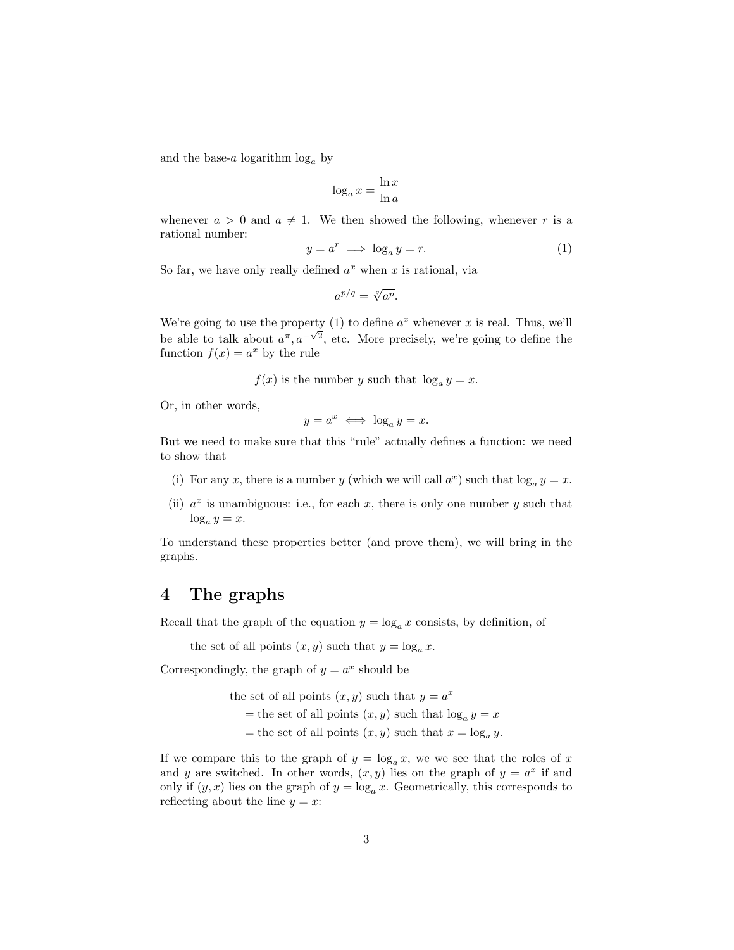and the base-a logarithm  $log_a$  by

$$
\log_a x = \frac{\ln x}{\ln a}
$$

whenever  $a > 0$  and  $a \neq 1$ . We then showed the following, whenever r is a rational number:

$$
y = a^r \implies \log_a y = r. \tag{1}
$$

So far, we have only really defined  $a^x$  when x is rational, via

$$
a^{p/q} = \sqrt[q]{a^p}.
$$

We're going to use the property (1) to define  $a^x$  whenever x is real. Thus, we'll be able to talk about  $a^{\pi}, a^{-\sqrt{2}}$ , etc. More precisely, we're going to define the function  $f(x) = a^x$  by the rule

 $f(x)$  is the number y such that  $\log_a y = x$ .

Or, in other words,

$$
y = a^x \iff \log_a y = x.
$$

But we need to make sure that this "rule" actually defines a function: we need to show that

- (i) For any x, there is a number y (which we will call  $a^x$ ) such that  $\log_a y = x$ .
- (ii)  $a^x$  is unambiguous: i.e., for each x, there is only one number y such that  $\log_a y = x.$

To understand these properties better (and prove them), we will bring in the graphs.

## 4 The graphs

Recall that the graph of the equation  $y = \log_a x$  consists, by definition, of

the set of all points  $(x, y)$  such that  $y = \log_a x$ .

Correspondingly, the graph of  $y = a^x$  should be

the set of all points  $(x, y)$  such that  $y = a^x$ 

- = the set of all points  $(x, y)$  such that  $\log_a y = x$
- = the set of all points  $(x, y)$  such that  $x = \log_a y$ .

If we compare this to the graph of  $y = \log_a x$ , we we see that the roles of x and y are switched. In other words,  $(x, y)$  lies on the graph of  $y = a^x$  if and only if  $(y, x)$  lies on the graph of  $y = \log_a x$ . Geometrically, this corresponds to reflecting about the line  $y = x$ :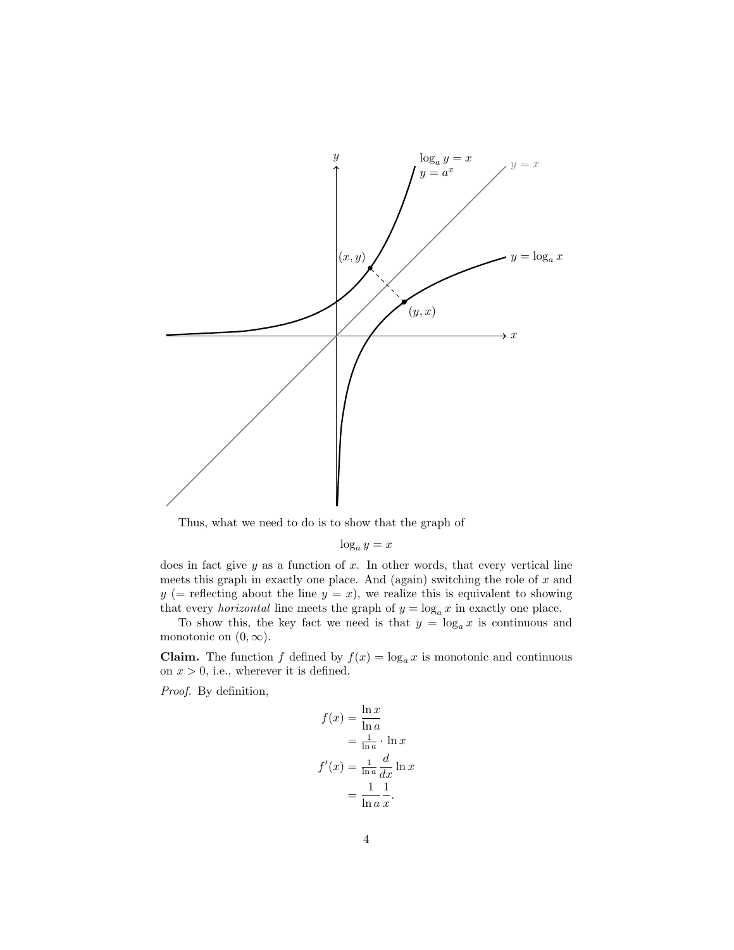

Thus, what we need to do is to show that the graph of

$$
\log_a y = x
$$

does in fact give  $y$  as a function of  $x$ . In other words, that every vertical line meets this graph in exactly one place. And (again) switching the role of  $x$  and  $y (=$  reflecting about the line  $y = x$ ), we realize this is equivalent to showing that every *horizontal* line meets the graph of  $y = \log_a x$  in exactly one place.

To show this, the key fact we need is that  $y = \log_a x$  is continuous and monotonic on  $(0, \infty)$ .

**Claim.** The function f defined by  $f(x) = \log_a x$  is monotonic and continuous on  $x > 0$ , i.e., wherever it is defined.

Proof. By definition,

$$
f(x) = \frac{\ln x}{\ln a}
$$
  
=  $\frac{1}{\ln a} \cdot \ln x$   

$$
f'(x) = \frac{1}{\ln a} \frac{d}{dx} \ln x
$$
  
=  $\frac{1}{\ln a} \frac{1}{x}$ .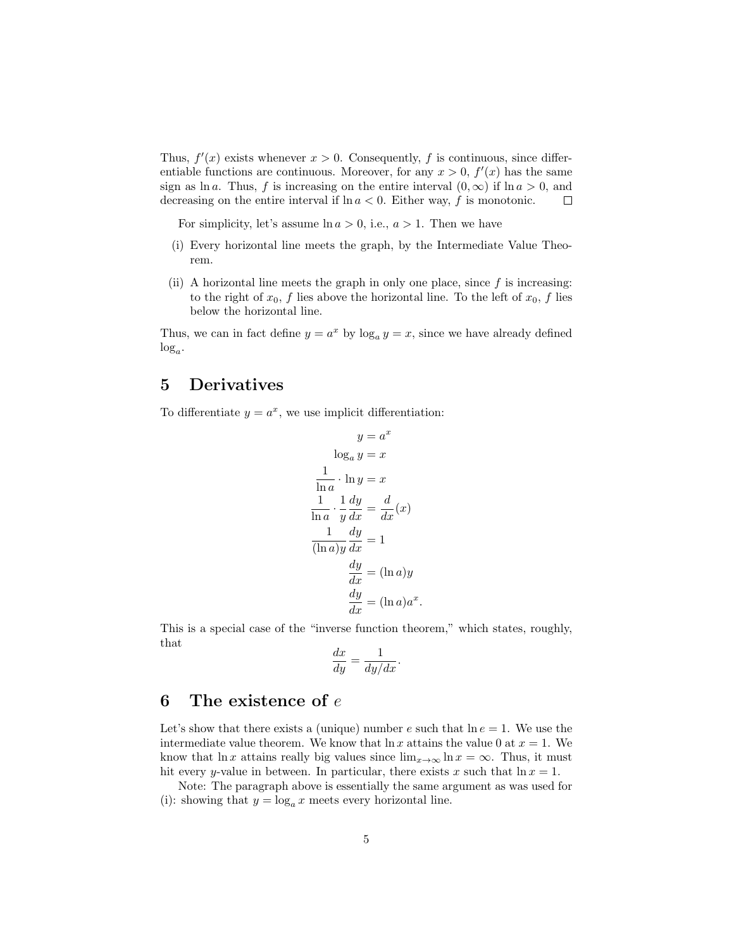Thus,  $f'(x)$  exists whenever  $x > 0$ . Consequently, f is continuous, since differentiable functions are continuous. Moreover, for any  $x > 0$ ,  $f'(x)$  has the same sign as ln a. Thus, f is increasing on the entire interval  $(0, \infty)$  if ln  $a > 0$ , and decreasing on the entire interval if ln  $a < 0$ . Either way, f is monotonic. decreasing on the entire interval if  $\ln a < 0$ . Either way, f is monotonic.

For simplicity, let's assume  $\ln a > 0$ , i.e.,  $a > 1$ . Then we have

- (i) Every horizontal line meets the graph, by the Intermediate Value Theorem.
- (ii) A horizontal line meets the graph in only one place, since  $f$  is increasing: to the right of  $x_0$ , f lies above the horizontal line. To the left of  $x_0$ , f lies below the horizontal line.

Thus, we can in fact define  $y = a^x$  by  $\log_a y = x$ , since we have already defined  $log_a$ .

## 5 Derivatives

To differentiate  $y = a^x$ , we use implicit differentiation:

$$
y = a^{x}
$$

$$
\log_{a} y = x
$$

$$
\frac{1}{\ln a} \cdot \ln y = x
$$

$$
\frac{1}{\ln a} \cdot \frac{1}{y} \frac{dy}{dx} = \frac{d}{dx}(x)
$$

$$
\frac{1}{(\ln a)y} \frac{dy}{dx} = 1
$$

$$
\frac{dy}{dx} = (\ln a)y
$$

$$
\frac{dy}{dx} = (\ln a)a^{x}.
$$

This is a special case of the "inverse function theorem," which states, roughly, that

$$
\frac{dx}{dy} = \frac{1}{dy/dx}.
$$

## 6 The existence of  $e$

Let's show that there exists a (unique) number e such that  $\ln e = 1$ . We use the intermediate value theorem. We know that  $\ln x$  attains the value 0 at  $x = 1$ . We know that ln x attains really big values since  $\lim_{x\to\infty} \ln x = \infty$ . Thus, it must hit every y-value in between. In particular, there exists x such that  $\ln x = 1$ .

Note: The paragraph above is essentially the same argument as was used for (i): showing that  $y = \log_a x$  meets every horizontal line.